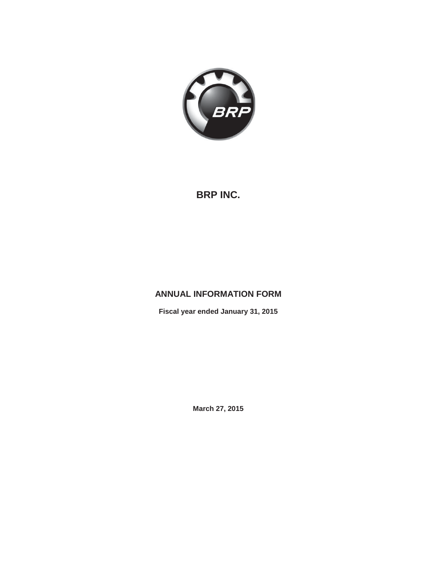

# **BRP INC.**

# **ANNUAL INFORMATION FORM**

**Fiscal year ended January 31, 2015**

**March 27, 2015**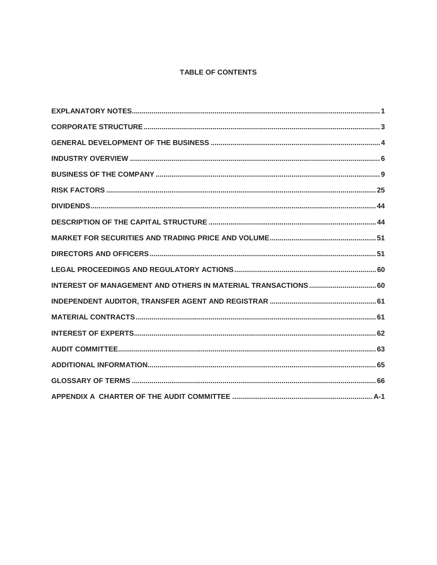## TABLE OF CONTENTS

| INTEREST OF MANAGEMENT AND OTHERS IN MATERIAL TRANSACTIONS 60 |
|---------------------------------------------------------------|
|                                                               |
|                                                               |
|                                                               |
|                                                               |
|                                                               |
|                                                               |
|                                                               |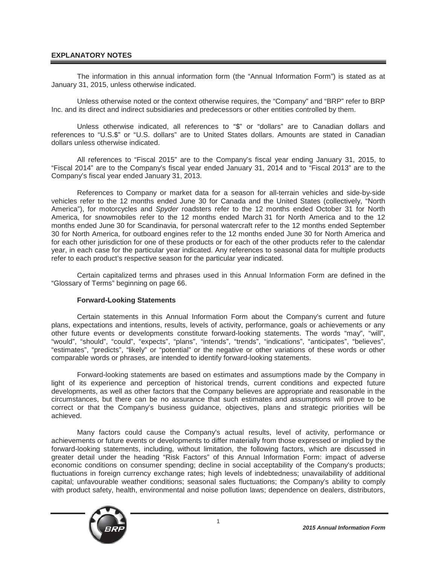## **EXPLANATORY NOTES**

The information in this annual information form (the "Annual Information Form") is stated as at January 31, 2015, unless otherwise indicated.

Unless otherwise noted or the context otherwise requires, the "Company" and "BRP" refer to BRP Inc. and its direct and indirect subsidiaries and predecessors or other entities controlled by them.

Unless otherwise indicated, all references to "\$" or "dollars" are to Canadian dollars and references to "U.S.\$" or "U.S. dollars" are to United States dollars. Amounts are stated in Canadian dollars unless otherwise indicated.

All references to "Fiscal 2015" are to the Company's fiscal year ending January 31, 2015, to "Fiscal 2014" are to the Company's fiscal year ended January 31, 2014 and to "Fiscal 2013" are to the Company's fiscal year ended January 31, 2013.

References to Company or market data for a season for all-terrain vehicles and side-by-side vehicles refer to the 12 months ended June 30 for Canada and the United States (collectively, "North America"), for motorcycles and *Spyder* roadsters refer to the 12 months ended October 31 for North America, for snowmobiles refer to the 12 months ended March 31 for North America and to the 12 months ended June 30 for Scandinavia, for personal watercraft refer to the 12 months ended September 30 for North America, for outboard engines refer to the 12 months ended June 30 for North America and for each other jurisdiction for one of these products or for each of the other products refer to the calendar year, in each case for the particular year indicated. Any references to seasonal data for multiple products refer to each product's respective season for the particular year indicated.

Certain capitalized terms and phrases used in this Annual Information Form are defined in the "Glossary of Terms" beginning on page 66.

#### **Forward-Looking Statements**

Certain statements in this Annual Information Form about the Company's current and future plans, expectations and intentions, results, levels of activity, performance, goals or achievements or any other future events or developments constitute forward-looking statements. The words "may", "will", "would", "should", "could", "expects", "plans", "intends", "trends", "indications", "anticipates", "believes", "estimates", "predicts", "likely" or "potential" or the negative or other variations of these words or other comparable words or phrases, are intended to identify forward-looking statements.

Forward-looking statements are based on estimates and assumptions made by the Company in light of its experience and perception of historical trends, current conditions and expected future developments, as well as other factors that the Company believes are appropriate and reasonable in the circumstances, but there can be no assurance that such estimates and assumptions will prove to be correct or that the Company's business guidance, objectives, plans and strategic priorities will be achieved.

Many factors could cause the Company's actual results, level of activity, performance or achievements or future events or developments to differ materially from those expressed or implied by the forward-looking statements, including, without limitation, the following factors, which are discussed in greater detail under the heading "Risk Factors" of this Annual Information Form: impact of adverse economic conditions on consumer spending; decline in social acceptability of the Company's products; fluctuations in foreign currency exchange rates; high levels of indebtedness; unavailability of additional capital; unfavourable weather conditions; seasonal sales fluctuations; the Company's ability to comply with product safety, health, environmental and noise pollution laws; dependence on dealers, distributors,

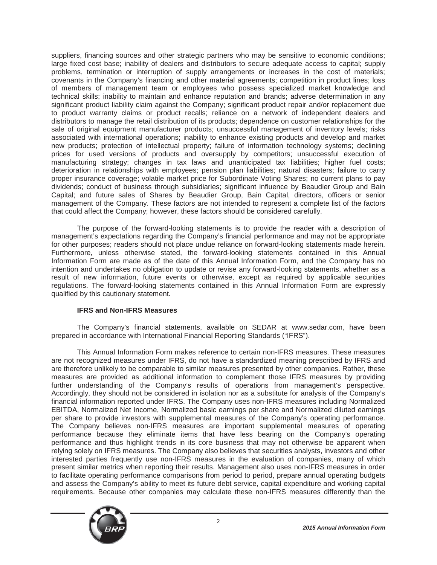suppliers, financing sources and other strategic partners who may be sensitive to economic conditions; large fixed cost base; inability of dealers and distributors to secure adequate access to capital; supply problems, termination or interruption of supply arrangements or increases in the cost of materials; covenants in the Company's financing and other material agreements; competition in product lines; loss of members of management team or employees who possess specialized market knowledge and technical skills; inability to maintain and enhance reputation and brands; adverse determination in any significant product liability claim against the Company; significant product repair and/or replacement due to product warranty claims or product recalls; reliance on a network of independent dealers and distributors to manage the retail distribution of its products; dependence on customer relationships for the sale of original equipment manufacturer products; unsuccessful management of inventory levels; risks associated with international operations; inability to enhance existing products and develop and market new products; protection of intellectual property; failure of information technology systems; declining prices for used versions of products and oversupply by competitors; unsuccessful execution of manufacturing strategy; changes in tax laws and unanticipated tax liabilities; higher fuel costs; deterioration in relationships with employees; pension plan liabilities; natural disasters; failure to carry proper insurance coverage; volatile market price for Subordinate Voting Shares; no current plans to pay dividends; conduct of business through subsidiaries; significant influence by Beaudier Group and Bain Capital; and future sales of Shares by Beaudier Group, Bain Capital, directors, officers or senior management of the Company. These factors are not intended to represent a complete list of the factors that could affect the Company; however, these factors should be considered carefully.

The purpose of the forward-looking statements is to provide the reader with a description of management's expectations regarding the Company's financial performance and may not be appropriate for other purposes; readers should not place undue reliance on forward-looking statements made herein. Furthermore, unless otherwise stated, the forward-looking statements contained in this Annual Information Form are made as of the date of this Annual Information Form, and the Company has no intention and undertakes no obligation to update or revise any forward-looking statements, whether as a result of new information, future events or otherwise, except as required by applicable securities regulations. The forward-looking statements contained in this Annual Information Form are expressly qualified by this cautionary statement.

## **IFRS and Non-IFRS Measures**

The Company's financial statements, available on SEDAR at www.sedar.com, have been prepared in accordance with International Financial Reporting Standards ("IFRS").

This Annual Information Form makes reference to certain non-IFRS measures. These measures are not recognized measures under IFRS, do not have a standardized meaning prescribed by IFRS and are therefore unlikely to be comparable to similar measures presented by other companies. Rather, these measures are provided as additional information to complement those IFRS measures by providing further understanding of the Company's results of operations from management's perspective. Accordingly, they should not be considered in isolation nor as a substitute for analysis of the Company's financial information reported under IFRS. The Company uses non-IFRS measures including Normalized EBITDA, Normalized Net Income, Normalized basic earnings per share and Normalized diluted earnings per share to provide investors with supplemental measures of the Company's operating performance. The Company believes non-IFRS measures are important supplemental measures of operating performance because they eliminate items that have less bearing on the Company's operating performance and thus highlight trends in its core business that may not otherwise be apparent when relying solely on IFRS measures. The Company also believes that securities analysts, investors and other interested parties frequently use non-IFRS measures in the evaluation of companies, many of which present similar metrics when reporting their results. Management also uses non-IFRS measures in order to facilitate operating performance comparisons from period to period, prepare annual operating budgets and assess the Company's ability to meet its future debt service, capital expenditure and working capital requirements. Because other companies may calculate these non-IFRS measures differently than the

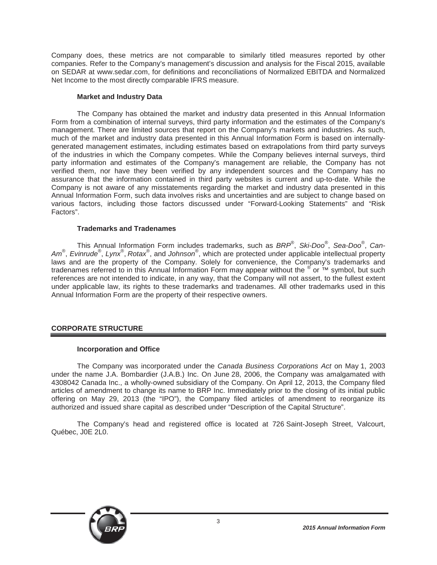Company does, these metrics are not comparable to similarly titled measures reported by other companies. Refer to the Company's management's discussion and analysis for the Fiscal 2015, available on SEDAR at www.sedar.com, for definitions and reconciliations of Normalized EBITDA and Normalized Net Income to the most directly comparable IFRS measure.

## **Market and Industry Data**

The Company has obtained the market and industry data presented in this Annual Information Form from a combination of internal surveys, third party information and the estimates of the Company's management. There are limited sources that report on the Company's markets and industries. As such, much of the market and industry data presented in this Annual Information Form is based on internallygenerated management estimates, including estimates based on extrapolations from third party surveys of the industries in which the Company competes. While the Company believes internal surveys, third party information and estimates of the Company's management are reliable, the Company has not verified them, nor have they been verified by any independent sources and the Company has no assurance that the information contained in third party websites is current and up-to-date. While the Company is not aware of any misstatements regarding the market and industry data presented in this Annual Information Form, such data involves risks and uncertainties and are subject to change based on various factors, including those factors discussed under "Forward-Looking Statements" and "Risk Factors".

## **Trademarks and Tradenames**

This Annual Information Form includes trademarks, such as *BRP*® , *Ski-Doo*® , *Sea-Doo*® , *Can-*Am<sup>®</sup>, *Evinrude*®, Lynx<sup>®</sup>, Rotax<sup>®</sup>, and Johnson<sup>®</sup>, which are protected under applicable intellectual property laws and are the property of the Company. Solely for convenience, the Company's trademarks and tradenames referred to in this Annual Information Form may appear without the <sup>®</sup> or ™ symbol, but such references are not intended to indicate, in any way, that the Company will not assert, to the fullest extent under applicable law, its rights to these trademarks and tradenames. All other trademarks used in this Annual Information Form are the property of their respective owners.

## **CORPORATE STRUCTURE**

## **Incorporation and Office**

The Company was incorporated under the *Canada Business Corporations Act* on May 1, 2003 under the name J.A. Bombardier (J.A.B.) Inc. On June 28, 2006, the Company was amalgamated with 4308042 Canada Inc., a wholly-owned subsidiary of the Company. On April 12, 2013, the Company filed articles of amendment to change its name to BRP Inc. Immediately prior to the closing of its initial public offering on May 29, 2013 (the "IPO"), the Company filed articles of amendment to reorganize its authorized and issued share capital as described under "Description of the Capital Structure".

The Company's head and registered office is located at 726 Saint-Joseph Street, Valcourt, Québec, J0E 2L0.

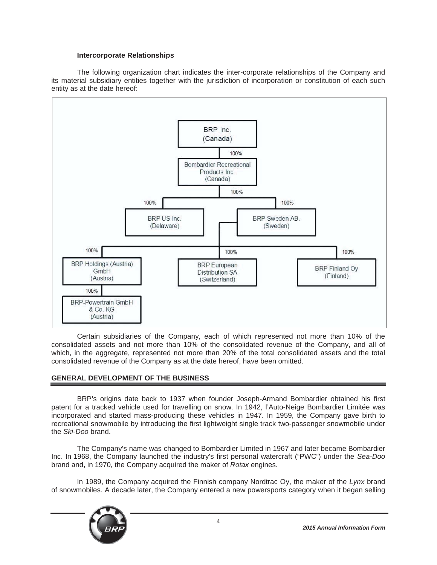## **Intercorporate Relationships**

The following organization chart indicates the inter-corporate relationships of the Company and its material subsidiary entities together with the jurisdiction of incorporation or constitution of each such entity as at the date hereof:



Certain subsidiaries of the Company, each of which represented not more than 10% of the consolidated assets and not more than 10% of the consolidated revenue of the Company, and all of which, in the aggregate, represented not more than 20% of the total consolidated assets and the total consolidated revenue of the Company as at the date hereof, have been omitted.

## **GENERAL DEVELOPMENT OF THE BUSINESS**

BRP's origins date back to 1937 when founder Joseph-Armand Bombardier obtained his first patent for a tracked vehicle used for travelling on snow. In 1942, l'Auto-Neige Bombardier Limitée was incorporated and started mass-producing these vehicles in 1947. In 1959, the Company gave birth to recreational snowmobile by introducing the first lightweight single track two-passenger snowmobile under the *Ski-Doo* brand.

The Company's name was changed to Bombardier Limited in 1967 and later became Bombardier Inc. In 1968, the Company launched the industry's first personal watercraft ("PWC") under the *Sea-Doo* brand and, in 1970, the Company acquired the maker of *Rotax* engines.

In 1989, the Company acquired the Finnish company Nordtrac Oy, the maker of the *Lynx* brand of snowmobiles. A decade later, the Company entered a new powersports category when it began selling

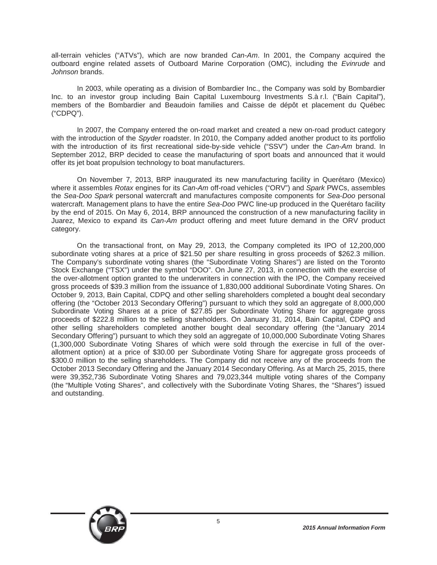all-terrain vehicles ("ATVs"), which are now branded *Can-Am*. In 2001, the Company acquired the outboard engine related assets of Outboard Marine Corporation (OMC), including the *Evinrude* and *Johnson* brands.

In 2003, while operating as a division of Bombardier Inc., the Company was sold by Bombardier Inc. to an investor group including Bain Capital Luxembourg Investments S.à r.l. ("Bain Capital"), members of the Bombardier and Beaudoin families and Caisse de dépôt et placement du Québec ("CDPQ").

In 2007, the Company entered the on-road market and created a new on-road product category with the introduction of the *Spyder* roadster. In 2010, the Company added another product to its portfolio with the introduction of its first recreational side-by-side vehicle ("SSV") under the *Can-Am* brand. In September 2012, BRP decided to cease the manufacturing of sport boats and announced that it would offer its jet boat propulsion technology to boat manufacturers.

On November 7, 2013, BRP inaugurated its new manufacturing facility in Querétaro (Mexico) where it assembles *Rotax* engines for its *Can-Am* off-road vehicles ("ORV") and *Spark* PWCs, assembles the *Sea-Doo Spark* personal watercraft and manufactures composite components for *Sea-Doo* personal watercraft. Management plans to have the entire *Sea-Doo* PWC line-up produced in the Querétaro facility by the end of 2015. On May 6, 2014, BRP announced the construction of a new manufacturing facility in Juarez, Mexico to expand its *Can-Am* product offering and meet future demand in the ORV product category.

On the transactional front, on May 29, 2013, the Company completed its IPO of 12,200,000 subordinate voting shares at a price of \$21.50 per share resulting in gross proceeds of \$262.3 million. The Company's subordinate voting shares (the "Subordinate Voting Shares") are listed on the Toronto Stock Exchange ("TSX") under the symbol "DOO". On June 27, 2013, in connection with the exercise of the over-allotment option granted to the underwriters in connection with the IPO, the Company received gross proceeds of \$39.3 million from the issuance of 1,830,000 additional Subordinate Voting Shares. On October 9, 2013, Bain Capital, CDPQ and other selling shareholders completed a bought deal secondary offering (the "October 2013 Secondary Offering") pursuant to which they sold an aggregate of 8,000,000 Subordinate Voting Shares at a price of \$27.85 per Subordinate Voting Share for aggregate gross proceeds of \$222.8 million to the selling shareholders. On January 31, 2014, Bain Capital, CDPQ and other selling shareholders completed another bought deal secondary offering (the "January 2014 Secondary Offering") pursuant to which they sold an aggregate of 10,000,000 Subordinate Voting Shares (1,300,000 Subordinate Voting Shares of which were sold through the exercise in full of the overallotment option) at a price of \$30.00 per Subordinate Voting Share for aggregate gross proceeds of \$300.0 million to the selling shareholders. The Company did not receive any of the proceeds from the October 2013 Secondary Offering and the January 2014 Secondary Offering. As at March 25, 2015, there were 39,352,736 Subordinate Voting Shares and 79,023,344 multiple voting shares of the Company (the "Multiple Voting Shares", and collectively with the Subordinate Voting Shares, the "Shares") issued and outstanding.

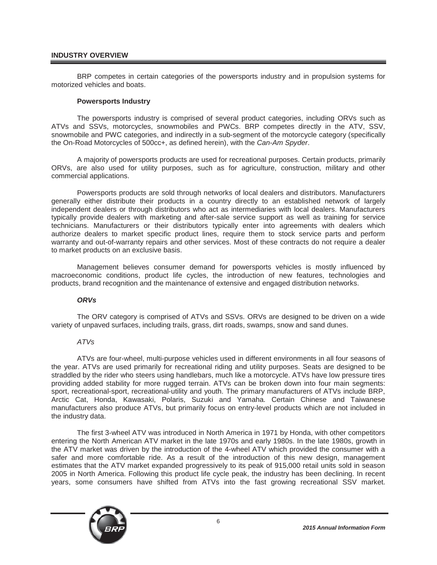## **INDUSTRY OVERVIEW**

BRP competes in certain categories of the powersports industry and in propulsion systems for motorized vehicles and boats.

#### **Powersports Industry**

The powersports industry is comprised of several product categories, including ORVs such as ATVs and SSVs, motorcycles, snowmobiles and PWCs. BRP competes directly in the ATV, SSV, snowmobile and PWC categories, and indirectly in a sub-segment of the motorcycle category (specifically the On-Road Motorcycles of 500cc+, as defined herein), with the *Can-Am Spyder*.

A majority of powersports products are used for recreational purposes. Certain products, primarily ORVs, are also used for utility purposes, such as for agriculture, construction, military and other commercial applications.

Powersports products are sold through networks of local dealers and distributors. Manufacturers generally either distribute their products in a country directly to an established network of largely independent dealers or through distributors who act as intermediaries with local dealers. Manufacturers typically provide dealers with marketing and after-sale service support as well as training for service technicians. Manufacturers or their distributors typically enter into agreements with dealers which authorize dealers to market specific product lines, require them to stock service parts and perform warranty and out-of-warranty repairs and other services. Most of these contracts do not require a dealer to market products on an exclusive basis.

Management believes consumer demand for powersports vehicles is mostly influenced by macroeconomic conditions, product life cycles, the introduction of new features, technologies and products, brand recognition and the maintenance of extensive and engaged distribution networks.

#### *ORVs*

The ORV category is comprised of ATVs and SSVs. ORVs are designed to be driven on a wide variety of unpaved surfaces, including trails, grass, dirt roads, swamps, snow and sand dunes.

## *ATVs*

ATVs are four-wheel, multi-purpose vehicles used in different environments in all four seasons of the year. ATVs are used primarily for recreational riding and utility purposes. Seats are designed to be straddled by the rider who steers using handlebars, much like a motorcycle. ATVs have low pressure tires providing added stability for more rugged terrain. ATVs can be broken down into four main segments: sport, recreational-sport, recreational-utility and youth. The primary manufacturers of ATVs include BRP, Arctic Cat, Honda, Kawasaki, Polaris, Suzuki and Yamaha. Certain Chinese and Taiwanese manufacturers also produce ATVs, but primarily focus on entry-level products which are not included in the industry data.

The first 3-wheel ATV was introduced in North America in 1971 by Honda, with other competitors entering the North American ATV market in the late 1970s and early 1980s. In the late 1980s, growth in the ATV market was driven by the introduction of the 4-wheel ATV which provided the consumer with a safer and more comfortable ride. As a result of the introduction of this new design, management estimates that the ATV market expanded progressively to its peak of 915,000 retail units sold in season 2005 in North America. Following this product life cycle peak, the industry has been declining. In recent years, some consumers have shifted from ATVs into the fast growing recreational SSV market.

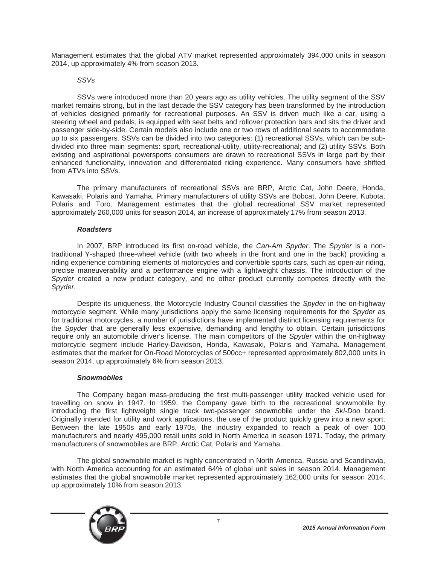Management estimates that the global ATV market represented approximately 394,000 units in season 2014, up approximately 4% from season 2013.

## *SSVs*

SSVs were introduced more than 20 years ago as utility vehicles. The utility segment of the SSV market remains strong, but in the last decade the SSV category has been transformed by the introduction of vehicles designed primarily for recreational purposes. An SSV is driven much like a car, using a steering wheel and pedals, is equipped with seat belts and rollover protection bars and sits the driver and passenger side-by-side. Certain models also include one or two rows of additional seats to accommodate up to six passengers. SSVs can be divided into two categories: (1) recreational SSVs, which can be subdivided into three main segments: sport, recreational-utility, utility-recreational; and (2) utility SSVs. Both existing and aspirational powersports consumers are drawn to recreational SSVs in large part by their enhanced functionality, innovation and differentiated riding experience. Many consumers have shifted from ATVs into SSVs.

The primary manufacturers of recreational SSVs are BRP, Arctic Cat, John Deere, Honda, Kawasaki, Polaris and Yamaha. Primary manufacturers of utility SSVs are Bobcat, John Deere, Kubota, Polaris and Toro. Management estimates that the global recreational SSV market represented approximately 260,000 units for season 2014, an increase of approximately 17% from season 2013.

## *Roadsters*

In 2007, BRP introduced its first on-road vehicle, the *Can-Am Spyder*. The *Spyder* is a nontraditional Y-shaped three-wheel vehicle (with two wheels in the front and one in the back) providing a riding experience combining elements of motorcycles and convertible sports cars, such as open-air riding, precise maneuverability and a performance engine with a lightweight chassis. The introduction of the *Spyder* created a new product category, and no other product currently competes directly with the *Spyder*.

Despite its uniqueness, the Motorcycle Industry Council classifies the *Spyder* in the on-highway motorcycle segment. While many jurisdictions apply the same licensing requirements for the *Spyder* as for traditional motorcycles, a number of jurisdictions have implemented distinct licensing requirements for the *Spyder* that are generally less expensive, demanding and lengthy to obtain. Certain jurisdictions require only an automobile driver's license. The main competitors of the *Spyder* within the on-highway motorcycle segment include Harley-Davidson, Honda, Kawasaki, Polaris and Yamaha. Management estimates that the market for On-Road Motorcycles of 500cc+ represented approximately 802,000 units in season 2014, up approximately 6% from season 2013.

#### *Snowmobiles*

The Company began mass-producing the first multi-passenger utility tracked vehicle used for travelling on snow in 1947. In 1959, the Company gave birth to the recreational snowmobile by introducing the first lightweight single track two-passenger snowmobile under the *Ski-Doo* brand. Originally intended for utility and work applications, the use of the product quickly grew into a new sport. Between the late 1950s and early 1970s, the industry expanded to reach a peak of over 100 manufacturers and nearly 495,000 retail units sold in North America in season 1971. Today, the primary manufacturers of snowmobiles are BRP, Arctic Cat, Polaris and Yamaha.

The global snowmobile market is highly concentrated in North America, Russia and Scandinavia, with North America accounting for an estimated 64% of global unit sales in season 2014. Management estimates that the global snowmobile market represented approximately 162,000 units for season 2014, up approximately 10% from season 2013.

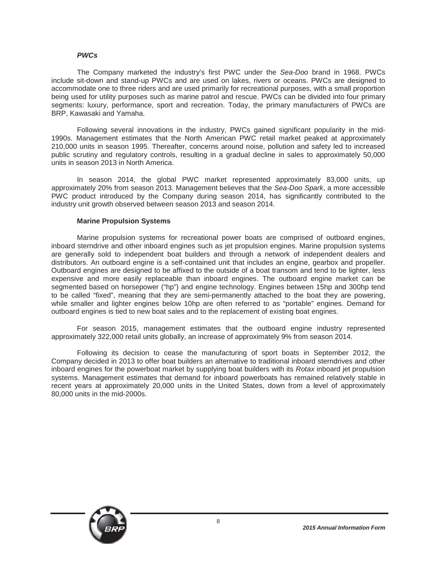#### *PWCs*

The Company marketed the industry's first PWC under the *Sea-Doo* brand in 1968. PWCs include sit-down and stand-up PWCs and are used on lakes, rivers or oceans. PWCs are designed to accommodate one to three riders and are used primarily for recreational purposes, with a small proportion being used for utility purposes such as marine patrol and rescue. PWCs can be divided into four primary segments: luxury, performance, sport and recreation. Today, the primary manufacturers of PWCs are BRP, Kawasaki and Yamaha.

Following several innovations in the industry, PWCs gained significant popularity in the mid-1990s. Management estimates that the North American PWC retail market peaked at approximately 210,000 units in season 1995. Thereafter, concerns around noise, pollution and safety led to increased public scrutiny and regulatory controls, resulting in a gradual decline in sales to approximately 50,000 units in season 2013 in North America.

In season 2014, the global PWC market represented approximately 83,000 units, up approximately 20% from season 2013. Management believes that the *Sea-Doo Spark*, a more accessible PWC product introduced by the Company during season 2014, has significantly contributed to the industry unit growth observed between season 2013 and season 2014.

#### **Marine Propulsion Systems**

Marine propulsion systems for recreational power boats are comprised of outboard engines, inboard sterndrive and other inboard engines such as jet propulsion engines. Marine propulsion systems are generally sold to independent boat builders and through a network of independent dealers and distributors. An outboard engine is a self-contained unit that includes an engine, gearbox and propeller. Outboard engines are designed to be affixed to the outside of a boat transom and tend to be lighter, less expensive and more easily replaceable than inboard engines. The outboard engine market can be segmented based on horsepower ("hp") and engine technology. Engines between 15hp and 300hp tend to be called "fixed", meaning that they are semi-permanently attached to the boat they are powering, while smaller and lighter engines below 10hp are often referred to as "portable" engines. Demand for outboard engines is tied to new boat sales and to the replacement of existing boat engines.

For season 2015, management estimates that the outboard engine industry represented approximately 322,000 retail units globally, an increase of approximately 9% from season 2014.

Following its decision to cease the manufacturing of sport boats in September 2012, the Company decided in 2013 to offer boat builders an alternative to traditional inboard sterndrives and other inboard engines for the powerboat market by supplying boat builders with its *Rotax* inboard jet propulsion systems. Management estimates that demand for inboard powerboats has remained relatively stable in recent years at approximately 20,000 units in the United States, down from a level of approximately 80,000 units in the mid-2000s.

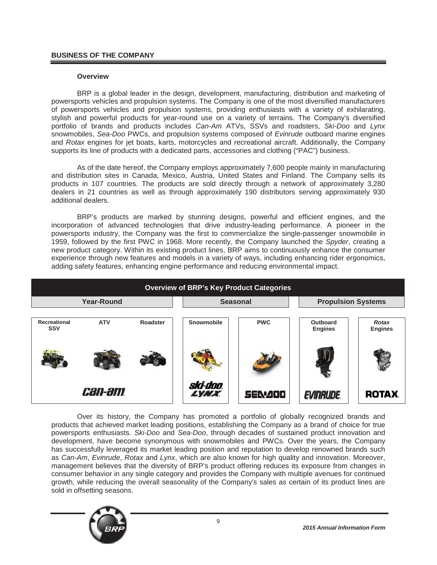## **BUSINESS OF THE COMPANY**

#### **Overview**

BRP is a global leader in the design, development, manufacturing, distribution and marketing of powersports vehicles and propulsion systems. The Company is one of the most diversified manufacturers of powersports vehicles and propulsion systems, providing enthusiasts with a variety of exhilarating, stylish and powerful products for year-round use on a variety of terrains. The Company's diversified portfolio of brands and products includes *Can-Am* ATVs, SSVs and roadsters, *Ski-Doo* and *Lynx* snowmobiles, *Sea-Doo* PWCs, and propulsion systems composed of *Evinrude* outboard marine engines and *Rotax* engines for jet boats, karts, motorcycles and recreational aircraft. Additionally, the Company supports its line of products with a dedicated parts, accessories and clothing ("PAC") business.

As of the date hereof, the Company employs approximately 7,600 people mainly in manufacturing and distribution sites in Canada, Mexico, Austria, United States and Finland. The Company sells its products in 107 countries. The products are sold directly through a network of approximately 3,280 dealers in 21 countries as well as through approximately 190 distributors serving approximately 930 additional dealers.

BRP's products are marked by stunning designs, powerful and efficient engines, and the incorporation of advanced technologies that drive industry-leading performance. A pioneer in the powersports industry, the Company was the first to commercialize the single-passenger snowmobile in 1959, followed by the first PWC in 1968. More recently, the Company launched the *Spyder*, creating a new product category. Within its existing product lines, BRP aims to continuously enhance the consumer experience through new features and models in a variety of ways, including enhancing rider ergonomics, adding safety features, enhancing engine performance and reducing environmental impact.

| <b>Overview of BRP's Key Product Categories</b> |               |          |                                |                           |                            |                         |  |  |  |  |
|-------------------------------------------------|---------------|----------|--------------------------------|---------------------------|----------------------------|-------------------------|--|--|--|--|
| <b>Year-Round</b>                               |               |          | <b>Seasonal</b>                | <b>Propulsion Systems</b> |                            |                         |  |  |  |  |
| Recreational<br><b>SSV</b>                      | <b>ATV</b>    | Roadster | Snowmobile                     | <b>PWC</b>                | Outboard<br><b>Engines</b> | Rotax<br><b>Engines</b> |  |  |  |  |
|                                                 |               |          |                                |                           |                            |                         |  |  |  |  |
|                                                 | <i>can-am</i> |          | ski-doo.<br><i><b>LYNX</b></i> | <b>SEN400</b>             | <b>EVINRUDE</b>            | <b>ROTAX</b>            |  |  |  |  |

Over its history, the Company has promoted a portfolio of globally recognized brands and products that achieved market leading positions, establishing the Company as a brand of choice for true powersports enthusiasts. *Ski-Doo* and *Sea-Doo*, through decades of sustained product innovation and development, have become synonymous with snowmobiles and PWCs. Over the years, the Company has successfully leveraged its market leading position and reputation to develop renowned brands such as *Can-Am*, *Evinrude*, *Rotax* and *Lynx*, which are also known for high quality and innovation. Moreover, management believes that the diversity of BRP's product offering reduces its exposure from changes in consumer behavior in any single category and provides the Company with multiple avenues for continued growth, while reducing the overall seasonality of the Company's sales as certain of its product lines are sold in offsetting seasons.

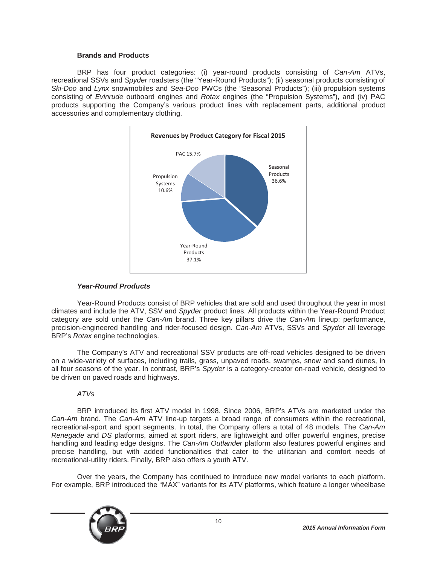## **Brands and Products**

BRP has four product categories: (i) year-round products consisting of *Can-Am* ATVs, recreational SSVs and *Spyder* roadsters (the "Year-Round Products"); (ii) seasonal products consisting of *Ski-Doo* and *Lynx* snowmobiles and *Sea-Doo* PWCs (the "Seasonal Products"); (iii) propulsion systems consisting of *Evinrude* outboard engines and *Rotax* engines (the "Propulsion Systems"), and (iv) PAC products supporting the Company's various product lines with replacement parts, additional product accessories and complementary clothing.



## *Year-Round Products*

Year-Round Products consist of BRP vehicles that are sold and used throughout the year in most climates and include the ATV, SSV and *Spyder* product lines. All products within the Year-Round Product category are sold under the *Can-Am* brand. Three key pillars drive the *Can-Am* lineup: performance, precision-engineered handling and rider-focused design. *Can-Am* ATVs, SSVs and *Spyder* all leverage BRP's *Rotax* engine technologies.

The Company's ATV and recreational SSV products are off-road vehicles designed to be driven on a wide-variety of surfaces, including trails, grass, unpaved roads, swamps, snow and sand dunes, in all four seasons of the year. In contrast, BRP's *Spyder* is a category-creator on-road vehicle, designed to be driven on paved roads and highways.

## *ATVs*

BRP introduced its first ATV model in 1998. Since 2006, BRP's ATVs are marketed under the *Can-Am* brand. The *Can-Am* ATV line-up targets a broad range of consumers within the recreational, recreational-sport and sport segments. In total, the Company offers a total of 48 models. The *Can-Am Renegade* and *DS* platforms, aimed at sport riders, are lightweight and offer powerful engines, precise handling and leading edge designs. The *Can-Am Outlander* platform also features powerful engines and precise handling, but with added functionalities that cater to the utilitarian and comfort needs of recreational-utility riders. Finally, BRP also offers a youth ATV.

Over the years, the Company has continued to introduce new model variants to each platform. For example, BRP introduced the "MAX" variants for its ATV platforms, which feature a longer wheelbase

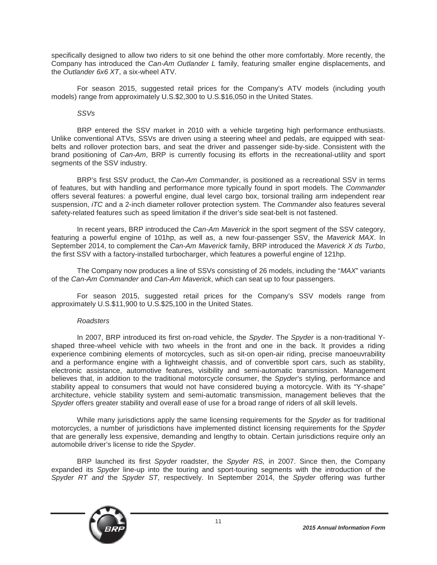specifically designed to allow two riders to sit one behind the other more comfortably. More recently, the Company has introduced the *Can-Am Outlander L* family, featuring smaller engine displacements, and the *Outlander 6x6 XT*, a six-wheel ATV.

For season 2015, suggested retail prices for the Company's ATV models (including youth models) range from approximately U.S.\$2,300 to U.S.\$16,050 in the United States.

## *SSVs*

BRP entered the SSV market in 2010 with a vehicle targeting high performance enthusiasts. Unlike conventional ATVs, SSVs are driven using a steering wheel and pedals, are equipped with seatbelts and rollover protection bars, and seat the driver and passenger side-by-side. Consistent with the brand positioning of *Can-Am*, BRP is currently focusing its efforts in the recreational-utility and sport segments of the SSV industry.

BRP's first SSV product, the *Can-Am Commander*, is positioned as a recreational SSV in terms of features, but with handling and performance more typically found in sport models. The *Commander* offers several features: a powerful engine, dual level cargo box, torsional trailing arm independent rear suspension, *iTC* and a 2-inch diameter rollover protection system. The *Commander* also features several safety-related features such as speed limitation if the driver's side seat-belt is not fastened.

In recent years, BRP introduced the *Can-Am Maverick* in the sport segment of the SSV category, featuring a powerful engine of 101hp, as well as, a new four-passenger SSV, the *Maverick MAX*. In September 2014, to complement the *Can-Am Maverick* family, BRP introduced the *Maverick X ds Turbo*, the first SSV with a factory-installed turbocharger, which features a powerful engine of 121hp.

The Company now produces a line of SSVs consisting of 26 models, including the "*MAX*" variants of the *Can-Am Commander* and *Can-Am Maverick*, which can seat up to four passengers.

For season 2015, suggested retail prices for the Company's SSV models range from approximately U.S.\$11,900 to U.S.\$25,100 in the United States.

## *Roadsters*

In 2007, BRP introduced its first on-road vehicle, the *Spyder*. The *Spyder* is a non-traditional Yshaped three-wheel vehicle with two wheels in the front and one in the back. It provides a riding experience combining elements of motorcycles, such as sit-on open-air riding, precise manoeuvrability and a performance engine with a lightweight chassis, and of convertible sport cars, such as stability, electronic assistance, automotive features, visibility and semi-automatic transmission. Management believes that, in addition to the traditional motorcycle consumer, the *Spyder*'s styling, performance and stability appeal to consumers that would not have considered buying a motorcycle. With its "Y-shape" architecture, vehicle stability system and semi-automatic transmission, management believes that the *Spyder* offers greater stability and overall ease of use for a broad range of riders of all skill levels.

While many jurisdictions apply the same licensing requirements for the *Spyder* as for traditional motorcycles, a number of jurisdictions have implemented distinct licensing requirements for the *Spyder* that are generally less expensive, demanding and lengthy to obtain. Certain jurisdictions require only an automobile driver's license to ride the *Spyder*.

BRP launched its first *Spyder* roadster, the *Spyder RS,* in 2007. Since then, the Company expanded its *Spyder* line-up into the touring and sport-touring segments with the introduction of the *Spyder RT and* the *Spyder ST*, respectively. In September 2014, the *Spyder* offering was further

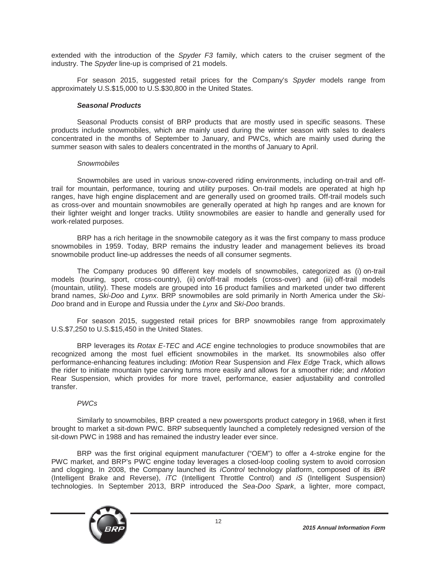extended with the introduction of the *Spyder F3* family, which caters to the cruiser segment of the industry. The *Spyder* line-up is comprised of 21 models.

For season 2015, suggested retail prices for the Company's *Spyder* models range from approximately U.S.\$15,000 to U.S.\$30,800 in the United States.

## *Seasonal Products*

Seasonal Products consist of BRP products that are mostly used in specific seasons. These products include snowmobiles, which are mainly used during the winter season with sales to dealers concentrated in the months of September to January, and PWCs, which are mainly used during the summer season with sales to dealers concentrated in the months of January to April.

## *Snowmobiles*

Snowmobiles are used in various snow-covered riding environments, including on-trail and offtrail for mountain, performance, touring and utility purposes. On-trail models are operated at high hp ranges, have high engine displacement and are generally used on groomed trails. Off-trail models such as cross-over and mountain snowmobiles are generally operated at high hp ranges and are known for their lighter weight and longer tracks. Utility snowmobiles are easier to handle and generally used for work-related purposes.

BRP has a rich heritage in the snowmobile category as it was the first company to mass produce snowmobiles in 1959. Today, BRP remains the industry leader and management believes its broad snowmobile product line-up addresses the needs of all consumer segments.

The Company produces 90 different key models of snowmobiles, categorized as (i) on-trail models (touring, sport, cross-country), (ii) on/off-trail models (cross-over) and (iii) off-trail models (mountain, utility). These models are grouped into 16 product families and marketed under two different brand names, *Ski-Doo* and *Lynx*. BRP snowmobiles are sold primarily in North America under the *Ski-Doo* brand and in Europe and Russia under the *Lynx* and *Ski-Doo* brands.

For season 2015, suggested retail prices for BRP snowmobiles range from approximately U.S.\$7,250 to U.S.\$15,450 in the United States.

BRP leverages its *Rotax E-TEC* and *ACE* engine technologies to produce snowmobiles that are recognized among the most fuel efficient snowmobiles in the market. Its snowmobiles also offer performance-enhancing features including: *tMotion* Rear Suspension and *Flex Edge* Track, which allows the rider to initiate mountain type carving turns more easily and allows for a smoother ride; and *rMotion*  Rear Suspension, which provides for more travel, performance, easier adjustability and controlled transfer.

## *PWCs*

Similarly to snowmobiles, BRP created a new powersports product category in 1968, when it first brought to market a sit-down PWC. BRP subsequently launched a completely redesigned version of the sit-down PWC in 1988 and has remained the industry leader ever since.

BRP was the first original equipment manufacturer ("OEM") to offer a 4-stroke engine for the PWC market, and BRP's PWC engine today leverages a closed-loop cooling system to avoid corrosion and clogging. In 2008, the Company launched its *iControl* technology platform, composed of its *iBR* (Intelligent Brake and Reverse), *iTC* (Intelligent Throttle Control) and *iS* (Intelligent Suspension) technologies. In September 2013, BRP introduced the *Sea-Doo Spark*, a lighter, more compact,

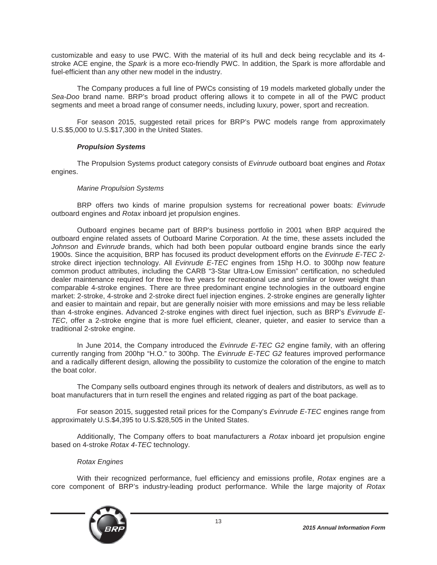customizable and easy to use PWC. With the material of its hull and deck being recyclable and its 4 stroke ACE engine, the *Spark* is a more eco-friendly PWC. In addition, the Spark is more affordable and fuel-efficient than any other new model in the industry.

The Company produces a full line of PWCs consisting of 19 models marketed globally under the *Sea-Doo* brand name. BRP's broad product offering allows it to compete in all of the PWC product segments and meet a broad range of consumer needs, including luxury, power, sport and recreation.

For season 2015, suggested retail prices for BRP's PWC models range from approximately U.S.\$5,000 to U.S.\$17,300 in the United States.

## *Propulsion Systems*

The Propulsion Systems product category consists of *Evinrude* outboard boat engines and *Rotax* engines.

## *Marine Propulsion Systems*

BRP offers two kinds of marine propulsion systems for recreational power boats: *Evinrude* outboard engines and *Rotax* inboard jet propulsion engines.

Outboard engines became part of BRP's business portfolio in 2001 when BRP acquired the outboard engine related assets of Outboard Marine Corporation. At the time, these assets included the *Johnson* and *Evinrude* brands, which had both been popular outboard engine brands since the early 1900s. Since the acquisition, BRP has focused its product development efforts on the *Evinrude E-TEC* 2 stroke direct injection technology. All *Evinrude E-TEC* engines from 15hp H.O. to 300hp now feature common product attributes, including the CARB "3-Star Ultra-Low Emission" certification, no scheduled dealer maintenance required for three to five years for recreational use and similar or lower weight than comparable 4-stroke engines. There are three predominant engine technologies in the outboard engine market: 2-stroke, 4-stroke and 2-stroke direct fuel injection engines. 2-stroke engines are generally lighter and easier to maintain and repair, but are generally noisier with more emissions and may be less reliable than 4-stroke engines. Advanced 2-stroke engines with direct fuel injection, such as BRP's *Evinrude E-TEC*, offer a 2-stroke engine that is more fuel efficient, cleaner, quieter, and easier to service than a traditional 2-stroke engine.

In June 2014, the Company introduced the *Evinrude E-TEC G2* engine family, with an offering currently ranging from 200hp "H.O." to 300hp. The *Evinrude E-TEC G2* features improved performance and a radically different design, allowing the possibility to customize the coloration of the engine to match the boat color.

The Company sells outboard engines through its network of dealers and distributors, as well as to boat manufacturers that in turn resell the engines and related rigging as part of the boat package.

For season 2015, suggested retail prices for the Company's *Evinrude E-TEC* engines range from approximately U.S.\$4,395 to U.S.\$28,505 in the United States.

Additionally, The Company offers to boat manufacturers a *Rotax* inboard jet propulsion engine based on 4-stroke *Rotax 4-TEC* technology.

#### *Rotax Engines*

With their recognized performance, fuel efficiency and emissions profile, *Rotax* engines are a core component of BRP's industry-leading product performance. While the large majority of *Rotax*

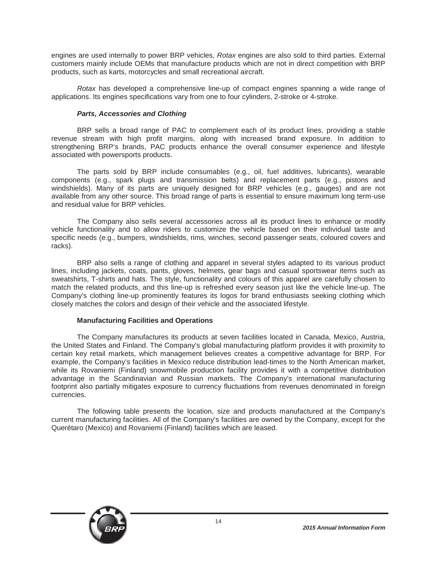engines are used internally to power BRP vehicles, *Rotax* engines are also sold to third parties. External customers mainly include OEMs that manufacture products which are not in direct competition with BRP products, such as karts, motorcycles and small recreational aircraft.

*Rotax* has developed a comprehensive line-up of compact engines spanning a wide range of applications. Its engines specifications vary from one to four cylinders, 2-stroke or 4-stroke.

## *Parts, Accessories and Clothing*

BRP sells a broad range of PAC to complement each of its product lines, providing a stable revenue stream with high profit margins, along with increased brand exposure. In addition to strengthening BRP's brands, PAC products enhance the overall consumer experience and lifestyle associated with powersports products.

The parts sold by BRP include consumables (e.g., oil, fuel additives, lubricants), wearable components (e.g., spark plugs and transmission belts) and replacement parts (e.g., pistons and windshields). Many of its parts are uniquely designed for BRP vehicles (e.g., gauges) and are not available from any other source. This broad range of parts is essential to ensure maximum long term-use and residual value for BRP vehicles.

The Company also sells several accessories across all its product lines to enhance or modify vehicle functionality and to allow riders to customize the vehicle based on their individual taste and specific needs (e.g., bumpers, windshields, rims, winches, second passenger seats, coloured covers and racks).

BRP also sells a range of clothing and apparel in several styles adapted to its various product lines, including jackets, coats, pants, gloves, helmets, gear bags and casual sportswear items such as sweatshirts, T-shirts and hats. The style, functionality and colours of this apparel are carefully chosen to match the related products, and this line-up is refreshed every season just like the vehicle line-up. The Company's clothing line-up prominently features its logos for brand enthusiasts seeking clothing which closely matches the colors and design of their vehicle and the associated lifestyle.

## **Manufacturing Facilities and Operations**

The Company manufactures its products at seven facilities located in Canada, Mexico, Austria, the United States and Finland. The Company's global manufacturing platform provides it with proximity to certain key retail markets, which management believes creates a competitive advantage for BRP. For example, the Company's facilities in Mexico reduce distribution lead-times to the North American market, while its Rovaniemi (Finland) snowmobile production facility provides it with a competitive distribution advantage in the Scandinavian and Russian markets. The Company's international manufacturing footprint also partially mitigates exposure to currency fluctuations from revenues denominated in foreign currencies.

The following table presents the location, size and products manufactured at the Company's current manufacturing facilities. All of the Company's facilities are owned by the Company, except for the Querétaro (Mexico) and Rovaniemi (Finland) facilities which are leased.

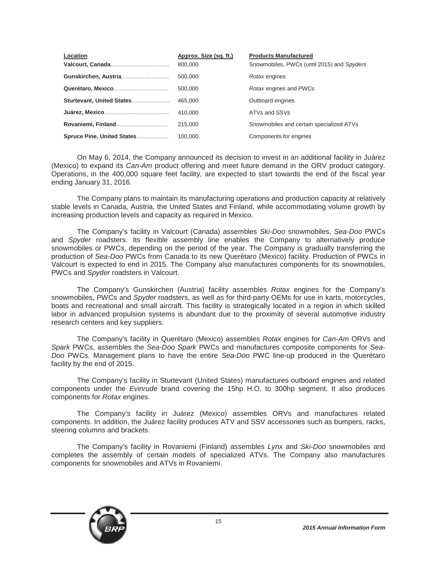| Location                   | Approx. Size (sq. ft.) | <b>Products Manufactured</b>               |
|----------------------------|------------------------|--------------------------------------------|
| Valcourt, Canada           | 800,000                | Snowmobiles, PWCs (until 2015) and Spyders |
| Gunskirchen, Austria       | 500,000                | Rotax engines                              |
| Querétaro, Mexico          | 500,000                | Rotax engines and PWCs                     |
| Sturtevant, United States  | 465,000                | Outboard engines                           |
|                            | 410.000                | ATVs and SSVs                              |
| Rovaniemi, Finland         | 215,000                | Snowmobiles and certain specialized ATVs   |
| Spruce Pine, United States | 100,000                | Components for engines                     |

On May 6, 2014, the Company announced its decision to invest in an additional facility in Juárez (Mexico) to expand its *Can-Am* product offering and meet future demand in the ORV product category. Operations, in the 400,000 square feet facility, are expected to start towards the end of the fiscal year ending January 31, 2016.

The Company plans to maintain its manufacturing operations and production capacity at relatively stable levels in Canada, Austria, the United States and Finland, while accommodating volume growth by increasing production levels and capacity as required in Mexico.

The Company's facility in Valcourt (Canada) assembles *Ski-Doo* snowmobiles, *Sea-Doo* PWCs and *Spyder* roadsters. Its flexible assembly line enables the Company to alternatively produce snowmobiles or PWCs, depending on the period of the year. The Company is gradually transferring the production of *Sea-Doo* PWCs from Canada to its new Querétaro (Mexico) facility. Production of PWCs in Valcourt is expected to end in 2015. The Company also manufactures components for its snowmobiles, PWCs and *Spyder* roadsters in Valcourt.

The Company's Gunskirchen (Austria) facility assembles *Rotax* engines for the Company's snowmobiles, PWCs and *Spyder* roadsters, as well as for third-party OEMs for use in karts, motorcycles, boats and recreational and small aircraft. This facility is strategically located in a region in which skilled labor in advanced propulsion systems is abundant due to the proximity of several automotive industry research centers and key suppliers.

The Company's facility in Querétaro (Mexico) assembles *Rotax* engines for *Can-Am* ORVs and *Spark* PWCs, assembles the *Sea-Doo Spark* PWCs and manufactures composite components for *Sea-Doo* PWCs. Management plans to have the entire *Sea-Doo* PWC line-up produced in the Querétaro facility by the end of 2015.

The Company's facility in Sturtevant (United States) manufactures outboard engines and related components under the *Evinrude* brand covering the 15hp H.O. to 300hp segment. It also produces components for *Rotax* engines.

The Company's facility in Juárez (Mexico) assembles ORVs and manufactures related components. In addition, the Juárez facility produces ATV and SSV accessories such as bumpers, racks, steering columns and brackets.

The Company's facility in Rovaniemi (Finland) assembles *Lynx* and *Ski-Doo* snowmobiles and completes the assembly of certain models of specialized ATVs. The Company also manufactures components for snowmobiles and ATVs in Rovaniemi.

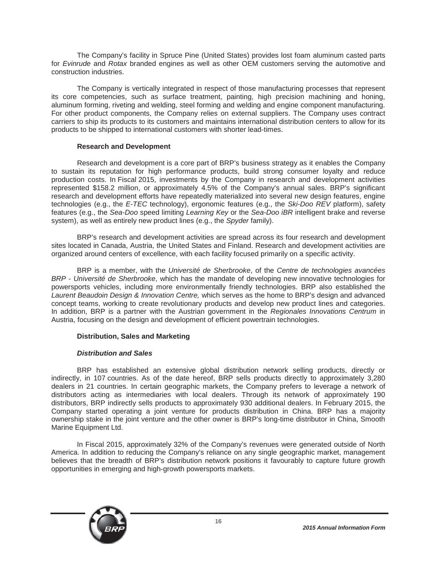The Company's facility in Spruce Pine (United States) provides lost foam aluminum casted parts for *Evinrude* and *Rotax* branded engines as well as other OEM customers serving the automotive and construction industries.

The Company is vertically integrated in respect of those manufacturing processes that represent its core competencies, such as surface treatment, painting, high precision machining and honing, aluminum forming, riveting and welding, steel forming and welding and engine component manufacturing. For other product components, the Company relies on external suppliers. The Company uses contract carriers to ship its products to its customers and maintains international distribution centers to allow for its products to be shipped to international customers with shorter lead-times.

## **Research and Development**

Research and development is a core part of BRP's business strategy as it enables the Company to sustain its reputation for high performance products, build strong consumer loyalty and reduce production costs. In Fiscal 2015, investments by the Company in research and development activities represented \$158.2 million, or approximately 4.5% of the Company's annual sales. BRP's significant research and development efforts have repeatedly materialized into several new design features, engine technologies (e.g., the *E-TEC* technology), ergonomic features (e.g., the *Ski-Doo REV* platform), safety features (e.g., the *Sea-Doo* speed limiting *Learning Key* or the *Sea-Doo iBR* intelligent brake and reverse system), as well as entirely new product lines (e.g., the *Spyder* family).

BRP's research and development activities are spread across its four research and development sites located in Canada, Austria, the United States and Finland. Research and development activities are organized around centers of excellence, with each facility focused primarily on a specific activity.

BRP is a member, with the *Université de Sherbrooke*, of the *Centre de technologies avancées BRP - Université de Sherbrooke*, which has the mandate of developing new innovative technologies for powersports vehicles, including more environmentally friendly technologies. BRP also established the *Laurent Beaudoin Design & Innovation Centre,* which serves as the home to BRP's design and advanced concept teams, working to create revolutionary products and develop new product lines and categories. In addition, BRP is a partner with the Austrian government in the *Regionales Innovations Centrum* in Austria, focusing on the design and development of efficient powertrain technologies.

## **Distribution, Sales and Marketing**

## *Distribution and Sales*

BRP has established an extensive global distribution network selling products, directly or indirectly, in 107 countries. As of the date hereof, BRP sells products directly to approximately 3,280 dealers in 21 countries. In certain geographic markets, the Company prefers to leverage a network of distributors acting as intermediaries with local dealers. Through its network of approximately 190 distributors, BRP indirectly sells products to approximately 930 additional dealers. In February 2015, the Company started operating a joint venture for products distribution in China. BRP has a majority ownership stake in the joint venture and the other owner is BRP's long-time distributor in China, Smooth Marine Equipment Ltd.

In Fiscal 2015, approximately 32% of the Company's revenues were generated outside of North America. In addition to reducing the Company's reliance on any single geographic market, management believes that the breadth of BRP's distribution network positions it favourably to capture future growth opportunities in emerging and high-growth powersports markets.

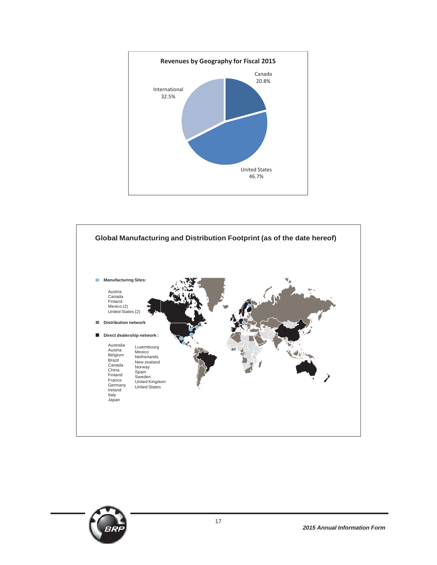



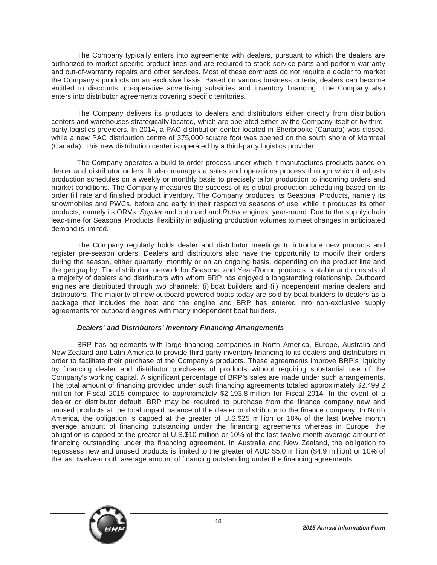The Company typically enters into agreements with dealers, pursuant to which the dealers are authorized to market specific product lines and are required to stock service parts and perform warranty and out-of-warranty repairs and other services. Most of these contracts do not require a dealer to market the Company's products on an exclusive basis. Based on various business criteria, dealers can become entitled to discounts, co-operative advertising subsidies and inventory financing. The Company also enters into distributor agreements covering specific territories.

The Company delivers its products to dealers and distributors either directly from distribution centers and warehouses strategically located, which are operated either by the Company itself or by thirdparty logistics providers. In 2014, a PAC distribution center located in Sherbrooke (Canada) was closed, while a new PAC distribution centre of 375,000 square foot was opened on the south shore of Montreal (Canada). This new distribution center is operated by a third-party logistics provider.

The Company operates a build-to-order process under which it manufactures products based on dealer and distributor orders. It also manages a sales and operations process through which it adjusts production schedules on a weekly or monthly basis to precisely tailor production to incoming orders and market conditions. The Company measures the success of its global production scheduling based on its order fill rate and finished product inventory. The Company produces its Seasonal Products, namely its snowmobiles and PWCs, before and early in their respective seasons of use, while it produces its other products, namely its ORVs, *Spyder* and outboard and *Rotax* engines, year-round. Due to the supply chain lead-time for Seasonal Products, flexibility in adjusting production volumes to meet changes in anticipated demand is limited.

The Company regularly holds dealer and distributor meetings to introduce new products and register pre-season orders. Dealers and distributors also have the opportunity to modify their orders during the season, either quarterly, monthly or on an ongoing basis, depending on the product line and the geography. The distribution network for Seasonal and Year-Round products is stable and consists of a majority of dealers and distributors with whom BRP has enjoyed a longstanding relationship. Outboard engines are distributed through two channels: (i) boat builders and (ii) independent marine dealers and distributors. The majority of new outboard-powered boats today are sold by boat builders to dealers as a package that includes the boat and the engine and BRP has entered into non-exclusive supply agreements for outboard engines with many independent boat builders.

## *Dealers' and Distributors' Inventory Financing Arrangements*

BRP has agreements with large financing companies in North America, Europe, Australia and New Zealand and Latin America to provide third party inventory financing to its dealers and distributors in order to facilitate their purchase of the Company's products. These agreements improve BRP's liquidity by financing dealer and distributor purchases of products without requiring substantial use of the Company's working capital. A significant percentage of BRP's sales are made under such arrangements. The total amount of financing provided under such financing agreements totaled approximately \$2,499.2 million for Fiscal 2015 compared to approximately \$2,193.8 million for Fiscal 2014. In the event of a dealer or distributor default, BRP may be required to purchase from the finance company new and unused products at the total unpaid balance of the dealer or distributor to the finance company. In North America, the obligation is capped at the greater of U.S.\$25 million or 10% of the last twelve month average amount of financing outstanding under the financing agreements whereas in Europe, the obligation is capped at the greater of U.S.\$10 million or 10% of the last twelve month average amount of financing outstanding under the financing agreement. In Australia and New Zealand, the obligation to repossess new and unused products is limited to the greater of AUD \$5.0 million (\$4.9 million) or 10% of the last twelve-month average amount of financing outstanding under the financing agreements.

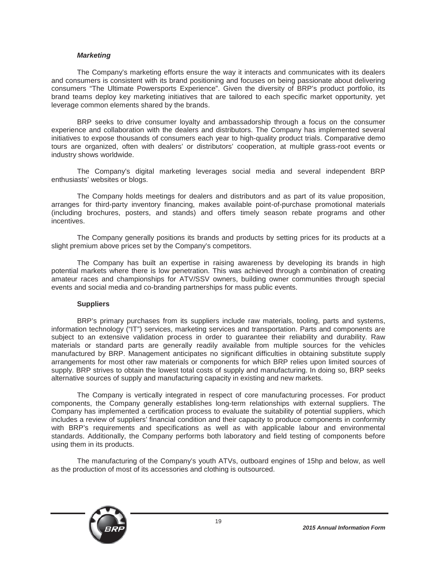#### *Marketing*

The Company's marketing efforts ensure the way it interacts and communicates with its dealers and consumers is consistent with its brand positioning and focuses on being passionate about delivering consumers "The Ultimate Powersports Experience". Given the diversity of BRP's product portfolio, its brand teams deploy key marketing initiatives that are tailored to each specific market opportunity, yet leverage common elements shared by the brands.

BRP seeks to drive consumer loyalty and ambassadorship through a focus on the consumer experience and collaboration with the dealers and distributors. The Company has implemented several initiatives to expose thousands of consumers each year to high-quality product trials. Comparative demo tours are organized, often with dealers' or distributors' cooperation, at multiple grass-root events or industry shows worldwide.

The Company's digital marketing leverages social media and several independent BRP enthusiasts' websites or blogs.

The Company holds meetings for dealers and distributors and as part of its value proposition, arranges for third-party inventory financing, makes available point-of-purchase promotional materials (including brochures, posters, and stands) and offers timely season rebate programs and other incentives.

The Company generally positions its brands and products by setting prices for its products at a slight premium above prices set by the Company's competitors.

The Company has built an expertise in raising awareness by developing its brands in high potential markets where there is low penetration. This was achieved through a combination of creating amateur races and championships for ATV/SSV owners, building owner communities through special events and social media and co-branding partnerships for mass public events.

#### **Suppliers**

BRP's primary purchases from its suppliers include raw materials, tooling, parts and systems, information technology ("IT") services, marketing services and transportation. Parts and components are subject to an extensive validation process in order to guarantee their reliability and durability. Raw materials or standard parts are generally readily available from multiple sources for the vehicles manufactured by BRP. Management anticipates no significant difficulties in obtaining substitute supply arrangements for most other raw materials or components for which BRP relies upon limited sources of supply. BRP strives to obtain the lowest total costs of supply and manufacturing. In doing so, BRP seeks alternative sources of supply and manufacturing capacity in existing and new markets.

The Company is vertically integrated in respect of core manufacturing processes. For product components, the Company generally establishes long-term relationships with external suppliers. The Company has implemented a certification process to evaluate the suitability of potential suppliers, which includes a review of suppliers' financial condition and their capacity to produce components in conformity with BRP's requirements and specifications as well as with applicable labour and environmental standards. Additionally, the Company performs both laboratory and field testing of components before using them in its products.

The manufacturing of the Company's youth ATVs, outboard engines of 15hp and below, as well as the production of most of its accessories and clothing is outsourced.

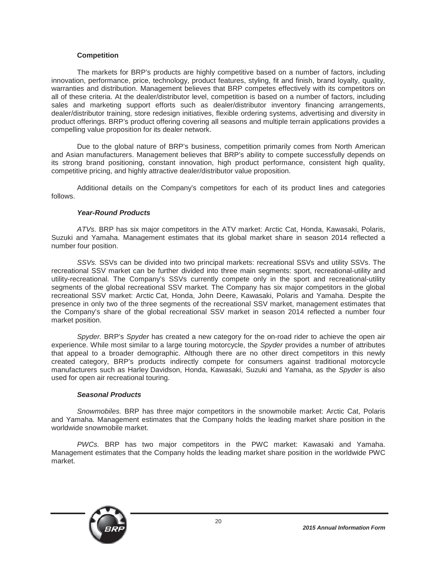## **Competition**

The markets for BRP's products are highly competitive based on a number of factors, including innovation, performance, price, technology, product features, styling, fit and finish, brand loyalty, quality, warranties and distribution. Management believes that BRP competes effectively with its competitors on all of these criteria. At the dealer/distributor level, competition is based on a number of factors, including sales and marketing support efforts such as dealer/distributor inventory financing arrangements, dealer/distributor training, store redesign initiatives, flexible ordering systems, advertising and diversity in product offerings. BRP's product offering covering all seasons and multiple terrain applications provides a compelling value proposition for its dealer network.

Due to the global nature of BRP's business, competition primarily comes from North American and Asian manufacturers. Management believes that BRP's ability to compete successfully depends on its strong brand positioning, constant innovation, high product performance, consistent high quality, competitive pricing, and highly attractive dealer/distributor value proposition.

Additional details on the Company's competitors for each of its product lines and categories follows.

#### *Year-Round Products*

*ATVs.* BRP has six major competitors in the ATV market: Arctic Cat, Honda, Kawasaki, Polaris, Suzuki and Yamaha. Management estimates that its global market share in season 2014 reflected a number four position.

*SSVs.* SSVs can be divided into two principal markets: recreational SSVs and utility SSVs. The recreational SSV market can be further divided into three main segments: sport, recreational-utility and utility-recreational. The Company's SSVs currently compete only in the sport and recreational-utility segments of the global recreational SSV market. The Company has six major competitors in the global recreational SSV market: Arctic Cat, Honda, John Deere, Kawasaki, Polaris and Yamaha. Despite the presence in only two of the three segments of the recreational SSV market, management estimates that the Company's share of the global recreational SSV market in season 2014 reflected a number four market position.

*Spyder.* BRP's *Spyder* has created a new category for the on-road rider to achieve the open air experience. While most similar to a large touring motorcycle, the *Spyder* provides a number of attributes that appeal to a broader demographic. Although there are no other direct competitors in this newly created category, BRP's products indirectly compete for consumers against traditional motorcycle manufacturers such as Harley Davidson, Honda, Kawasaki, Suzuki and Yamaha, as the *Spyder* is also used for open air recreational touring.

#### *Seasonal Products*

*Snowmobiles.* BRP has three major competitors in the snowmobile market: Arctic Cat, Polaris and Yamaha. Management estimates that the Company holds the leading market share position in the worldwide snowmobile market.

*PWCs.* BRP has two major competitors in the PWC market: Kawasaki and Yamaha. Management estimates that the Company holds the leading market share position in the worldwide PWC market.

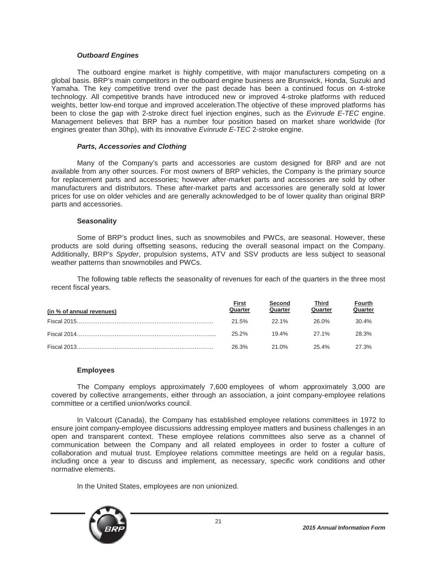## *Outboard Engines*

The outboard engine market is highly competitive, with major manufacturers competing on a global basis. BRP's main competitors in the outboard engine business are Brunswick, Honda, Suzuki and Yamaha. The key competitive trend over the past decade has been a continued focus on 4-stroke technology. All competitive brands have introduced new or improved 4-stroke platforms with reduced weights, better low-end torque and improved acceleration.The objective of these improved platforms has been to close the gap with 2-stroke direct fuel injection engines, such as the *Evinrude E-TEC* engine. Management believes that BRP has a number four position based on market share worldwide (for engines greater than 30hp), with its innovative *Evinrude E-TEC* 2-stroke engine.

## *Parts, Accessories and Clothing*

Many of the Company's parts and accessories are custom designed for BRP and are not available from any other sources. For most owners of BRP vehicles, the Company is the primary source for replacement parts and accessories; however after-market parts and accessories are sold by other manufacturers and distributors. These after-market parts and accessories are generally sold at lower prices for use on older vehicles and are generally acknowledged to be of lower quality than original BRP parts and accessories.

## **Seasonality**

Some of BRP's product lines, such as snowmobiles and PWCs, are seasonal. However, these products are sold during offsetting seasons, reducing the overall seasonal impact on the Company. Additionally, BRP's *Spyder*, propulsion systems, ATV and SSV products are less subject to seasonal weather patterns than snowmobiles and PWCs.

The following table reflects the seasonality of revenues for each of the quarters in the three most recent fiscal years.

| (in % of annual revenues) | <u>First</u><br>Quarter | Second<br>Quarter | Third<br>Quarter | <b>Fourth</b><br>Quarter |
|---------------------------|-------------------------|-------------------|------------------|--------------------------|
|                           | 21.5%                   | 22.1%             | 26.0%            | 30.4%                    |
|                           | 25.2%                   | 19.4%             | 27.1%            | 28.3%                    |
|                           | 26.3%                   | 21.0%             | 25.4%            | 27.3%                    |

## **Employees**

The Company employs approximately 7,600 employees of whom approximately 3,000 are covered by collective arrangements, either through an association, a joint company-employee relations committee or a certified union/works council.

In Valcourt (Canada), the Company has established employee relations committees in 1972 to ensure joint company-employee discussions addressing employee matters and business challenges in an open and transparent context. These employee relations committees also serve as a channel of communication between the Company and all related employees in order to foster a culture of collaboration and mutual trust. Employee relations committee meetings are held on a regular basis, including once a year to discuss and implement, as necessary, specific work conditions and other normative elements.

In the United States, employees are non unionized.

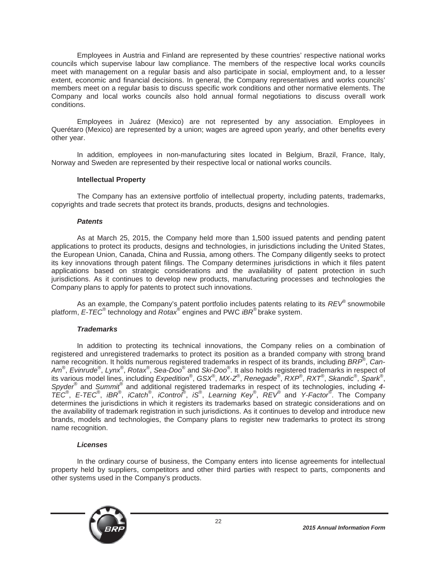Employees in Austria and Finland are represented by these countries' respective national works councils which supervise labour law compliance. The members of the respective local works councils meet with management on a regular basis and also participate in social, employment and, to a lesser extent, economic and financial decisions. In general, the Company representatives and works councils' members meet on a regular basis to discuss specific work conditions and other normative elements. The Company and local works councils also hold annual formal negotiations to discuss overall work conditions.

Employees in Juárez (Mexico) are not represented by any association. Employees in Querétaro (Mexico) are represented by a union; wages are agreed upon yearly, and other benefits every other year.

In addition, employees in non-manufacturing sites located in Belgium, Brazil, France, Italy, Norway and Sweden are represented by their respective local or national works councils.

## **Intellectual Property**

The Company has an extensive portfolio of intellectual property, including patents, trademarks, copyrights and trade secrets that protect its brands, products, designs and technologies.

## *Patents*

As at March 25, 2015, the Company held more than 1,500 issued patents and pending patent applications to protect its products, designs and technologies, in jurisdictions including the United States, the European Union, Canada, China and Russia, among others. The Company diligently seeks to protect its key innovations through patent filings. The Company determines jurisdictions in which it files patent applications based on strategic considerations and the availability of patent protection in such jurisdictions. As it continues to develop new products, manufacturing processes and technologies the Company plans to apply for patents to protect such innovations.

As an example, the Company's patent portfolio includes patents relating to its *REV*® snowmobile platform, *E-TEC*® technology and *Rotax*® engines and PWC *iBR*® brake system.

#### *Trademarks*

In addition to protecting its technical innovations, the Company relies on a combination of registered and unregistered trademarks to protect its position as a branded company with strong brand name recognition. It holds numerous registered trademarks in respect of its brands, including *BRP*® , *Can-Am*® , *Evinrude*® , *Lynx*® , *Rotax*® , *Sea-Doo*® and *Ski-Doo*® . It also holds registered trademarks in respect of its various model lines, including *Expedition*® , *GSX*® , *MX-Z*® , *Renegade*® , *RXP*® , *RXT*® , *Skandic*® , *Spark*® , *Spyder*® and *Summit*® and additional registered trademarks in respect of its technologies, including *4- TEC*® , *E-TEC*® , *iBR*® , *iCatch*® , *iControl*® , *iS*® , *Learning Key*® , *REV*® and *Y-Factor*® . The Company determines the jurisdictions in which it registers its trademarks based on strategic considerations and on the availability of trademark registration in such jurisdictions. As it continues to develop and introduce new brands, models and technologies, the Company plans to register new trademarks to protect its strong name recognition.

#### *Licenses*

In the ordinary course of business, the Company enters into license agreements for intellectual property held by suppliers, competitors and other third parties with respect to parts, components and other systems used in the Company's products.

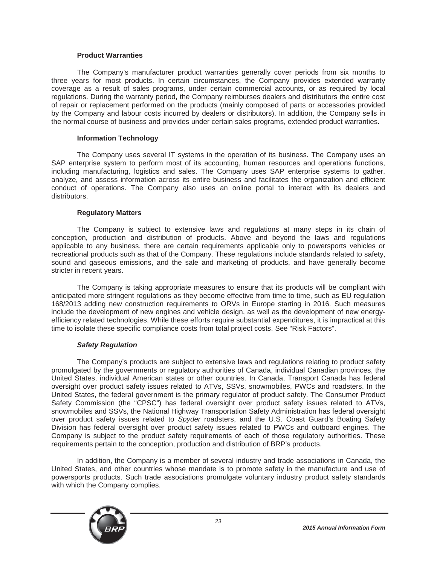## **Product Warranties**

The Company's manufacturer product warranties generally cover periods from six months to three years for most products. In certain circumstances, the Company provides extended warranty coverage as a result of sales programs, under certain commercial accounts, or as required by local regulations. During the warranty period, the Company reimburses dealers and distributors the entire cost of repair or replacement performed on the products (mainly composed of parts or accessories provided by the Company and labour costs incurred by dealers or distributors). In addition, the Company sells in the normal course of business and provides under certain sales programs, extended product warranties.

## **Information Technology**

The Company uses several IT systems in the operation of its business. The Company uses an SAP enterprise system to perform most of its accounting, human resources and operations functions, including manufacturing, logistics and sales. The Company uses SAP enterprise systems to gather, analyze, and assess information across its entire business and facilitates the organization and efficient conduct of operations. The Company also uses an online portal to interact with its dealers and distributors.

## **Regulatory Matters**

The Company is subject to extensive laws and regulations at many steps in its chain of conception, production and distribution of products. Above and beyond the laws and regulations applicable to any business, there are certain requirements applicable only to powersports vehicles or recreational products such as that of the Company. These regulations include standards related to safety, sound and gaseous emissions, and the sale and marketing of products, and have generally become stricter in recent years.

The Company is taking appropriate measures to ensure that its products will be compliant with anticipated more stringent regulations as they become effective from time to time, such as EU regulation 168/2013 adding new construction requirements to ORVs in Europe starting in 2016. Such measures include the development of new engines and vehicle design, as well as the development of new energyefficiency related technologies. While these efforts require substantial expenditures, it is impractical at this time to isolate these specific compliance costs from total project costs. See "Risk Factors".

## *Safety Regulation*

The Company's products are subject to extensive laws and regulations relating to product safety promulgated by the governments or regulatory authorities of Canada, individual Canadian provinces, the United States, individual American states or other countries. In Canada, Transport Canada has federal oversight over product safety issues related to ATVs, SSVs, snowmobiles, PWCs and roadsters. In the United States, the federal government is the primary regulator of product safety. The Consumer Product Safety Commission (the "CPSC") has federal oversight over product safety issues related to ATVs, snowmobiles and SSVs, the National Highway Transportation Safety Administration has federal oversight over product safety issues related to *Spyder* roadsters, and the U.S. Coast Guard's Boating Safety Division has federal oversight over product safety issues related to PWCs and outboard engines. The Company is subject to the product safety requirements of each of those regulatory authorities. These requirements pertain to the conception, production and distribution of BRP's products.

In addition, the Company is a member of several industry and trade associations in Canada, the United States, and other countries whose mandate is to promote safety in the manufacture and use of powersports products. Such trade associations promulgate voluntary industry product safety standards with which the Company complies.

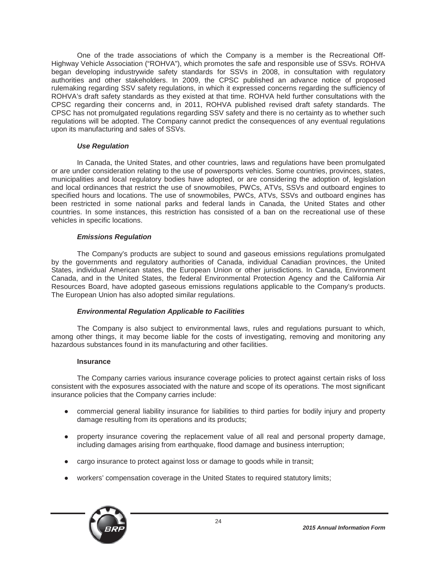One of the trade associations of which the Company is a member is the Recreational Off-Highway Vehicle Association ("ROHVA"), which promotes the safe and responsible use of SSVs. ROHVA began developing industrywide safety standards for SSVs in 2008, in consultation with regulatory authorities and other stakeholders. In 2009, the CPSC published an advance notice of proposed rulemaking regarding SSV safety regulations, in which it expressed concerns regarding the sufficiency of ROHVA's draft safety standards as they existed at that time. ROHVA held further consultations with the CPSC regarding their concerns and, in 2011, ROHVA published revised draft safety standards. The CPSC has not promulgated regulations regarding SSV safety and there is no certainty as to whether such regulations will be adopted. The Company cannot predict the consequences of any eventual regulations upon its manufacturing and sales of SSVs.

## *Use Regulation*

In Canada, the United States, and other countries, laws and regulations have been promulgated or are under consideration relating to the use of powersports vehicles. Some countries, provinces, states, municipalities and local regulatory bodies have adopted, or are considering the adoption of, legislation and local ordinances that restrict the use of snowmobiles, PWCs, ATVs, SSVs and outboard engines to specified hours and locations. The use of snowmobiles, PWCs, ATVs, SSVs and outboard engines has been restricted in some national parks and federal lands in Canada, the United States and other countries. In some instances, this restriction has consisted of a ban on the recreational use of these vehicles in specific locations.

## *Emissions Regulation*

The Company's products are subject to sound and gaseous emissions regulations promulgated by the governments and regulatory authorities of Canada, individual Canadian provinces, the United States, individual American states, the European Union or other jurisdictions. In Canada, Environment Canada, and in the United States, the federal Environmental Protection Agency and the California Air Resources Board, have adopted gaseous emissions regulations applicable to the Company's products. The European Union has also adopted similar regulations.

## *Environmental Regulation Applicable to Facilities*

The Company is also subject to environmental laws, rules and regulations pursuant to which, among other things, it may become liable for the costs of investigating, removing and monitoring any hazardous substances found in its manufacturing and other facilities.

#### **Insurance**

The Company carries various insurance coverage policies to protect against certain risks of loss consistent with the exposures associated with the nature and scope of its operations. The most significant insurance policies that the Company carries include:

- Ɣ commercial general liability insurance for liabilities to third parties for bodily injury and property damage resulting from its operations and its products;
- property insurance covering the replacement value of all real and personal property damage, including damages arising from earthquake, flood damage and business interruption;
- cargo insurance to protect against loss or damage to goods while in transit;
- Ɣ workers' compensation coverage in the United States to required statutory limits;

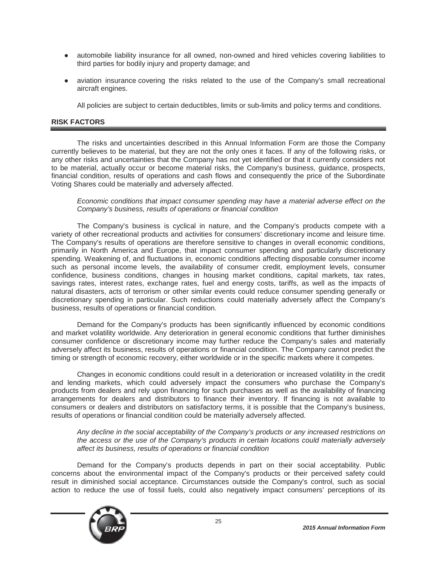- automobile liability insurance for all owned, non-owned and hired vehicles covering liabilities to third parties for bodily injury and property damage; and
- aviation insurance covering the risks related to the use of the Company's small recreational aircraft engines.

All policies are subject to certain deductibles, limits or sub-limits and policy terms and conditions.

## **RISK FACTORS**

The risks and uncertainties described in this Annual Information Form are those the Company currently believes to be material, but they are not the only ones it faces. If any of the following risks, or any other risks and uncertainties that the Company has not yet identified or that it currently considers not to be material, actually occur or become material risks, the Company's business, guidance, prospects, financial condition, results of operations and cash flows and consequently the price of the Subordinate Voting Shares could be materially and adversely affected.

*Economic conditions that impact consumer spending may have a material adverse effect on the Company's business, results of operations or financial condition*

The Company's business is cyclical in nature, and the Company's products compete with a variety of other recreational products and activities for consumers' discretionary income and leisure time. The Company's results of operations are therefore sensitive to changes in overall economic conditions, primarily in North America and Europe, that impact consumer spending and particularly discretionary spending. Weakening of, and fluctuations in, economic conditions affecting disposable consumer income such as personal income levels, the availability of consumer credit, employment levels, consumer confidence, business conditions, changes in housing market conditions, capital markets, tax rates, savings rates, interest rates, exchange rates, fuel and energy costs, tariffs, as well as the impacts of natural disasters, acts of terrorism or other similar events could reduce consumer spending generally or discretionary spending in particular. Such reductions could materially adversely affect the Company's business, results of operations or financial condition.

Demand for the Company's products has been significantly influenced by economic conditions and market volatility worldwide. Any deterioration in general economic conditions that further diminishes consumer confidence or discretionary income may further reduce the Company's sales and materially adversely affect its business, results of operations or financial condition. The Company cannot predict the timing or strength of economic recovery, either worldwide or in the specific markets where it competes.

Changes in economic conditions could result in a deterioration or increased volatility in the credit and lending markets, which could adversely impact the consumers who purchase the Company's products from dealers and rely upon financing for such purchases as well as the availability of financing arrangements for dealers and distributors to finance their inventory. If financing is not available to consumers or dealers and distributors on satisfactory terms, it is possible that the Company's business, results of operations or financial condition could be materially adversely affected.

*Any decline in the social acceptability of the Company's products or any increased restrictions on the access or the use of the Company's products in certain locations could materially adversely affect its business, results of operations or financial condition*

Demand for the Company's products depends in part on their social acceptability. Public concerns about the environmental impact of the Company's products or their perceived safety could result in diminished social acceptance. Circumstances outside the Company's control, such as social action to reduce the use of fossil fuels, could also negatively impact consumers' perceptions of its

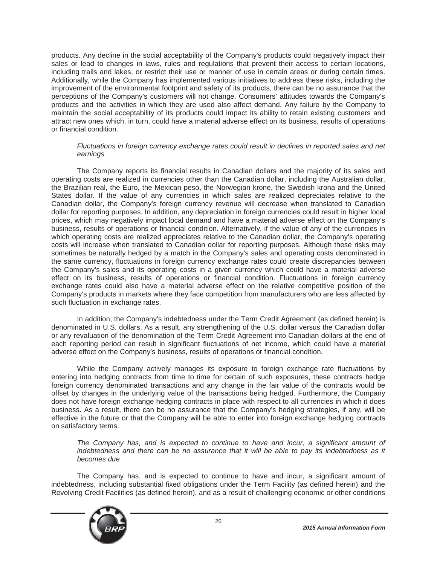products. Any decline in the social acceptability of the Company's products could negatively impact their sales or lead to changes in laws, rules and regulations that prevent their access to certain locations, including trails and lakes, or restrict their use or manner of use in certain areas or during certain times. Additionally, while the Company has implemented various initiatives to address these risks, including the improvement of the environmental footprint and safety of its products, there can be no assurance that the perceptions of the Company's customers will not change. Consumers' attitudes towards the Company's products and the activities in which they are used also affect demand. Any failure by the Company to maintain the social acceptability of its products could impact its ability to retain existing customers and attract new ones which, in turn, could have a material adverse effect on its business, results of operations or financial condition.

## *Fluctuations in foreign currency exchange rates could result in declines in reported sales and net earnings*

The Company reports its financial results in Canadian dollars and the majority of its sales and operating costs are realized in currencies other than the Canadian dollar, including the Australian dollar, the Brazilian real, the Euro, the Mexican peso, the Norwegian krone, the Swedish krona and the United States dollar. If the value of any currencies in which sales are realized depreciates relative to the Canadian dollar, the Company's foreign currency revenue will decrease when translated to Canadian dollar for reporting purposes. In addition, any depreciation in foreign currencies could result in higher local prices, which may negatively impact local demand and have a material adverse effect on the Company's business, results of operations or financial condition. Alternatively, if the value of any of the currencies in which operating costs are realized appreciates relative to the Canadian dollar, the Company's operating costs will increase when translated to Canadian dollar for reporting purposes. Although these risks may sometimes be naturally hedged by a match in the Company's sales and operating costs denominated in the same currency, fluctuations in foreign currency exchange rates could create discrepancies between the Company's sales and its operating costs in a given currency which could have a material adverse effect on its business, results of operations or financial condition. Fluctuations in foreign currency exchange rates could also have a material adverse effect on the relative competitive position of the Company's products in markets where they face competition from manufacturers who are less affected by such fluctuation in exchange rates.

In addition, the Company's indebtedness under the Term Credit Agreement (as defined herein) is denominated in U.S. dollars. As a result, any strengthening of the U.S. dollar versus the Canadian dollar or any revaluation of the denomination of the Term Credit Agreement into Canadian dollars at the end of each reporting period can result in significant fluctuations of net income, which could have a material adverse effect on the Company's business, results of operations or financial condition.

While the Company actively manages its exposure to foreign exchange rate fluctuations by entering into hedging contracts from time to time for certain of such exposures, these contracts hedge foreign currency denominated transactions and any change in the fair value of the contracts would be offset by changes in the underlying value of the transactions being hedged. Furthermore, the Company does not have foreign exchange hedging contracts in place with respect to all currencies in which it does business. As a result, there can be no assurance that the Company's hedging strategies, if any, will be effective in the future or that the Company will be able to enter into foreign exchange hedging contracts on satisfactory terms.

*The Company has, and is expected to continue to have and incur, a significant amount of indebtedness and there can be no assurance that it will be able to pay its indebtedness as it becomes due*

The Company has, and is expected to continue to have and incur, a significant amount of indebtedness, including substantial fixed obligations under the Term Facility (as defined herein) and the Revolving Credit Facilities (as defined herein), and as a result of challenging economic or other conditions

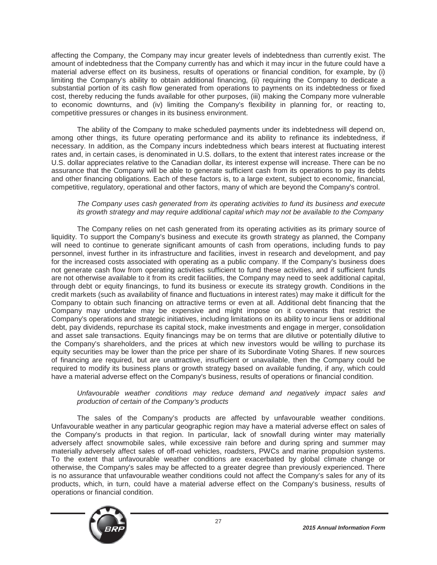affecting the Company, the Company may incur greater levels of indebtedness than currently exist. The amount of indebtedness that the Company currently has and which it may incur in the future could have a material adverse effect on its business, results of operations or financial condition, for example, by (i) limiting the Company's ability to obtain additional financing, (ii) requiring the Company to dedicate a substantial portion of its cash flow generated from operations to payments on its indebtedness or fixed cost, thereby reducing the funds available for other purposes, (iii) making the Company more vulnerable to economic downturns, and (iv) limiting the Company's flexibility in planning for, or reacting to, competitive pressures or changes in its business environment.

The ability of the Company to make scheduled payments under its indebtedness will depend on, among other things, its future operating performance and its ability to refinance its indebtedness, if necessary. In addition, as the Company incurs indebtedness which bears interest at fluctuating interest rates and, in certain cases, is denominated in U.S. dollars, to the extent that interest rates increase or the U.S. dollar appreciates relative to the Canadian dollar, its interest expense will increase. There can be no assurance that the Company will be able to generate sufficient cash from its operations to pay its debts and other financing obligations. Each of these factors is, to a large extent, subject to economic, financial, competitive, regulatory, operational and other factors, many of which are beyond the Company's control.

## *The Company uses cash generated from its operating activities to fund its business and execute its growth strategy and may require additional capital which may not be available to the Company*

The Company relies on net cash generated from its operating activities as its primary source of liquidity. To support the Company's business and execute its growth strategy as planned, the Company will need to continue to generate significant amounts of cash from operations, including funds to pay personnel, invest further in its infrastructure and facilities, invest in research and development, and pay for the increased costs associated with operating as a public company. If the Company's business does not generate cash flow from operating activities sufficient to fund these activities, and if sufficient funds are not otherwise available to it from its credit facilities, the Company may need to seek additional capital, through debt or equity financings, to fund its business or execute its strategy growth. Conditions in the credit markets (such as availability of finance and fluctuations in interest rates) may make it difficult for the Company to obtain such financing on attractive terms or even at all. Additional debt financing that the Company may undertake may be expensive and might impose on it covenants that restrict the Company's operations and strategic initiatives, including limitations on its ability to incur liens or additional debt, pay dividends, repurchase its capital stock, make investments and engage in merger, consolidation and asset sale transactions. Equity financings may be on terms that are dilutive or potentially dilutive to the Company's shareholders, and the prices at which new investors would be willing to purchase its equity securities may be lower than the price per share of its Subordinate Voting Shares. If new sources of financing are required, but are unattractive, insufficient or unavailable, then the Company could be required to modify its business plans or growth strategy based on available funding, if any, which could have a material adverse effect on the Company's business, results of operations or financial condition.

## *Unfavourable weather conditions may reduce demand and negatively impact sales and production of certain of the Company's products*

The sales of the Company's products are affected by unfavourable weather conditions. Unfavourable weather in any particular geographic region may have a material adverse effect on sales of the Company's products in that region. In particular, lack of snowfall during winter may materially adversely affect snowmobile sales, while excessive rain before and during spring and summer may materially adversely affect sales of off-road vehicles, roadsters, PWCs and marine propulsion systems. To the extent that unfavourable weather conditions are exacerbated by global climate change or otherwise, the Company's sales may be affected to a greater degree than previously experienced. There is no assurance that unfavourable weather conditions could not affect the Company's sales for any of its products, which, in turn, could have a material adverse effect on the Company's business, results of operations or financial condition.

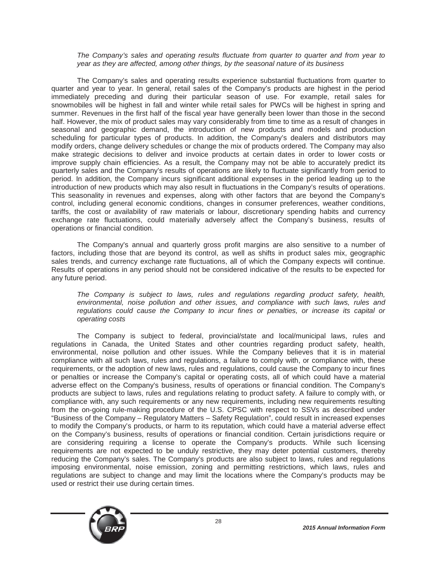#### *The Company's sales and operating results fluctuate from quarter to quarter and from year to year as they are affected, among other things, by the seasonal nature of its business*

The Company's sales and operating results experience substantial fluctuations from quarter to quarter and year to year. In general, retail sales of the Company's products are highest in the period immediately preceding and during their particular season of use. For example, retail sales for snowmobiles will be highest in fall and winter while retail sales for PWCs will be highest in spring and summer. Revenues in the first half of the fiscal year have generally been lower than those in the second half. However, the mix of product sales may vary considerably from time to time as a result of changes in seasonal and geographic demand, the introduction of new products and models and production scheduling for particular types of products. In addition, the Company's dealers and distributors may modify orders, change delivery schedules or change the mix of products ordered. The Company may also make strategic decisions to deliver and invoice products at certain dates in order to lower costs or improve supply chain efficiencies. As a result, the Company may not be able to accurately predict its quarterly sales and the Company's results of operations are likely to fluctuate significantly from period to period. In addition, the Company incurs significant additional expenses in the period leading up to the introduction of new products which may also result in fluctuations in the Company's results of operations. This seasonality in revenues and expenses, along with other factors that are beyond the Company's control, including general economic conditions, changes in consumer preferences, weather conditions, tariffs, the cost or availability of raw materials or labour, discretionary spending habits and currency exchange rate fluctuations, could materially adversely affect the Company's business, results of operations or financial condition.

The Company's annual and quarterly gross profit margins are also sensitive to a number of factors, including those that are beyond its control, as well as shifts in product sales mix, geographic sales trends, and currency exchange rate fluctuations, all of which the Company expects will continue. Results of operations in any period should not be considered indicative of the results to be expected for any future period.

*The Company is subject to laws, rules and regulations regarding product safety, health, environmental, noise pollution and other issues, and compliance with such laws, rules and regulations could cause the Company to incur fines or penalties, or increase its capital or operating costs*

The Company is subject to federal, provincial/state and local/municipal laws, rules and regulations in Canada, the United States and other countries regarding product safety, health, environmental, noise pollution and other issues. While the Company believes that it is in material compliance with all such laws, rules and regulations, a failure to comply with, or compliance with, these requirements, or the adoption of new laws, rules and regulations, could cause the Company to incur fines or penalties or increase the Company's capital or operating costs, all of which could have a material adverse effect on the Company's business, results of operations or financial condition. The Company's products are subject to laws, rules and regulations relating to product safety. A failure to comply with, or compliance with, any such requirements or any new requirements, including new requirements resulting from the on-going rule-making procedure of the U.S. CPSC with respect to SSVs as described under "Business of the Company – Regulatory Matters – Safety Regulation", could result in increased expenses to modify the Company's products, or harm to its reputation, which could have a material adverse effect on the Company's business, results of operations or financial condition. Certain jurisdictions require or are considering requiring a license to operate the Company's products. While such licensing requirements are not expected to be unduly restrictive, they may deter potential customers, thereby reducing the Company's sales. The Company's products are also subject to laws, rules and regulations imposing environmental, noise emission, zoning and permitting restrictions, which laws, rules and regulations are subject to change and may limit the locations where the Company's products may be used or restrict their use during certain times.

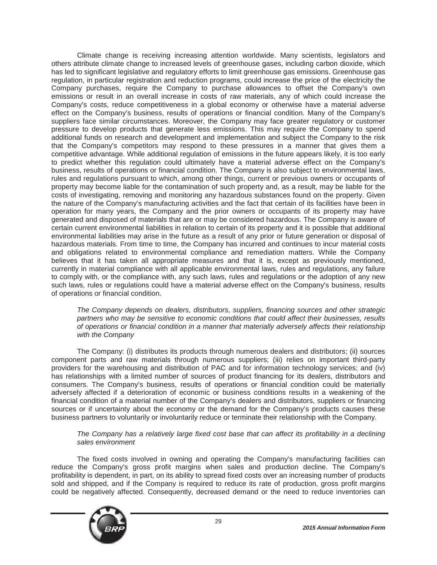Climate change is receiving increasing attention worldwide. Many scientists, legislators and others attribute climate change to increased levels of greenhouse gases, including carbon dioxide, which has led to significant legislative and regulatory efforts to limit greenhouse gas emissions. Greenhouse gas regulation, in particular registration and reduction programs, could increase the price of the electricity the Company purchases, require the Company to purchase allowances to offset the Company's own emissions or result in an overall increase in costs of raw materials, any of which could increase the Company's costs, reduce competitiveness in a global economy or otherwise have a material adverse effect on the Company's business, results of operations or financial condition. Many of the Company's suppliers face similar circumstances. Moreover, the Company may face greater regulatory or customer pressure to develop products that generate less emissions. This may require the Company to spend additional funds on research and development and implementation and subject the Company to the risk that the Company's competitors may respond to these pressures in a manner that gives them a competitive advantage. While additional regulation of emissions in the future appears likely, it is too early to predict whether this regulation could ultimately have a material adverse effect on the Company's business, results of operations or financial condition. The Company is also subject to environmental laws, rules and regulations pursuant to which, among other things, current or previous owners or occupants of property may become liable for the contamination of such property and, as a result, may be liable for the costs of investigating, removing and monitoring any hazardous substances found on the property. Given the nature of the Company's manufacturing activities and the fact that certain of its facilities have been in operation for many years, the Company and the prior owners or occupants of its property may have generated and disposed of materials that are or may be considered hazardous. The Company is aware of certain current environmental liabilities in relation to certain of its property and it is possible that additional environmental liabilities may arise in the future as a result of any prior or future generation or disposal of hazardous materials. From time to time, the Company has incurred and continues to incur material costs and obligations related to environmental compliance and remediation matters. While the Company believes that it has taken all appropriate measures and that it is, except as previously mentioned, currently in material compliance with all applicable environmental laws, rules and regulations, any failure to comply with, or the compliance with, any such laws, rules and regulations or the adoption of any new such laws, rules or regulations could have a material adverse effect on the Company's business, results of operations or financial condition.

*The Company depends on dealers, distributors, suppliers, financing sources and other strategic partners who may be sensitive to economic conditions that could affect their businesses, results of operations or financial condition in a manner that materially adversely affects their relationship with the Company*

The Company: (i) distributes its products through numerous dealers and distributors; (ii) sources component parts and raw materials through numerous suppliers; (iii) relies on important third-party providers for the warehousing and distribution of PAC and for information technology services; and (iv) has relationships with a limited number of sources of product financing for its dealers, distributors and consumers. The Company's business, results of operations or financial condition could be materially adversely affected if a deterioration of economic or business conditions results in a weakening of the financial condition of a material number of the Company's dealers and distributors, suppliers or financing sources or if uncertainty about the economy or the demand for the Company's products causes these business partners to voluntarily or involuntarily reduce or terminate their relationship with the Company.

## *The Company has a relatively large fixed cost base that can affect its profitability in a declining sales environment*

The fixed costs involved in owning and operating the Company's manufacturing facilities can reduce the Company's gross profit margins when sales and production decline. The Company's profitability is dependent, in part, on its ability to spread fixed costs over an increasing number of products sold and shipped, and if the Company is required to reduce its rate of production, gross profit margins could be negatively affected. Consequently, decreased demand or the need to reduce inventories can

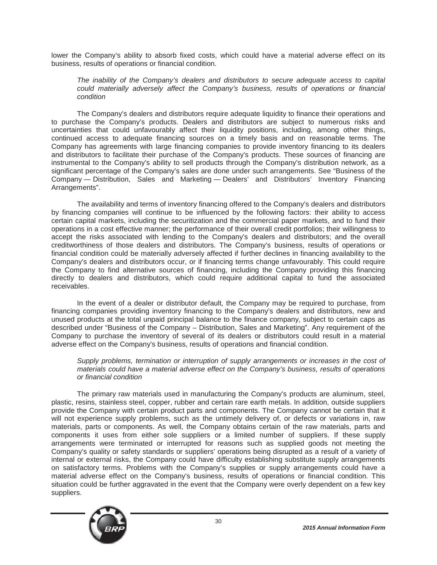lower the Company's ability to absorb fixed costs, which could have a material adverse effect on its business, results of operations or financial condition.

*The inability of the Company's dealers and distributors to secure adequate access to capital could materially adversely affect the Company's business, results of operations or financial condition*

The Company's dealers and distributors require adequate liquidity to finance their operations and to purchase the Company's products. Dealers and distributors are subject to numerous risks and uncertainties that could unfavourably affect their liquidity positions, including, among other things, continued access to adequate financing sources on a timely basis and on reasonable terms. The Company has agreements with large financing companies to provide inventory financing to its dealers and distributors to facilitate their purchase of the Company's products. These sources of financing are instrumental to the Company's ability to sell products through the Company's distribution network, as a significant percentage of the Company's sales are done under such arrangements. See "Business of the Company — Distribution, Sales and Marketing — Dealers' and Distributors' Inventory Financing Arrangements".

The availability and terms of inventory financing offered to the Company's dealers and distributors by financing companies will continue to be influenced by the following factors: their ability to access certain capital markets, including the securitization and the commercial paper markets, and to fund their operations in a cost effective manner; the performance of their overall credit portfolios; their willingness to accept the risks associated with lending to the Company's dealers and distributors; and the overall creditworthiness of those dealers and distributors. The Company's business, results of operations or financial condition could be materially adversely affected if further declines in financing availability to the Company's dealers and distributors occur, or if financing terms change unfavourably. This could require the Company to find alternative sources of financing, including the Company providing this financing directly to dealers and distributors, which could require additional capital to fund the associated receivables.

In the event of a dealer or distributor default, the Company may be required to purchase, from financing companies providing inventory financing to the Company's dealers and distributors, new and unused products at the total unpaid principal balance to the finance company, subject to certain caps as described under "Business of the Company – Distribution, Sales and Marketing". Any requirement of the Company to purchase the inventory of several of its dealers or distributors could result in a material adverse effect on the Company's business, results of operations and financial condition.

*Supply problems, termination or interruption of supply arrangements or increases in the cost of materials could have a material adverse effect on the Company's business, results of operations or financial condition*

The primary raw materials used in manufacturing the Company's products are aluminum, steel, plastic, resins, stainless steel, copper, rubber and certain rare earth metals. In addition, outside suppliers provide the Company with certain product parts and components. The Company cannot be certain that it will not experience supply problems, such as the untimely delivery of, or defects or variations in, raw materials, parts or components. As well, the Company obtains certain of the raw materials, parts and components it uses from either sole suppliers or a limited number of suppliers. If these supply arrangements were terminated or interrupted for reasons such as supplied goods not meeting the Company's quality or safety standards or suppliers' operations being disrupted as a result of a variety of internal or external risks, the Company could have difficulty establishing substitute supply arrangements on satisfactory terms. Problems with the Company's supplies or supply arrangements could have a material adverse effect on the Company's business, results of operations or financial condition. This situation could be further aggravated in the event that the Company were overly dependent on a few key suppliers.

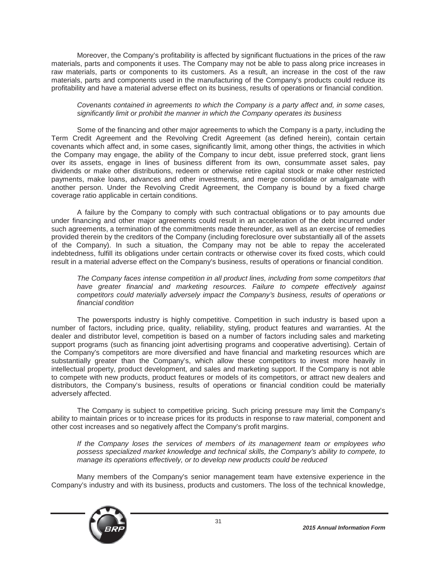Moreover, the Company's profitability is affected by significant fluctuations in the prices of the raw materials, parts and components it uses. The Company may not be able to pass along price increases in raw materials, parts or components to its customers. As a result, an increase in the cost of the raw materials, parts and components used in the manufacturing of the Company's products could reduce its profitability and have a material adverse effect on its business, results of operations or financial condition.

## *Covenants contained in agreements to which the Company is a party affect and, in some cases, significantly limit or prohibit the manner in which the Company operates its business*

Some of the financing and other major agreements to which the Company is a party, including the Term Credit Agreement and the Revolving Credit Agreement (as defined herein), contain certain covenants which affect and, in some cases, significantly limit, among other things, the activities in which the Company may engage, the ability of the Company to incur debt, issue preferred stock, grant liens over its assets, engage in lines of business different from its own, consummate asset sales, pay dividends or make other distributions, redeem or otherwise retire capital stock or make other restricted payments, make loans, advances and other investments, and merge consolidate or amalgamate with another person. Under the Revolving Credit Agreement, the Company is bound by a fixed charge coverage ratio applicable in certain conditions.

A failure by the Company to comply with such contractual obligations or to pay amounts due under financing and other major agreements could result in an acceleration of the debt incurred under such agreements, a termination of the commitments made thereunder, as well as an exercise of remedies provided therein by the creditors of the Company (including foreclosure over substantially all of the assets of the Company). In such a situation, the Company may not be able to repay the accelerated indebtedness, fulfill its obligations under certain contracts or otherwise cover its fixed costs, which could result in a material adverse effect on the Company's business, results of operations or financial condition.

*The Company faces intense competition in all product lines, including from some competitors that have greater financial and marketing resources. Failure to compete effectively against competitors could materially adversely impact the Company's business, results of operations or financial condition*

The powersports industry is highly competitive. Competition in such industry is based upon a number of factors, including price, quality, reliability, styling, product features and warranties. At the dealer and distributor level, competition is based on a number of factors including sales and marketing support programs (such as financing joint advertising programs and cooperative advertising). Certain of the Company's competitors are more diversified and have financial and marketing resources which are substantially greater than the Company's, which allow these competitors to invest more heavily in intellectual property, product development, and sales and marketing support. If the Company is not able to compete with new products, product features or models of its competitors, or attract new dealers and distributors, the Company's business, results of operations or financial condition could be materially adversely affected.

The Company is subject to competitive pricing. Such pricing pressure may limit the Company's ability to maintain prices or to increase prices for its products in response to raw material, component and other cost increases and so negatively affect the Company's profit margins.

*If the Company loses the services of members of its management team or employees who possess specialized market knowledge and technical skills, the Company's ability to compete, to manage its operations effectively, or to develop new products could be reduced*

Many members of the Company's senior management team have extensive experience in the Company's industry and with its business, products and customers. The loss of the technical knowledge,

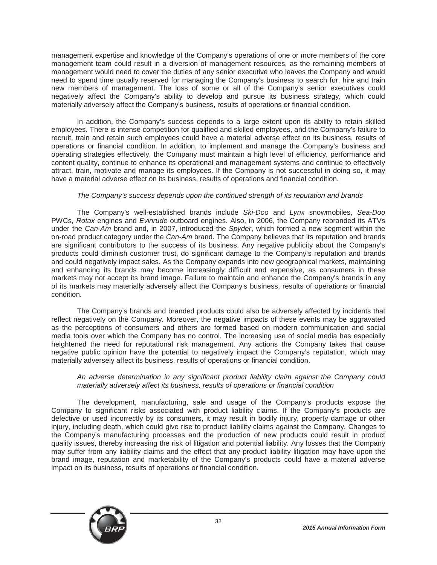management expertise and knowledge of the Company's operations of one or more members of the core management team could result in a diversion of management resources, as the remaining members of management would need to cover the duties of any senior executive who leaves the Company and would need to spend time usually reserved for managing the Company's business to search for, hire and train new members of management. The loss of some or all of the Company's senior executives could negatively affect the Company's ability to develop and pursue its business strategy, which could materially adversely affect the Company's business, results of operations or financial condition.

In addition, the Company's success depends to a large extent upon its ability to retain skilled employees. There is intense competition for qualified and skilled employees, and the Company's failure to recruit, train and retain such employees could have a material adverse effect on its business, results of operations or financial condition. In addition, to implement and manage the Company's business and operating strategies effectively, the Company must maintain a high level of efficiency, performance and content quality, continue to enhance its operational and management systems and continue to effectively attract, train, motivate and manage its employees. If the Company is not successful in doing so, it may have a material adverse effect on its business, results of operations and financial condition.

## *The Company's success depends upon the continued strength of its reputation and brands*

The Company's well-established brands include *Ski-Doo* and *Lynx* snowmobiles, *Sea-Doo* PWCs, *Rotax* engines and *Evinrude* outboard engines. Also, in 2006, the Company rebranded its ATVs under the *Can-Am* brand and, in 2007, introduced the *Spyder*, which formed a new segment within the on-road product category under the *Can-Am* brand. The Company believes that its reputation and brands are significant contributors to the success of its business. Any negative publicity about the Company's products could diminish customer trust, do significant damage to the Company's reputation and brands and could negatively impact sales. As the Company expands into new geographical markets, maintaining and enhancing its brands may become increasingly difficult and expensive, as consumers in these markets may not accept its brand image. Failure to maintain and enhance the Company's brands in any of its markets may materially adversely affect the Company's business, results of operations or financial condition.

The Company's brands and branded products could also be adversely affected by incidents that reflect negatively on the Company. Moreover, the negative impacts of these events may be aggravated as the perceptions of consumers and others are formed based on modern communication and social media tools over which the Company has no control. The increasing use of social media has especially heightened the need for reputational risk management. Any actions the Company takes that cause negative public opinion have the potential to negatively impact the Company's reputation, which may materially adversely affect its business, results of operations or financial condition.

#### *An adverse determination in any significant product liability claim against the Company could materially adversely affect its business, results of operations or financial condition*

The development, manufacturing, sale and usage of the Company's products expose the Company to significant risks associated with product liability claims. If the Company's products are defective or used incorrectly by its consumers, it may result in bodily injury, property damage or other injury, including death, which could give rise to product liability claims against the Company. Changes to the Company's manufacturing processes and the production of new products could result in product quality issues, thereby increasing the risk of litigation and potential liability. Any losses that the Company may suffer from any liability claims and the effect that any product liability litigation may have upon the brand image, reputation and marketability of the Company's products could have a material adverse impact on its business, results of operations or financial condition.

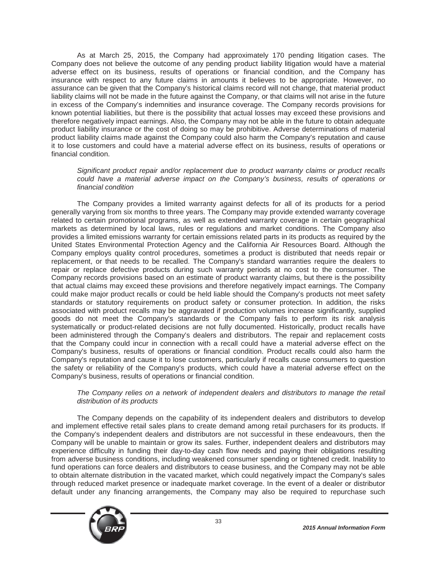As at March 25, 2015, the Company had approximately 170 pending litigation cases. The Company does not believe the outcome of any pending product liability litigation would have a material adverse effect on its business, results of operations or financial condition, and the Company has insurance with respect to any future claims in amounts it believes to be appropriate. However, no assurance can be given that the Company's historical claims record will not change, that material product liability claims will not be made in the future against the Company, or that claims will not arise in the future in excess of the Company's indemnities and insurance coverage. The Company records provisions for known potential liabilities, but there is the possibility that actual losses may exceed these provisions and therefore negatively impact earnings. Also, the Company may not be able in the future to obtain adequate product liability insurance or the cost of doing so may be prohibitive. Adverse determinations of material product liability claims made against the Company could also harm the Company's reputation and cause it to lose customers and could have a material adverse effect on its business, results of operations or financial condition.

*Significant product repair and/or replacement due to product warranty claims or product recalls could have a material adverse impact on the Company's business, results of operations or financial condition*

The Company provides a limited warranty against defects for all of its products for a period generally varying from six months to three years. The Company may provide extended warranty coverage related to certain promotional programs, as well as extended warranty coverage in certain geographical markets as determined by local laws, rules or regulations and market conditions. The Company also provides a limited emissions warranty for certain emissions related parts in its products as required by the United States Environmental Protection Agency and the California Air Resources Board. Although the Company employs quality control procedures, sometimes a product is distributed that needs repair or replacement, or that needs to be recalled. The Company's standard warranties require the dealers to repair or replace defective products during such warranty periods at no cost to the consumer. The Company records provisions based on an estimate of product warranty claims, but there is the possibility that actual claims may exceed these provisions and therefore negatively impact earnings. The Company could make major product recalls or could be held liable should the Company's products not meet safety standards or statutory requirements on product safety or consumer protection. In addition, the risks associated with product recalls may be aggravated if production volumes increase significantly, supplied goods do not meet the Company's standards or the Company fails to perform its risk analysis systematically or product-related decisions are not fully documented. Historically, product recalls have been administered through the Company's dealers and distributors. The repair and replacement costs that the Company could incur in connection with a recall could have a material adverse effect on the Company's business, results of operations or financial condition. Product recalls could also harm the Company's reputation and cause it to lose customers, particularly if recalls cause consumers to question the safety or reliability of the Company's products, which could have a material adverse effect on the Company's business, results of operations or financial condition.

#### *The Company relies on a network of independent dealers and distributors to manage the retail distribution of its products*

The Company depends on the capability of its independent dealers and distributors to develop and implement effective retail sales plans to create demand among retail purchasers for its products. If the Company's independent dealers and distributors are not successful in these endeavours, then the Company will be unable to maintain or grow its sales. Further, independent dealers and distributors may experience difficulty in funding their day-to-day cash flow needs and paying their obligations resulting from adverse business conditions, including weakened consumer spending or tightened credit. Inability to fund operations can force dealers and distributors to cease business, and the Company may not be able to obtain alternate distribution in the vacated market, which could negatively impact the Company's sales through reduced market presence or inadequate market coverage. In the event of a dealer or distributor default under any financing arrangements, the Company may also be required to repurchase such

33

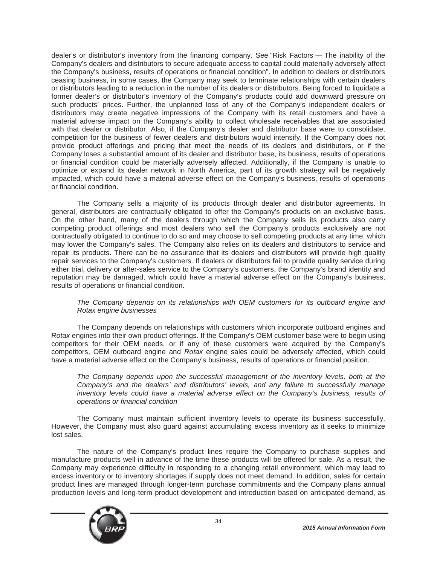dealer's or distributor's inventory from the financing company. See "Risk Factors — The inability of the Company's dealers and distributors to secure adequate access to capital could materially adversely affect the Company's business, results of operations or financial condition". In addition to dealers or distributors ceasing business, in some cases, the Company may seek to terminate relationships with certain dealers or distributors leading to a reduction in the number of its dealers or distributors. Being forced to liquidate a former dealer's or distributor's inventory of the Company's products could add downward pressure on such products' prices. Further, the unplanned loss of any of the Company's independent dealers or distributors may create negative impressions of the Company with its retail customers and have a material adverse impact on the Company's ability to collect wholesale receivables that are associated with that dealer or distributor. Also, if the Company's dealer and distributor base were to consolidate, competition for the business of fewer dealers and distributors would intensify. If the Company does not provide product offerings and pricing that meet the needs of its dealers and distributors, or if the Company loses a substantial amount of its dealer and distributor base, its business, results of operations or financial condition could be materially adversely affected. Additionally, if the Company is unable to optimize or expand its dealer network in North America, part of its growth strategy will be negatively impacted, which could have a material adverse effect on the Company's business, results of operations or financial condition.

The Company sells a majority of its products through dealer and distributor agreements. In general, distributors are contractually obligated to offer the Company's products on an exclusive basis. On the other hand, many of the dealers through which the Company sells its products also carry competing product offerings and most dealers who sell the Company's products exclusively are not contractually obligated to continue to do so and may choose to sell competing products at any time, which may lower the Company's sales. The Company also relies on its dealers and distributors to service and repair its products. There can be no assurance that its dealers and distributors will provide high quality repair services to the Company's customers. If dealers or distributors fail to provide quality service during either trial, delivery or after-sales service to the Company's customers, the Company's brand identity and reputation may be damaged, which could have a material adverse effect on the Company's business, results of operations or financial condition.

## *The Company depends on its relationships with OEM customers for its outboard engine and Rotax engine businesses*

The Company depends on relationships with customers which incorporate outboard engines and *Rotax* engines into their own product offerings. If the Company's OEM customer base were to begin using competitors for their OEM needs, or if any of these customers were acquired by the Company's competitors, OEM outboard engine and *Rotax* engine sales could be adversely affected, which could have a material adverse effect on the Company's business, results of operations or financial position.

*The Company depends upon the successful management of the inventory levels, both at the Company's and the dealers' and distributors' levels, and any failure to successfully manage*  inventory levels could have a material adverse effect on the Company's business, results of *operations or financial condition*

The Company must maintain sufficient inventory levels to operate its business successfully. However, the Company must also guard against accumulating excess inventory as it seeks to minimize lost sales.

The nature of the Company's product lines require the Company to purchase supplies and manufacture products well in advance of the time these products will be offered for sale. As a result, the Company may experience difficulty in responding to a changing retail environment, which may lead to excess inventory or to inventory shortages if supply does not meet demand. In addition, sales for certain product lines are managed through longer-term purchase commitments and the Company plans annual production levels and long-term product development and introduction based on anticipated demand, as

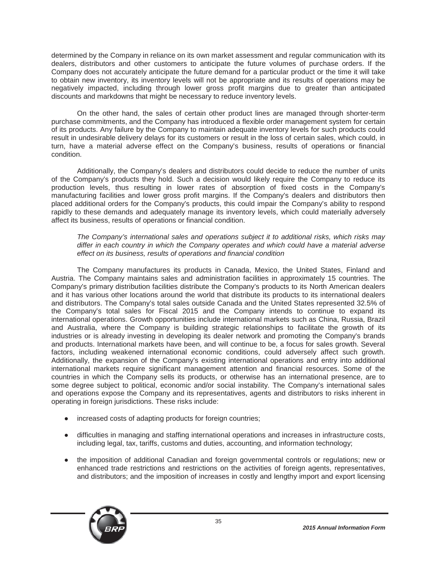determined by the Company in reliance on its own market assessment and regular communication with its dealers, distributors and other customers to anticipate the future volumes of purchase orders. If the Company does not accurately anticipate the future demand for a particular product or the time it will take to obtain new inventory, its inventory levels will not be appropriate and its results of operations may be negatively impacted, including through lower gross profit margins due to greater than anticipated discounts and markdowns that might be necessary to reduce inventory levels.

On the other hand, the sales of certain other product lines are managed through shorter-term purchase commitments, and the Company has introduced a flexible order management system for certain of its products. Any failure by the Company to maintain adequate inventory levels for such products could result in undesirable delivery delays for its customers or result in the loss of certain sales, which could, in turn, have a material adverse effect on the Company's business, results of operations or financial condition.

Additionally, the Company's dealers and distributors could decide to reduce the number of units of the Company's products they hold. Such a decision would likely require the Company to reduce its production levels, thus resulting in lower rates of absorption of fixed costs in the Company's manufacturing facilities and lower gross profit margins. If the Company's dealers and distributors then placed additional orders for the Company's products, this could impair the Company's ability to respond rapidly to these demands and adequately manage its inventory levels, which could materially adversely affect its business, results of operations or financial condition.

*The Company's international sales and operations subject it to additional risks, which risks may differ in each country in which the Company operates and which could have a material adverse effect on its business, results of operations and financial condition*

The Company manufactures its products in Canada, Mexico, the United States, Finland and Austria. The Company maintains sales and administration facilities in approximately 15 countries. The Company's primary distribution facilities distribute the Company's products to its North American dealers and it has various other locations around the world that distribute its products to its international dealers and distributors. The Company's total sales outside Canada and the United States represented 32.5% of the Company's total sales for Fiscal 2015 and the Company intends to continue to expand its international operations. Growth opportunities include international markets such as China, Russia, Brazil and Australia, where the Company is building strategic relationships to facilitate the growth of its industries or is already investing in developing its dealer network and promoting the Company's brands and products. International markets have been, and will continue to be, a focus for sales growth. Several factors, including weakened international economic conditions, could adversely affect such growth. Additionally, the expansion of the Company's existing international operations and entry into additional international markets require significant management attention and financial resources. Some of the countries in which the Company sells its products, or otherwise has an international presence, are to some degree subject to political, economic and/or social instability. The Company's international sales and operations expose the Company and its representatives, agents and distributors to risks inherent in operating in foreign jurisdictions. These risks include:

- increased costs of adapting products for foreign countries;
- difficulties in managing and staffing international operations and increases in infrastructure costs, including legal, tax, tariffs, customs and duties, accounting, and information technology;
- the imposition of additional Canadian and foreign governmental controls or regulations; new or enhanced trade restrictions and restrictions on the activities of foreign agents, representatives, and distributors; and the imposition of increases in costly and lengthy import and export licensing

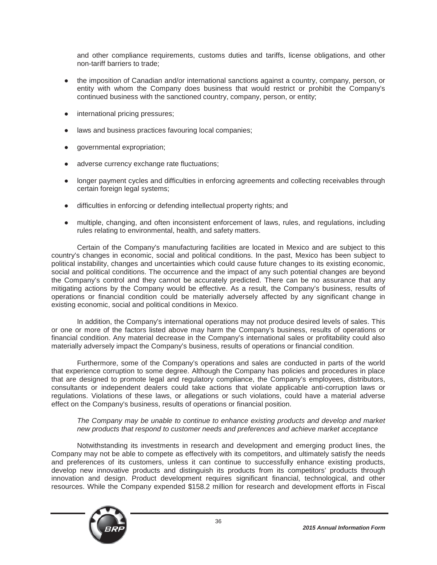and other compliance requirements, customs duties and tariffs, license obligations, and other non-tariff barriers to trade;

- the imposition of Canadian and/or international sanctions against a country, company, person, or entity with whom the Company does business that would restrict or prohibit the Company's continued business with the sanctioned country, company, person, or entity;
- international pricing pressures;
- laws and business practices favouring local companies;
- Ɣ governmental expropriation;
- adverse currency exchange rate fluctuations;
- longer payment cycles and difficulties in enforcing agreements and collecting receivables through certain foreign legal systems;
- difficulties in enforcing or defending intellectual property rights; and
- multiple, changing, and often inconsistent enforcement of laws, rules, and regulations, including rules relating to environmental, health, and safety matters.

Certain of the Company's manufacturing facilities are located in Mexico and are subject to this country's changes in economic, social and political conditions. In the past, Mexico has been subject to political instability, changes and uncertainties which could cause future changes to its existing economic, social and political conditions. The occurrence and the impact of any such potential changes are beyond the Company's control and they cannot be accurately predicted. There can be no assurance that any mitigating actions by the Company would be effective. As a result, the Company's business, results of operations or financial condition could be materially adversely affected by any significant change in existing economic, social and political conditions in Mexico.

In addition, the Company's international operations may not produce desired levels of sales. This or one or more of the factors listed above may harm the Company's business, results of operations or financial condition. Any material decrease in the Company's international sales or profitability could also materially adversely impact the Company's business, results of operations or financial condition.

Furthermore, some of the Company's operations and sales are conducted in parts of the world that experience corruption to some degree. Although the Company has policies and procedures in place that are designed to promote legal and regulatory compliance, the Company's employees, distributors, consultants or independent dealers could take actions that violate applicable anti-corruption laws or regulations. Violations of these laws, or allegations or such violations, could have a material adverse effect on the Company's business, results of operations or financial position.

### *The Company may be unable to continue to enhance existing products and develop and market new products that respond to customer needs and preferences and achieve market acceptance*

Notwithstanding its investments in research and development and emerging product lines, the Company may not be able to compete as effectively with its competitors, and ultimately satisfy the needs and preferences of its customers, unless it can continue to successfully enhance existing products, develop new innovative products and distinguish its products from its competitors' products through innovation and design. Product development requires significant financial, technological, and other resources. While the Company expended \$158.2 million for research and development efforts in Fiscal

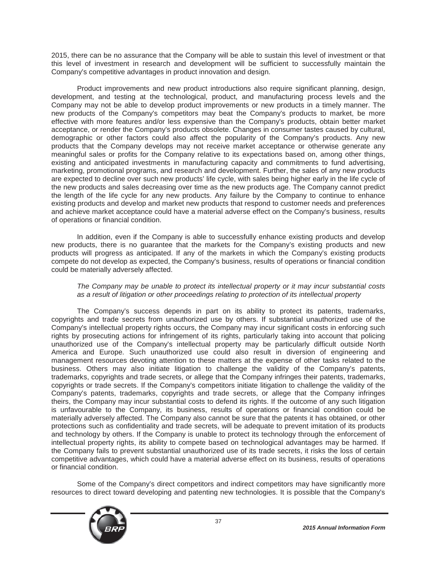2015, there can be no assurance that the Company will be able to sustain this level of investment or that this level of investment in research and development will be sufficient to successfully maintain the Company's competitive advantages in product innovation and design.

Product improvements and new product introductions also require significant planning, design, development, and testing at the technological, product, and manufacturing process levels and the Company may not be able to develop product improvements or new products in a timely manner. The new products of the Company's competitors may beat the Company's products to market, be more effective with more features and/or less expensive than the Company's products, obtain better market acceptance, or render the Company's products obsolete. Changes in consumer tastes caused by cultural, demographic or other factors could also affect the popularity of the Company's products. Any new products that the Company develops may not receive market acceptance or otherwise generate any meaningful sales or profits for the Company relative to its expectations based on, among other things, existing and anticipated investments in manufacturing capacity and commitments to fund advertising, marketing, promotional programs, and research and development. Further, the sales of any new products are expected to decline over such new products' life cycle, with sales being higher early in the life cycle of the new products and sales decreasing over time as the new products age. The Company cannot predict the length of the life cycle for any new products. Any failure by the Company to continue to enhance existing products and develop and market new products that respond to customer needs and preferences and achieve market acceptance could have a material adverse effect on the Company's business, results of operations or financial condition.

In addition, even if the Company is able to successfully enhance existing products and develop new products, there is no guarantee that the markets for the Company's existing products and new products will progress as anticipated. If any of the markets in which the Company's existing products compete do not develop as expected, the Company's business, results of operations or financial condition could be materially adversely affected.

### *The Company may be unable to protect its intellectual property or it may incur substantial costs as a result of litigation or other proceedings relating to protection of its intellectual property*

The Company's success depends in part on its ability to protect its patents, trademarks, copyrights and trade secrets from unauthorized use by others. If substantial unauthorized use of the Company's intellectual property rights occurs, the Company may incur significant costs in enforcing such rights by prosecuting actions for infringement of its rights, particularly taking into account that policing unauthorized use of the Company's intellectual property may be particularly difficult outside North America and Europe. Such unauthorized use could also result in diversion of engineering and management resources devoting attention to these matters at the expense of other tasks related to the business. Others may also initiate litigation to challenge the validity of the Company's patents, trademarks, copyrights and trade secrets, or allege that the Company infringes their patents, trademarks, copyrights or trade secrets. If the Company's competitors initiate litigation to challenge the validity of the Company's patents, trademarks, copyrights and trade secrets, or allege that the Company infringes theirs, the Company may incur substantial costs to defend its rights. If the outcome of any such litigation is unfavourable to the Company, its business, results of operations or financial condition could be materially adversely affected. The Company also cannot be sure that the patents it has obtained, or other protections such as confidentiality and trade secrets, will be adequate to prevent imitation of its products and technology by others. If the Company is unable to protect its technology through the enforcement of intellectual property rights, its ability to compete based on technological advantages may be harmed. If the Company fails to prevent substantial unauthorized use of its trade secrets, it risks the loss of certain competitive advantages, which could have a material adverse effect on its business, results of operations or financial condition.

Some of the Company's direct competitors and indirect competitors may have significantly more resources to direct toward developing and patenting new technologies. It is possible that the Company's

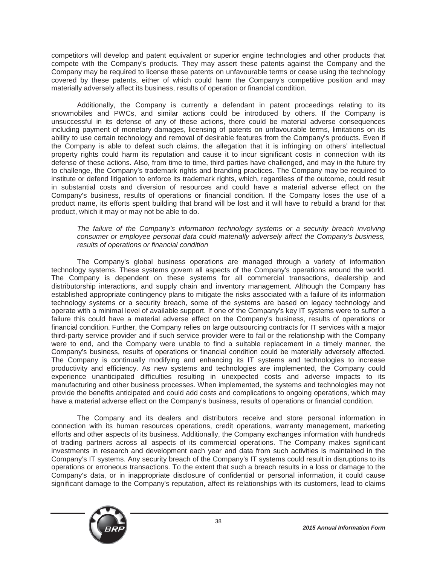competitors will develop and patent equivalent or superior engine technologies and other products that compete with the Company's products. They may assert these patents against the Company and the Company may be required to license these patents on unfavourable terms or cease using the technology covered by these patents, either of which could harm the Company's competitive position and may materially adversely affect its business, results of operation or financial condition.

Additionally, the Company is currently a defendant in patent proceedings relating to its snowmobiles and PWCs, and similar actions could be introduced by others. If the Company is unsuccessful in its defense of any of these actions, there could be material adverse consequences including payment of monetary damages, licensing of patents on unfavourable terms, limitations on its ability to use certain technology and removal of desirable features from the Company's products. Even if the Company is able to defeat such claims, the allegation that it is infringing on others' intellectual property rights could harm its reputation and cause it to incur significant costs in connection with its defense of these actions. Also, from time to time, third parties have challenged, and may in the future try to challenge, the Company's trademark rights and branding practices. The Company may be required to institute or defend litigation to enforce its trademark rights, which, regardless of the outcome, could result in substantial costs and diversion of resources and could have a material adverse effect on the Company's business, results of operations or financial condition. If the Company loses the use of a product name, its efforts spent building that brand will be lost and it will have to rebuild a brand for that product, which it may or may not be able to do.

### *The failure of the Company's information technology systems or a security breach involving consumer or employee personal data could materially adversely affect the Company's business, results of operations or financial condition*

The Company's global business operations are managed through a variety of information technology systems. These systems govern all aspects of the Company's operations around the world. The Company is dependent on these systems for all commercial transactions, dealership and distributorship interactions, and supply chain and inventory management. Although the Company has established appropriate contingency plans to mitigate the risks associated with a failure of its information technology systems or a security breach, some of the systems are based on legacy technology and operate with a minimal level of available support. If one of the Company's key IT systems were to suffer a failure this could have a material adverse effect on the Company's business, results of operations or financial condition. Further, the Company relies on large outsourcing contracts for IT services with a major third-party service provider and if such service provider were to fail or the relationship with the Company were to end, and the Company were unable to find a suitable replacement in a timely manner, the Company's business, results of operations or financial condition could be materially adversely affected. The Company is continually modifying and enhancing its IT systems and technologies to increase productivity and efficiency. As new systems and technologies are implemented, the Company could experience unanticipated difficulties resulting in unexpected costs and adverse impacts to its manufacturing and other business processes. When implemented, the systems and technologies may not provide the benefits anticipated and could add costs and complications to ongoing operations, which may have a material adverse effect on the Company's business, results of operations or financial condition.

The Company and its dealers and distributors receive and store personal information in connection with its human resources operations, credit operations, warranty management, marketing efforts and other aspects of its business. Additionally, the Company exchanges information with hundreds of trading partners across all aspects of its commercial operations. The Company makes significant investments in research and development each year and data from such activities is maintained in the Company's IT systems. Any security breach of the Company's IT systems could result in disruptions to its operations or erroneous transactions. To the extent that such a breach results in a loss or damage to the Company's data, or in inappropriate disclosure of confidential or personal information, it could cause significant damage to the Company's reputation, affect its relationships with its customers, lead to claims

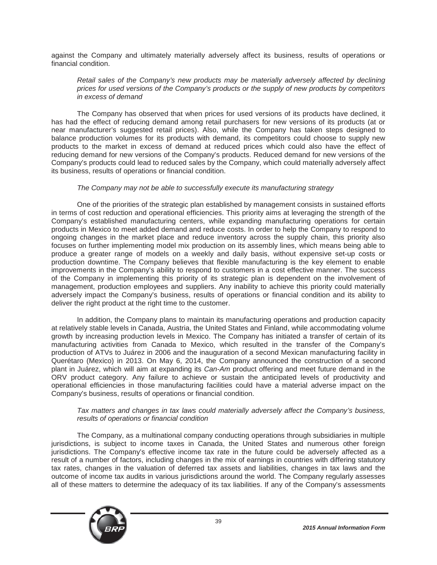against the Company and ultimately materially adversely affect its business, results of operations or financial condition.

### *Retail sales of the Company's new products may be materially adversely affected by declining prices for used versions of the Company's products or the supply of new products by competitors in excess of demand*

The Company has observed that when prices for used versions of its products have declined, it has had the effect of reducing demand among retail purchasers for new versions of its products (at or near manufacturer's suggested retail prices). Also, while the Company has taken steps designed to balance production volumes for its products with demand, its competitors could choose to supply new products to the market in excess of demand at reduced prices which could also have the effect of reducing demand for new versions of the Company's products. Reduced demand for new versions of the Company's products could lead to reduced sales by the Company, which could materially adversely affect its business, results of operations or financial condition.

### *The Company may not be able to successfully execute its manufacturing strategy*

One of the priorities of the strategic plan established by management consists in sustained efforts in terms of cost reduction and operational efficiencies. This priority aims at leveraging the strength of the Company's established manufacturing centers, while expanding manufacturing operations for certain products in Mexico to meet added demand and reduce costs. In order to help the Company to respond to ongoing changes in the market place and reduce inventory across the supply chain, this priority also focuses on further implementing model mix production on its assembly lines, which means being able to produce a greater range of models on a weekly and daily basis, without expensive set-up costs or production downtime. The Company believes that flexible manufacturing is the key element to enable improvements in the Company's ability to respond to customers in a cost effective manner. The success of the Company in implementing this priority of its strategic plan is dependent on the involvement of management, production employees and suppliers. Any inability to achieve this priority could materially adversely impact the Company's business, results of operations or financial condition and its ability to deliver the right product at the right time to the customer.

In addition, the Company plans to maintain its manufacturing operations and production capacity at relatively stable levels in Canada, Austria, the United States and Finland, while accommodating volume growth by increasing production levels in Mexico. The Company has initiated a transfer of certain of its manufacturing activities from Canada to Mexico, which resulted in the transfer of the Company's production of ATVs to Juárez in 2006 and the inauguration of a second Mexican manufacturing facility in Querétaro (Mexico) in 2013. On May 6, 2014, the Company announced the construction of a second plant in Juárez, which will aim at expanding its *Can-Am* product offering and meet future demand in the ORV product category. Any failure to achieve or sustain the anticipated levels of productivity and operational efficiencies in those manufacturing facilities could have a material adverse impact on the Company's business, results of operations or financial condition.

#### *Tax matters and changes in tax laws could materially adversely affect the Company's business, results of operations or financial condition*

The Company, as a multinational company conducting operations through subsidiaries in multiple jurisdictions, is subject to income taxes in Canada, the United States and numerous other foreign jurisdictions. The Company's effective income tax rate in the future could be adversely affected as a result of a number of factors, including changes in the mix of earnings in countries with differing statutory tax rates, changes in the valuation of deferred tax assets and liabilities, changes in tax laws and the outcome of income tax audits in various jurisdictions around the world. The Company regularly assesses all of these matters to determine the adequacy of its tax liabilities. If any of the Company's assessments

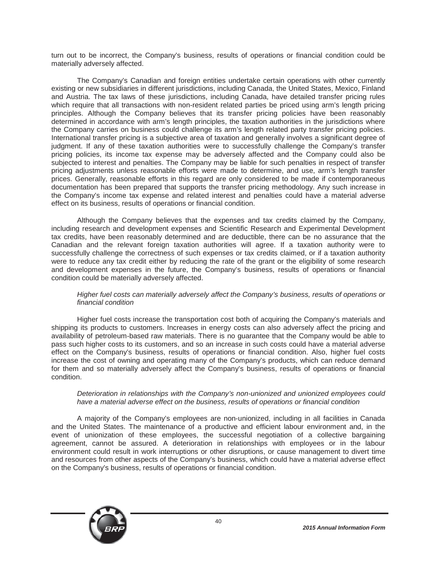turn out to be incorrect, the Company's business, results of operations or financial condition could be materially adversely affected.

The Company's Canadian and foreign entities undertake certain operations with other currently existing or new subsidiaries in different jurisdictions, including Canada, the United States, Mexico, Finland and Austria. The tax laws of these jurisdictions, including Canada, have detailed transfer pricing rules which require that all transactions with non-resident related parties be priced using arm's length pricing principles. Although the Company believes that its transfer pricing policies have been reasonably determined in accordance with arm's length principles, the taxation authorities in the jurisdictions where the Company carries on business could challenge its arm's length related party transfer pricing policies. International transfer pricing is a subjective area of taxation and generally involves a significant degree of judgment. If any of these taxation authorities were to successfully challenge the Company's transfer pricing policies, its income tax expense may be adversely affected and the Company could also be subjected to interest and penalties. The Company may be liable for such penalties in respect of transfer pricing adjustments unless reasonable efforts were made to determine, and use, arm's length transfer prices. Generally, reasonable efforts in this regard are only considered to be made if contemporaneous documentation has been prepared that supports the transfer pricing methodology. Any such increase in the Company's income tax expense and related interest and penalties could have a material adverse effect on its business, results of operations or financial condition.

Although the Company believes that the expenses and tax credits claimed by the Company, including research and development expenses and Scientific Research and Experimental Development tax credits, have been reasonably determined and are deductible, there can be no assurance that the Canadian and the relevant foreign taxation authorities will agree. If a taxation authority were to successfully challenge the correctness of such expenses or tax credits claimed, or if a taxation authority were to reduce any tax credit either by reducing the rate of the grant or the eligibility of some research and development expenses in the future, the Company's business, results of operations or financial condition could be materially adversely affected.

### *Higher fuel costs can materially adversely affect the Company's business, results of operations or financial condition*

Higher fuel costs increase the transportation cost both of acquiring the Company's materials and shipping its products to customers. Increases in energy costs can also adversely affect the pricing and availability of petroleum-based raw materials. There is no guarantee that the Company would be able to pass such higher costs to its customers, and so an increase in such costs could have a material adverse effect on the Company's business, results of operations or financial condition. Also, higher fuel costs increase the cost of owning and operating many of the Company's products, which can reduce demand for them and so materially adversely affect the Company's business, results of operations or financial condition.

### *Deterioration in relationships with the Company's non-unionized and unionized employees could have a material adverse effect on the business, results of operations or financial condition*

A majority of the Company's employees are non-unionized, including in all facilities in Canada and the United States. The maintenance of a productive and efficient labour environment and, in the event of unionization of these employees, the successful negotiation of a collective bargaining agreement, cannot be assured. A deterioration in relationships with employees or in the labour environment could result in work interruptions or other disruptions, or cause management to divert time and resources from other aspects of the Company's business, which could have a material adverse effect on the Company's business, results of operations or financial condition.

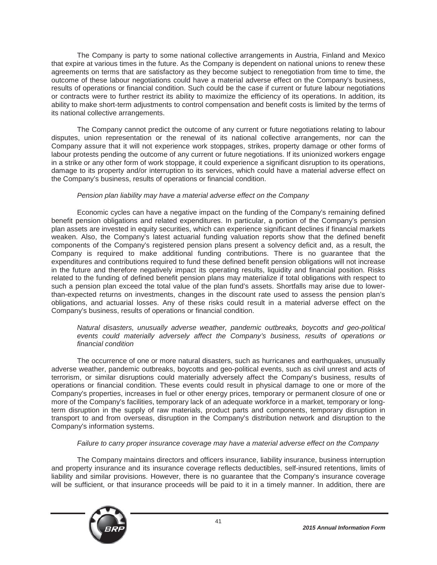The Company is party to some national collective arrangements in Austria, Finland and Mexico that expire at various times in the future. As the Company is dependent on national unions to renew these agreements on terms that are satisfactory as they become subject to renegotiation from time to time, the outcome of these labour negotiations could have a material adverse effect on the Company's business, results of operations or financial condition. Such could be the case if current or future labour negotiations or contracts were to further restrict its ability to maximize the efficiency of its operations. In addition, its ability to make short-term adjustments to control compensation and benefit costs is limited by the terms of its national collective arrangements.

The Company cannot predict the outcome of any current or future negotiations relating to labour disputes, union representation or the renewal of its national collective arrangements, nor can the Company assure that it will not experience work stoppages, strikes, property damage or other forms of labour protests pending the outcome of any current or future negotiations. If its unionized workers engage in a strike or any other form of work stoppage, it could experience a significant disruption to its operations, damage to its property and/or interruption to its services, which could have a material adverse effect on the Company's business, results of operations or financial condition.

# *Pension plan liability may have a material adverse effect on the Company*

Economic cycles can have a negative impact on the funding of the Company's remaining defined benefit pension obligations and related expenditures. In particular, a portion of the Company's pension plan assets are invested in equity securities, which can experience significant declines if financial markets weaken. Also, the Company's latest actuarial funding valuation reports show that the defined benefit components of the Company's registered pension plans present a solvency deficit and, as a result, the Company is required to make additional funding contributions. There is no guarantee that the expenditures and contributions required to fund these defined benefit pension obligations will not increase in the future and therefore negatively impact its operating results, liquidity and financial position. Risks related to the funding of defined benefit pension plans may materialize if total obligations with respect to such a pension plan exceed the total value of the plan fund's assets. Shortfalls may arise due to lowerthan-expected returns on investments, changes in the discount rate used to assess the pension plan's obligations, and actuarial losses. Any of these risks could result in a material adverse effect on the Company's business, results of operations or financial condition.

## *Natural disasters, unusually adverse weather, pandemic outbreaks, boycotts and geo-political events could materially adversely affect the Company's business, results of operations or financial condition*

The occurrence of one or more natural disasters, such as hurricanes and earthquakes, unusually adverse weather, pandemic outbreaks, boycotts and geo-political events, such as civil unrest and acts of terrorism, or similar disruptions could materially adversely affect the Company's business, results of operations or financial condition. These events could result in physical damage to one or more of the Company's properties, increases in fuel or other energy prices, temporary or permanent closure of one or more of the Company's facilities, temporary lack of an adequate workforce in a market, temporary or longterm disruption in the supply of raw materials, product parts and components, temporary disruption in transport to and from overseas, disruption in the Company's distribution network and disruption to the Company's information systems.

# *Failure to carry proper insurance coverage may have a material adverse effect on the Company*

The Company maintains directors and officers insurance, liability insurance, business interruption and property insurance and its insurance coverage reflects deductibles, self-insured retentions, limits of liability and similar provisions. However, there is no guarantee that the Company's insurance coverage will be sufficient, or that insurance proceeds will be paid to it in a timely manner. In addition, there are

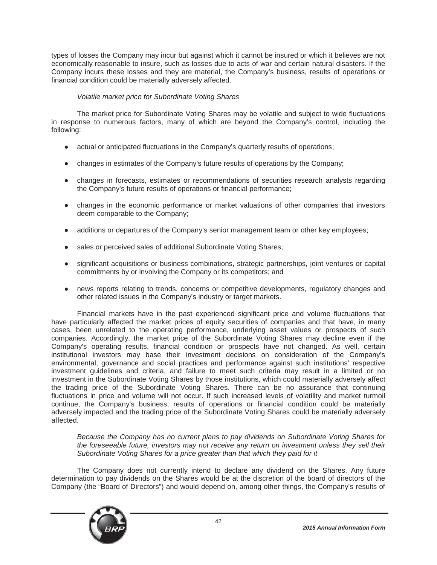types of losses the Company may incur but against which it cannot be insured or which it believes are not economically reasonable to insure, such as losses due to acts of war and certain natural disasters. If the Company incurs these losses and they are material, the Company's business, results of operations or financial condition could be materially adversely affected.

# *Volatile market price for Subordinate Voting Shares*

The market price for Subordinate Voting Shares may be volatile and subject to wide fluctuations in response to numerous factors, many of which are beyond the Company's control, including the following:

- actual or anticipated fluctuations in the Company's quarterly results of operations;
- changes in estimates of the Company's future results of operations by the Company;
- changes in forecasts, estimates or recommendations of securities research analysts regarding the Company's future results of operations or financial performance;
- changes in the economic performance or market valuations of other companies that investors deem comparable to the Company;
- additions or departures of the Company's senior management team or other key employees;
- sales or perceived sales of additional Subordinate Voting Shares;
- significant acquisitions or business combinations, strategic partnerships, joint ventures or capital commitments by or involving the Company or its competitors; and
- news reports relating to trends, concerns or competitive developments, regulatory changes and other related issues in the Company's industry or target markets.

Financial markets have in the past experienced significant price and volume fluctuations that have particularly affected the market prices of equity securities of companies and that have, in many cases, been unrelated to the operating performance, underlying asset values or prospects of such companies. Accordingly, the market price of the Subordinate Voting Shares may decline even if the Company's operating results, financial condition or prospects have not changed. As well, certain institutional investors may base their investment decisions on consideration of the Company's environmental, governance and social practices and performance against such institutions' respective investment guidelines and criteria, and failure to meet such criteria may result in a limited or no investment in the Subordinate Voting Shares by those institutions, which could materially adversely affect the trading price of the Subordinate Voting Shares. There can be no assurance that continuing fluctuations in price and volume will not occur. If such increased levels of volatility and market turmoil continue, the Company's business, results of operations or financial condition could be materially adversely impacted and the trading price of the Subordinate Voting Shares could be materially adversely affected.

*Because the Company has no current plans to pay dividends on Subordinate Voting Shares for the foreseeable future, investors may not receive any return on investment unless they sell their Subordinate Voting Shares for a price greater than that which they paid for it*

The Company does not currently intend to declare any dividend on the Shares. Any future determination to pay dividends on the Shares would be at the discretion of the board of directors of the Company (the "Board of Directors") and would depend on, among other things, the Company's results of

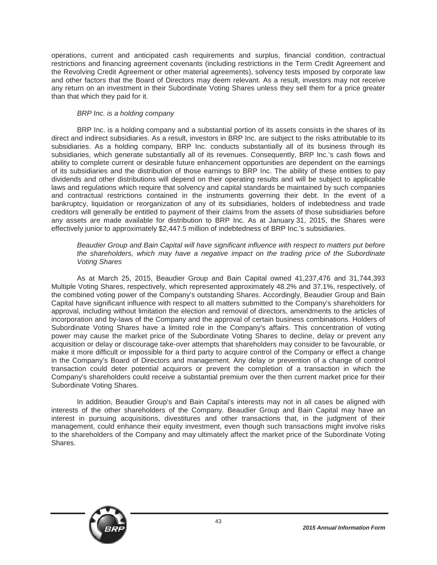operations, current and anticipated cash requirements and surplus, financial condition, contractual restrictions and financing agreement covenants (including restrictions in the Term Credit Agreement and the Revolving Credit Agreement or other material agreements), solvency tests imposed by corporate law and other factors that the Board of Directors may deem relevant. As a result, investors may not receive any return on an investment in their Subordinate Voting Shares unless they sell them for a price greater than that which they paid for it.

### *BRP Inc. is a holding company*

BRP Inc. is a holding company and a substantial portion of its assets consists in the shares of its direct and indirect subsidiaries. As a result, investors in BRP Inc. are subject to the risks attributable to its subsidiaries. As a holding company, BRP Inc. conducts substantially all of its business through its subsidiaries, which generate substantially all of its revenues. Consequently, BRP Inc.'s cash flows and ability to complete current or desirable future enhancement opportunities are dependent on the earnings of its subsidiaries and the distribution of those earnings to BRP Inc. The ability of these entities to pay dividends and other distributions will depend on their operating results and will be subject to applicable laws and regulations which require that solvency and capital standards be maintained by such companies and contractual restrictions contained in the instruments governing their debt. In the event of a bankruptcy, liquidation or reorganization of any of its subsidiaries, holders of indebtedness and trade creditors will generally be entitled to payment of their claims from the assets of those subsidiaries before any assets are made available for distribution to BRP Inc. As at January 31, 2015, the Shares were effectively junior to approximately \$2,447.5 million of indebtedness of BRP Inc.'s subsidiaries.

### *Beaudier Group and Bain Capital will have significant influence with respect to matters put before the shareholders, which may have a negative impact on the trading price of the Subordinate Voting Shares*

As at March 25, 2015, Beaudier Group and Bain Capital owned 41,237,476 and 31,744,393 Multiple Voting Shares, respectively, which represented approximately 48.2% and 37.1%, respectively, of the combined voting power of the Company's outstanding Shares. Accordingly, Beaudier Group and Bain Capital have significant influence with respect to all matters submitted to the Company's shareholders for approval, including without limitation the election and removal of directors, amendments to the articles of incorporation and by-laws of the Company and the approval of certain business combinations. Holders of Subordinate Voting Shares have a limited role in the Company's affairs. This concentration of voting power may cause the market price of the Subordinate Voting Shares to decline, delay or prevent any acquisition or delay or discourage take-over attempts that shareholders may consider to be favourable, or make it more difficult or impossible for a third party to acquire control of the Company or effect a change in the Company's Board of Directors and management. Any delay or prevention of a change of control transaction could deter potential acquirors or prevent the completion of a transaction in which the Company's shareholders could receive a substantial premium over the then current market price for their Subordinate Voting Shares.

In addition, Beaudier Group's and Bain Capital's interests may not in all cases be aligned with interests of the other shareholders of the Company. Beaudier Group and Bain Capital may have an interest in pursuing acquisitions, divestitures and other transactions that, in the judgment of their management, could enhance their equity investment, even though such transactions might involve risks to the shareholders of the Company and may ultimately affect the market price of the Subordinate Voting Shares.

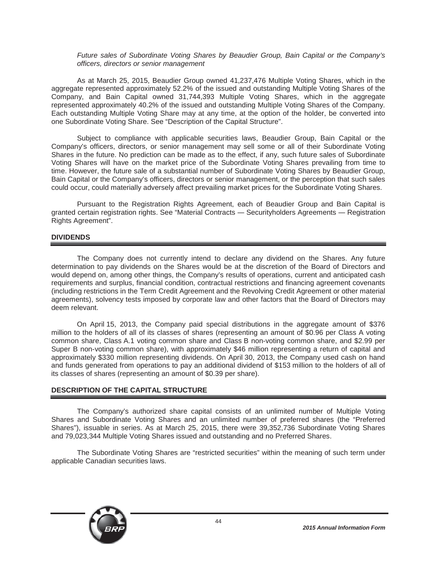### *Future sales of Subordinate Voting Shares by Beaudier Group, Bain Capital or the Company's officers, directors or senior management*

As at March 25, 2015, Beaudier Group owned 41,237,476 Multiple Voting Shares, which in the aggregate represented approximately 52.2% of the issued and outstanding Multiple Voting Shares of the Company, and Bain Capital owned 31,744,393 Multiple Voting Shares, which in the aggregate represented approximately 40.2% of the issued and outstanding Multiple Voting Shares of the Company. Each outstanding Multiple Voting Share may at any time, at the option of the holder, be converted into one Subordinate Voting Share. See "Description of the Capital Structure".

Subject to compliance with applicable securities laws, Beaudier Group, Bain Capital or the Company's officers, directors, or senior management may sell some or all of their Subordinate Voting Shares in the future. No prediction can be made as to the effect, if any, such future sales of Subordinate Voting Shares will have on the market price of the Subordinate Voting Shares prevailing from time to time. However, the future sale of a substantial number of Subordinate Voting Shares by Beaudier Group, Bain Capital or the Company's officers, directors or senior management, or the perception that such sales could occur, could materially adversely affect prevailing market prices for the Subordinate Voting Shares.

Pursuant to the Registration Rights Agreement, each of Beaudier Group and Bain Capital is granted certain registration rights. See "Material Contracts - Securityholders Agreements - Registration Rights Agreement".

# **DIVIDENDS**

The Company does not currently intend to declare any dividend on the Shares. Any future determination to pay dividends on the Shares would be at the discretion of the Board of Directors and would depend on, among other things, the Company's results of operations, current and anticipated cash requirements and surplus, financial condition, contractual restrictions and financing agreement covenants (including restrictions in the Term Credit Agreement and the Revolving Credit Agreement or other material agreements), solvency tests imposed by corporate law and other factors that the Board of Directors may deem relevant.

On April 15, 2013, the Company paid special distributions in the aggregate amount of \$376 million to the holders of all of its classes of shares (representing an amount of \$0.96 per Class A voting common share, Class A.1 voting common share and Class B non-voting common share, and \$2.99 per Super B non-voting common share), with approximately \$46 million representing a return of capital and approximately \$330 million representing dividends. On April 30, 2013, the Company used cash on hand and funds generated from operations to pay an additional dividend of \$153 million to the holders of all of its classes of shares (representing an amount of \$0.39 per share).

# **DESCRIPTION OF THE CAPITAL STRUCTURE**

The Company's authorized share capital consists of an unlimited number of Multiple Voting Shares and Subordinate Voting Shares and an unlimited number of preferred shares (the "Preferred Shares"), issuable in series. As at March 25, 2015, there were 39,352,736 Subordinate Voting Shares and 79,023,344 Multiple Voting Shares issued and outstanding and no Preferred Shares.

The Subordinate Voting Shares are "restricted securities" within the meaning of such term under applicable Canadian securities laws.

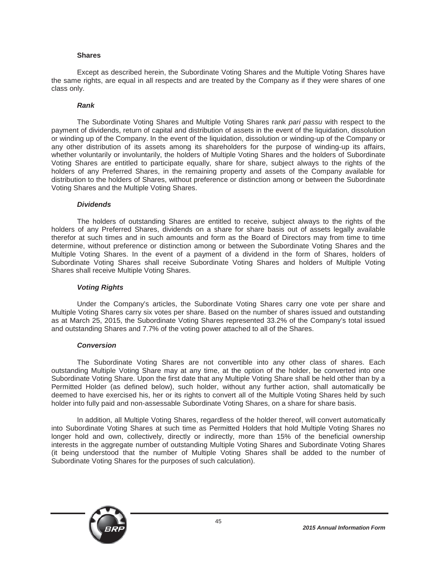#### **Shares**

Except as described herein, the Subordinate Voting Shares and the Multiple Voting Shares have the same rights, are equal in all respects and are treated by the Company as if they were shares of one class only.

#### *Rank*

The Subordinate Voting Shares and Multiple Voting Shares rank *pari passu* with respect to the payment of dividends, return of capital and distribution of assets in the event of the liquidation, dissolution or winding up of the Company. In the event of the liquidation, dissolution or winding-up of the Company or any other distribution of its assets among its shareholders for the purpose of winding-up its affairs, whether voluntarily or involuntarily, the holders of Multiple Voting Shares and the holders of Subordinate Voting Shares are entitled to participate equally, share for share, subject always to the rights of the holders of any Preferred Shares, in the remaining property and assets of the Company available for distribution to the holders of Shares, without preference or distinction among or between the Subordinate Voting Shares and the Multiple Voting Shares.

#### *Dividends*

The holders of outstanding Shares are entitled to receive, subject always to the rights of the holders of any Preferred Shares, dividends on a share for share basis out of assets legally available therefor at such times and in such amounts and form as the Board of Directors may from time to time determine, without preference or distinction among or between the Subordinate Voting Shares and the Multiple Voting Shares. In the event of a payment of a dividend in the form of Shares, holders of Subordinate Voting Shares shall receive Subordinate Voting Shares and holders of Multiple Voting Shares shall receive Multiple Voting Shares.

#### *Voting Rights*

Under the Company's articles, the Subordinate Voting Shares carry one vote per share and Multiple Voting Shares carry six votes per share. Based on the number of shares issued and outstanding as at March 25, 2015, the Subordinate Voting Shares represented 33.2% of the Company's total issued and outstanding Shares and 7.7% of the voting power attached to all of the Shares.

#### *Conversion*

The Subordinate Voting Shares are not convertible into any other class of shares. Each outstanding Multiple Voting Share may at any time, at the option of the holder, be converted into one Subordinate Voting Share. Upon the first date that any Multiple Voting Share shall be held other than by a Permitted Holder (as defined below), such holder, without any further action, shall automatically be deemed to have exercised his, her or its rights to convert all of the Multiple Voting Shares held by such holder into fully paid and non-assessable Subordinate Voting Shares, on a share for share basis.

In addition, all Multiple Voting Shares, regardless of the holder thereof, will convert automatically into Subordinate Voting Shares at such time as Permitted Holders that hold Multiple Voting Shares no longer hold and own, collectively, directly or indirectly, more than 15% of the beneficial ownership interests in the aggregate number of outstanding Multiple Voting Shares and Subordinate Voting Shares (it being understood that the number of Multiple Voting Shares shall be added to the number of Subordinate Voting Shares for the purposes of such calculation).

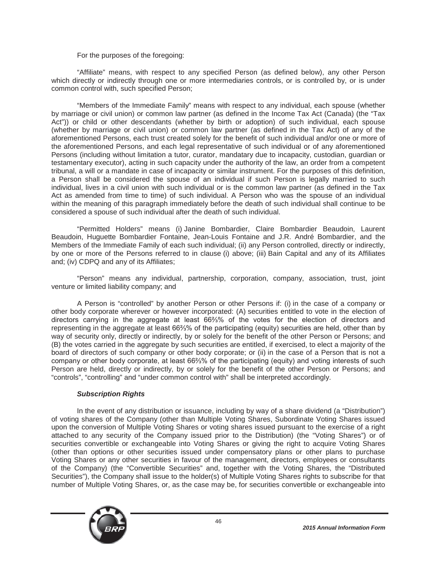### For the purposes of the foregoing:

"Affiliate" means, with respect to any specified Person (as defined below), any other Person which directly or indirectly through one or more intermediaries controls, or is controlled by, or is under common control with, such specified Person;

"Members of the Immediate Family" means with respect to any individual, each spouse (whether by marriage or civil union) or common law partner (as defined in the Income Tax Act (Canada) (the "Tax Act")) or child or other descendants (whether by birth or adoption) of such individual, each spouse (whether by marriage or civil union) or common law partner (as defined in the Tax Act) of any of the aforementioned Persons, each trust created solely for the benefit of such individual and/or one or more of the aforementioned Persons, and each legal representative of such individual or of any aforementioned Persons (including without limitation a tutor, curator, mandatary due to incapacity, custodian, guardian or testamentary executor), acting in such capacity under the authority of the law, an order from a competent tribunal, a will or a mandate in case of incapacity or similar instrument. For the purposes of this definition, a Person shall be considered the spouse of an individual if such Person is legally married to such individual, lives in a civil union with such individual or is the common law partner (as defined in the Tax Act as amended from time to time) of such individual. A Person who was the spouse of an individual within the meaning of this paragraph immediately before the death of such individual shall continue to be considered a spouse of such individual after the death of such individual.

"Permitted Holders" means (i) Janine Bombardier, Claire Bombardier Beaudoin, Laurent Beaudoin, Huguette Bombardier Fontaine, Jean-Louis Fontaine and J.R. André Bombardier, and the Members of the Immediate Family of each such individual; (ii) any Person controlled, directly or indirectly, by one or more of the Persons referred to in clause (i) above; (iii) Bain Capital and any of its Affiliates and; (iv) CDPQ and any of its Affiliates;

"Person" means any individual, partnership, corporation, company, association, trust, joint venture or limited liability company; and

A Person is "controlled" by another Person or other Persons if: (i) in the case of a company or other body corporate wherever or however incorporated: (A) securities entitled to vote in the election of directors carrying in the aggregate at least  $66\frac{2}{3}$ % of the votes for the election of directors and representing in the aggregate at least 66%% of the participating (equity) securities are held, other than by way of security only, directly or indirectly, by or solely for the benefit of the other Person or Persons; and (B) the votes carried in the aggregate by such securities are entitled, if exercised, to elect a majority of the board of directors of such company or other body corporate; or (ii) in the case of a Person that is not a company or other body corporate, at least 66%% of the participating (equity) and voting interests of such Person are held, directly or indirectly, by or solely for the benefit of the other Person or Persons; and "controls", "controlling" and "under common control with" shall be interpreted accordingly.

#### *Subscription Rights*

In the event of any distribution or issuance, including by way of a share dividend (a "Distribution") of voting shares of the Company (other than Multiple Voting Shares, Subordinate Voting Shares issued upon the conversion of Multiple Voting Shares or voting shares issued pursuant to the exercise of a right attached to any security of the Company issued prior to the Distribution) (the "Voting Shares") or of securities convertible or exchangeable into Voting Shares or giving the right to acquire Voting Shares (other than options or other securities issued under compensatory plans or other plans to purchase Voting Shares or any other securities in favour of the management, directors, employees or consultants of the Company) (the "Convertible Securities" and, together with the Voting Shares, the "Distributed Securities"), the Company shall issue to the holder(s) of Multiple Voting Shares rights to subscribe for that number of Multiple Voting Shares, or, as the case may be, for securities convertible or exchangeable into

46

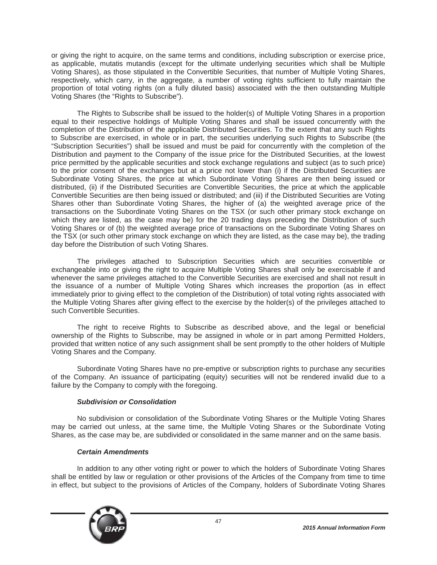or giving the right to acquire, on the same terms and conditions, including subscription or exercise price, as applicable, mutatis mutandis (except for the ultimate underlying securities which shall be Multiple Voting Shares), as those stipulated in the Convertible Securities, that number of Multiple Voting Shares, respectively, which carry, in the aggregate, a number of voting rights sufficient to fully maintain the proportion of total voting rights (on a fully diluted basis) associated with the then outstanding Multiple Voting Shares (the "Rights to Subscribe").

The Rights to Subscribe shall be issued to the holder(s) of Multiple Voting Shares in a proportion equal to their respective holdings of Multiple Voting Shares and shall be issued concurrently with the completion of the Distribution of the applicable Distributed Securities. To the extent that any such Rights to Subscribe are exercised, in whole or in part, the securities underlying such Rights to Subscribe (the "Subscription Securities") shall be issued and must be paid for concurrently with the completion of the Distribution and payment to the Company of the issue price for the Distributed Securities, at the lowest price permitted by the applicable securities and stock exchange regulations and subject (as to such price) to the prior consent of the exchanges but at a price not lower than (i) if the Distributed Securities are Subordinate Voting Shares, the price at which Subordinate Voting Shares are then being issued or distributed, (ii) if the Distributed Securities are Convertible Securities, the price at which the applicable Convertible Securities are then being issued or distributed; and (iii) if the Distributed Securities are Voting Shares other than Subordinate Voting Shares, the higher of (a) the weighted average price of the transactions on the Subordinate Voting Shares on the TSX (or such other primary stock exchange on which they are listed, as the case may be) for the 20 trading days preceding the Distribution of such Voting Shares or of (b) the weighted average price of transactions on the Subordinate Voting Shares on the TSX (or such other primary stock exchange on which they are listed, as the case may be), the trading day before the Distribution of such Voting Shares.

The privileges attached to Subscription Securities which are securities convertible or exchangeable into or giving the right to acquire Multiple Voting Shares shall only be exercisable if and whenever the same privileges attached to the Convertible Securities are exercised and shall not result in the issuance of a number of Multiple Voting Shares which increases the proportion (as in effect immediately prior to giving effect to the completion of the Distribution) of total voting rights associated with the Multiple Voting Shares after giving effect to the exercise by the holder(s) of the privileges attached to such Convertible Securities.

The right to receive Rights to Subscribe as described above, and the legal or beneficial ownership of the Rights to Subscribe, may be assigned in whole or in part among Permitted Holders, provided that written notice of any such assignment shall be sent promptly to the other holders of Multiple Voting Shares and the Company.

Subordinate Voting Shares have no pre-emptive or subscription rights to purchase any securities of the Company. An issuance of participating (equity) securities will not be rendered invalid due to a failure by the Company to comply with the foregoing.

# *Subdivision or Consolidation*

No subdivision or consolidation of the Subordinate Voting Shares or the Multiple Voting Shares may be carried out unless, at the same time, the Multiple Voting Shares or the Subordinate Voting Shares, as the case may be, are subdivided or consolidated in the same manner and on the same basis.

# *Certain Amendments*

In addition to any other voting right or power to which the holders of Subordinate Voting Shares shall be entitled by law or regulation or other provisions of the Articles of the Company from time to time in effect, but subject to the provisions of Articles of the Company, holders of Subordinate Voting Shares

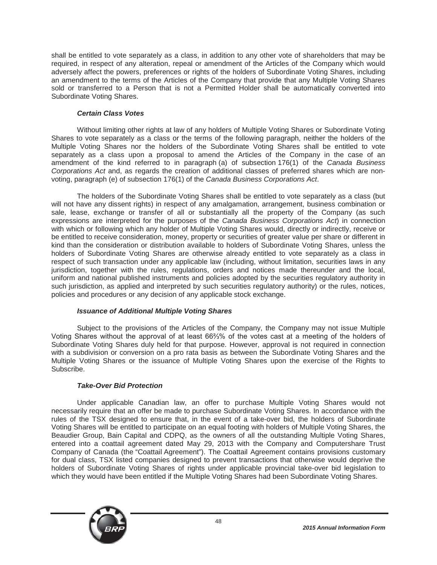shall be entitled to vote separately as a class, in addition to any other vote of shareholders that may be required, in respect of any alteration, repeal or amendment of the Articles of the Company which would adversely affect the powers, preferences or rights of the holders of Subordinate Voting Shares, including an amendment to the terms of the Articles of the Company that provide that any Multiple Voting Shares sold or transferred to a Person that is not a Permitted Holder shall be automatically converted into Subordinate Voting Shares.

# *Certain Class Votes*

Without limiting other rights at law of any holders of Multiple Voting Shares or Subordinate Voting Shares to vote separately as a class or the terms of the following paragraph, neither the holders of the Multiple Voting Shares nor the holders of the Subordinate Voting Shares shall be entitled to vote separately as a class upon a proposal to amend the Articles of the Company in the case of an amendment of the kind referred to in paragraph (a) of subsection 176(1) of the *Canada Business Corporations Act* and, as regards the creation of additional classes of preferred shares which are nonvoting, paragraph (e) of subsection 176(1) of the *Canada Business Corporations Act*.

The holders of the Subordinate Voting Shares shall be entitled to vote separately as a class (but will not have any dissent rights) in respect of any amalgamation, arrangement, business combination or sale, lease, exchange or transfer of all or substantially all the property of the Company (as such expressions are interpreted for the purposes of the *Canada Business Corporations Act*) in connection with which or following which any holder of Multiple Voting Shares would, directly or indirectly, receive or be entitled to receive consideration, money, property or securities of greater value per share or different in kind than the consideration or distribution available to holders of Subordinate Voting Shares, unless the holders of Subordinate Voting Shares are otherwise already entitled to vote separately as a class in respect of such transaction under any applicable law (including, without limitation, securities laws in any jurisdiction, together with the rules, regulations, orders and notices made thereunder and the local, uniform and national published instruments and policies adopted by the securities regulatory authority in such jurisdiction, as applied and interpreted by such securities regulatory authority) or the rules, notices, policies and procedures or any decision of any applicable stock exchange.

# *Issuance of Additional Multiple Voting Shares*

Subject to the provisions of the Articles of the Company, the Company may not issue Multiple Voting Shares without the approval of at least 66%% of the votes cast at a meeting of the holders of Subordinate Voting Shares duly held for that purpose. However, approval is not required in connection with a subdivision or conversion on a pro rata basis as between the Subordinate Voting Shares and the Multiple Voting Shares or the issuance of Multiple Voting Shares upon the exercise of the Rights to Subscribe.

# *Take-Over Bid Protection*

Under applicable Canadian law, an offer to purchase Multiple Voting Shares would not necessarily require that an offer be made to purchase Subordinate Voting Shares. In accordance with the rules of the TSX designed to ensure that, in the event of a take-over bid, the holders of Subordinate Voting Shares will be entitled to participate on an equal footing with holders of Multiple Voting Shares, the Beaudier Group, Bain Capital and CDPQ, as the owners of all the outstanding Multiple Voting Shares, entered into a coattail agreement dated May 29, 2013 with the Company and Computershare Trust Company of Canada (the "Coattail Agreement"). The Coattail Agreement contains provisions customary for dual class, TSX listed companies designed to prevent transactions that otherwise would deprive the holders of Subordinate Voting Shares of rights under applicable provincial take-over bid legislation to which they would have been entitled if the Multiple Voting Shares had been Subordinate Voting Shares.

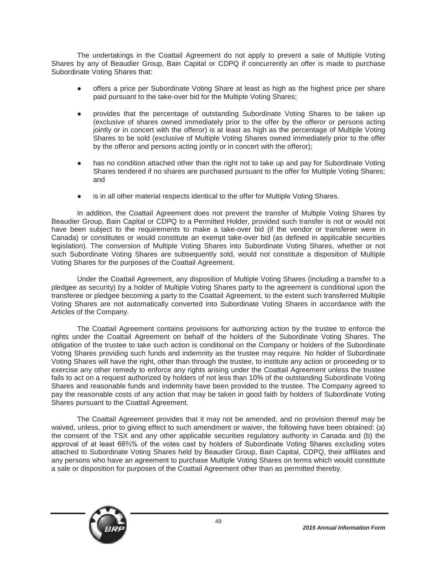The undertakings in the Coattail Agreement do not apply to prevent a sale of Multiple Voting Shares by any of Beaudier Group, Bain Capital or CDPQ if concurrently an offer is made to purchase Subordinate Voting Shares that:

- Ɣ offers a price per Subordinate Voting Share at least as high as the highest price per share paid pursuant to the take-over bid for the Multiple Voting Shares;
- provides that the percentage of outstanding Subordinate Voting Shares to be taken up (exclusive of shares owned immediately prior to the offer by the offeror or persons acting jointly or in concert with the offeror) is at least as high as the percentage of Multiple Voting Shares to be sold (exclusive of Multiple Voting Shares owned immediately prior to the offer by the offeror and persons acting jointly or in concert with the offeror);
- has no condition attached other than the right not to take up and pay for Subordinate Voting Shares tendered if no shares are purchased pursuant to the offer for Multiple Voting Shares; and
- is in all other material respects identical to the offer for Multiple Voting Shares.

In addition, the Coattail Agreement does not prevent the transfer of Multiple Voting Shares by Beaudier Group, Bain Capital or CDPQ to a Permitted Holder, provided such transfer is not or would not have been subject to the requirements to make a take-over bid (if the vendor or transferee were in Canada) or constitutes or would constitute an exempt take-over bid (as defined in applicable securities legislation). The conversion of Multiple Voting Shares into Subordinate Voting Shares, whether or not such Subordinate Voting Shares are subsequently sold, would not constitute a disposition of Multiple Voting Shares for the purposes of the Coattail Agreement.

Under the Coattail Agreement, any disposition of Multiple Voting Shares (including a transfer to a pledgee as security) by a holder of Multiple Voting Shares party to the agreement is conditional upon the transferee or pledgee becoming a party to the Coattail Agreement, to the extent such transferred Multiple Voting Shares are not automatically converted into Subordinate Voting Shares in accordance with the Articles of the Company.

The Coattail Agreement contains provisions for authorizing action by the trustee to enforce the rights under the Coattail Agreement on behalf of the holders of the Subordinate Voting Shares. The obligation of the trustee to take such action is conditional on the Company or holders of the Subordinate Voting Shares providing such funds and indemnity as the trustee may require. No holder of Subordinate Voting Shares will have the right, other than through the trustee, to institute any action or proceeding or to exercise any other remedy to enforce any rights arising under the Coattail Agreement unless the trustee fails to act on a request authorized by holders of not less than 10% of the outstanding Subordinate Voting Shares and reasonable funds and indemnity have been provided to the trustee. The Company agreed to pay the reasonable costs of any action that may be taken in good faith by holders of Subordinate Voting Shares pursuant to the Coattail Agreement.

The Coattail Agreement provides that it may not be amended, and no provision thereof may be waived, unless, prior to giving effect to such amendment or waiver, the following have been obtained: (a) the consent of the TSX and any other applicable securities regulatory authority in Canada and (b) the approval of at least 66%% of the votes cast by holders of Subordinate Voting Shares excluding votes attached to Subordinate Voting Shares held by Beaudier Group, Bain Capital, CDPQ, their affiliates and any persons who have an agreement to purchase Multiple Voting Shares on terms which would constitute a sale or disposition for purposes of the Coattail Agreement other than as permitted thereby.

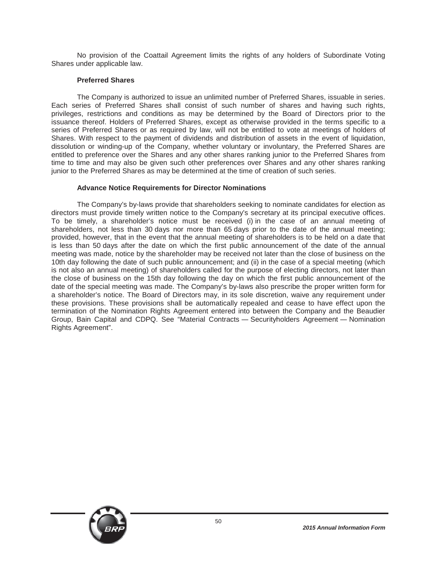No provision of the Coattail Agreement limits the rights of any holders of Subordinate Voting Shares under applicable law.

### **Preferred Shares**

The Company is authorized to issue an unlimited number of Preferred Shares, issuable in series. Each series of Preferred Shares shall consist of such number of shares and having such rights, privileges, restrictions and conditions as may be determined by the Board of Directors prior to the issuance thereof. Holders of Preferred Shares, except as otherwise provided in the terms specific to a series of Preferred Shares or as required by law, will not be entitled to vote at meetings of holders of Shares. With respect to the payment of dividends and distribution of assets in the event of liquidation, dissolution or winding-up of the Company, whether voluntary or involuntary, the Preferred Shares are entitled to preference over the Shares and any other shares ranking junior to the Preferred Shares from time to time and may also be given such other preferences over Shares and any other shares ranking junior to the Preferred Shares as may be determined at the time of creation of such series.

### **Advance Notice Requirements for Director Nominations**

The Company's by-laws provide that shareholders seeking to nominate candidates for election as directors must provide timely written notice to the Company's secretary at its principal executive offices. To be timely, a shareholder's notice must be received (i) in the case of an annual meeting of shareholders, not less than 30 days nor more than 65 days prior to the date of the annual meeting; provided, however, that in the event that the annual meeting of shareholders is to be held on a date that is less than 50 days after the date on which the first public announcement of the date of the annual meeting was made, notice by the shareholder may be received not later than the close of business on the 10th day following the date of such public announcement; and (ii) in the case of a special meeting (which is not also an annual meeting) of shareholders called for the purpose of electing directors, not later than the close of business on the 15th day following the day on which the first public announcement of the date of the special meeting was made. The Company's by-laws also prescribe the proper written form for a shareholder's notice. The Board of Directors may, in its sole discretion, waive any requirement under these provisions. These provisions shall be automatically repealed and cease to have effect upon the termination of the Nomination Rights Agreement entered into between the Company and the Beaudier Group, Bain Capital and CDPQ. See "Material Contracts - Securityholders Agreement - Nomination Rights Agreement".

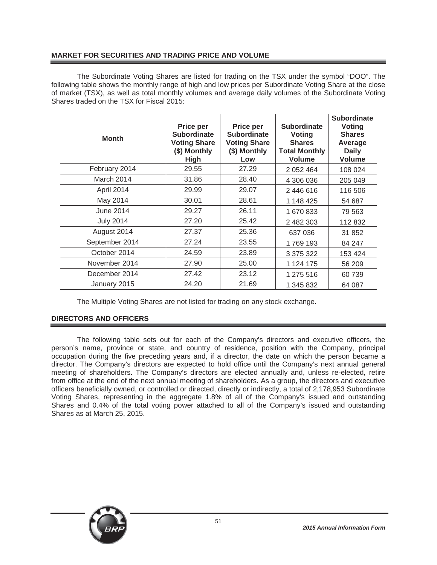# **MARKET FOR SECURITIES AND TRADING PRICE AND VOLUME**

The Subordinate Voting Shares are listed for trading on the TSX under the symbol "DOO". The following table shows the monthly range of high and low prices per Subordinate Voting Share at the close of market (TSX), as well as total monthly volumes and average daily volumes of the Subordinate Voting Shares traded on the TSX for Fiscal 2015:

| <b>Month</b>     | Price per<br><b>Subordinate</b><br><b>Voting Share</b><br>(\$) Monthly<br><b>High</b> | Price per<br><b>Subordinate</b><br><b>Voting Share</b><br>(\$) Monthly<br>Low | <b>Subordinate</b><br><b>Voting</b><br><b>Shares</b><br><b>Total Monthly</b><br>Volume | <b>Subordinate</b><br>Voting<br><b>Shares</b><br>Average<br><b>Daily</b><br><b>Volume</b> |
|------------------|---------------------------------------------------------------------------------------|-------------------------------------------------------------------------------|----------------------------------------------------------------------------------------|-------------------------------------------------------------------------------------------|
| February 2014    | 29.55                                                                                 | 27.29                                                                         | 2 0 5 2 4 6 4                                                                          | 108 024                                                                                   |
| March 2014       | 31.86                                                                                 | 28.40                                                                         | 4 306 036                                                                              | 205 049                                                                                   |
| April 2014       | 29.99                                                                                 | 29.07                                                                         | 2 446 616                                                                              | 116 506                                                                                   |
| May 2014         | 30.01                                                                                 | 28.61                                                                         | 1 148 425                                                                              | 54 687                                                                                    |
| <b>June 2014</b> | 29.27                                                                                 | 26.11                                                                         | 1 670 833                                                                              | 79 563                                                                                    |
| <b>July 2014</b> | 27.20                                                                                 | 25.42                                                                         | 2 482 303                                                                              | 112 832                                                                                   |
| August 2014      | 27.37                                                                                 | 25.36                                                                         | 637 036                                                                                | 31 852                                                                                    |
| September 2014   | 27.24                                                                                 | 23.55                                                                         | 1769 193                                                                               | 84 247                                                                                    |
| October 2014     | 24.59                                                                                 | 23.89                                                                         | 3 375 322                                                                              | 153 424                                                                                   |
| November 2014    | 27.90                                                                                 | 25.00                                                                         | 1 124 175                                                                              | 56 209                                                                                    |
| December 2014    | 27.42                                                                                 | 23.12                                                                         | 1 275 516                                                                              | 60739                                                                                     |
| January 2015     | 24.20                                                                                 | 21.69                                                                         | 1 345 832                                                                              | 64 087                                                                                    |

The Multiple Voting Shares are not listed for trading on any stock exchange.

# **DIRECTORS AND OFFICERS**

The following table sets out for each of the Company's directors and executive officers, the person's name, province or state, and country of residence, position with the Company, principal occupation during the five preceding years and, if a director, the date on which the person became a director. The Company's directors are expected to hold office until the Company's next annual general meeting of shareholders. The Company's directors are elected annually and, unless re-elected, retire from office at the end of the next annual meeting of shareholders. As a group, the directors and executive officers beneficially owned, or controlled or directed, directly or indirectly, a total of 2,178,953 Subordinate Voting Shares, representing in the aggregate 1.8% of all of the Company's issued and outstanding Shares and 0.4% of the total voting power attached to all of the Company's issued and outstanding Shares as at March 25, 2015.

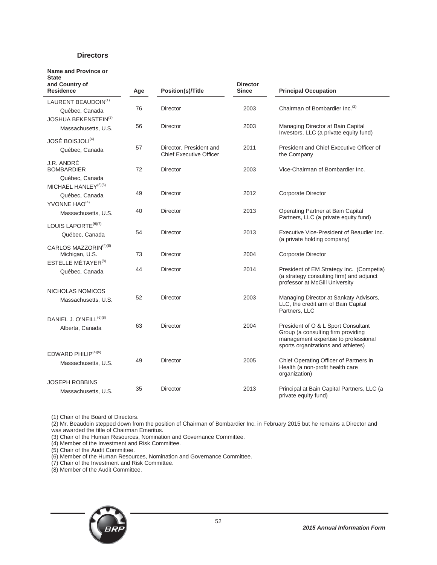### **Directors**

| Name and Province or<br><b>State</b><br>and Country of<br><b>Residence</b> | Age | <b>Position(s)/Title</b>                                  | <b>Director</b><br><b>Since</b> | <b>Principal Occupation</b>                                                                                                                             |
|----------------------------------------------------------------------------|-----|-----------------------------------------------------------|---------------------------------|---------------------------------------------------------------------------------------------------------------------------------------------------------|
| LAURENT BEAUDOIN(1)                                                        |     |                                                           |                                 |                                                                                                                                                         |
| Québec, Canada                                                             | 76  | Director                                                  | 2003                            | Chairman of Bombardier Inc. <sup>(2)</sup>                                                                                                              |
| <b>JOSHUA BEKENSTEIN(3)</b>                                                |     |                                                           |                                 |                                                                                                                                                         |
| Massachusetts, U.S.                                                        | 56  | Director                                                  | 2003                            | Managing Director at Bain Capital<br>Investors, LLC (a private equity fund)                                                                             |
| JOSÉ BOISJOLI <sup>(4)</sup>                                               |     |                                                           |                                 |                                                                                                                                                         |
| Québec, Canada                                                             | 57  | Director, President and<br><b>Chief Executive Officer</b> | 2011                            | President and Chief Executive Officer of<br>the Company                                                                                                 |
| J.R. ANDRÉ<br><b>BOMBARDIER</b>                                            | 72  | Director                                                  | 2003                            | Vice-Chairman of Bombardier Inc.                                                                                                                        |
| Québec, Canada                                                             |     |                                                           |                                 |                                                                                                                                                         |
| MICHAEL HANLEY <sup>(5)(6)</sup>                                           | 49  | Director                                                  | 2012                            | <b>Corporate Director</b>                                                                                                                               |
| Québec, Canada                                                             |     |                                                           |                                 |                                                                                                                                                         |
| YVONNE HAO <sup>(4)</sup>                                                  | 40  | Director                                                  | 2013                            | Operating Partner at Bain Capital                                                                                                                       |
| Massachusetts, U.S.                                                        |     |                                                           |                                 | Partners, LLC (a private equity fund)                                                                                                                   |
| LOUIS LAPORTE <sup>(6)(7)</sup>                                            |     |                                                           |                                 |                                                                                                                                                         |
| Québec, Canada                                                             | 54  | Director                                                  | 2013                            | Executive Vice-President of Beaudier Inc.<br>(a private holding company)                                                                                |
| CARLOS MAZZORIN <sup>(4)(8)</sup>                                          |     |                                                           |                                 |                                                                                                                                                         |
| Michigan, U.S.                                                             | 73  | <b>Director</b>                                           | 2004                            | Corporate Director                                                                                                                                      |
| ESTELLE MÉTAYER <sup>(8)</sup>                                             |     |                                                           |                                 |                                                                                                                                                         |
| Québec, Canada                                                             | 44  | Director                                                  | 2014                            | President of EM Strategy Inc. (Competia)<br>(a strategy consulting firm) and adjunct<br>professor at McGill University                                  |
| NICHOLAS NOMICOS                                                           |     |                                                           |                                 |                                                                                                                                                         |
| Massachusetts, U.S.                                                        | 52  | <b>Director</b>                                           | 2003                            | Managing Director at Sankaty Advisors,<br>LLC, the credit arm of Bain Capital<br>Partners, LLC                                                          |
| DANIEL J. O'NEILL <sup>(6)(8)</sup>                                        |     |                                                           |                                 |                                                                                                                                                         |
| Alberta, Canada                                                            | 63  | <b>Director</b>                                           | 2004                            | President of O & L Sport Consultant<br>Group (a consulting firm providing<br>management expertise to professional<br>sports organizations and athletes) |
| EDWARD PHILIP <sup>(4)(6)</sup>                                            |     |                                                           |                                 |                                                                                                                                                         |
| Massachusetts, U.S.                                                        | 49  | Director                                                  | 2005                            | Chief Operating Officer of Partners in<br>Health (a non-profit health care<br>organization)                                                             |
| <b>JOSEPH ROBBINS</b>                                                      |     |                                                           |                                 |                                                                                                                                                         |
| Massachusetts, U.S.                                                        | 35  | Director                                                  | 2013                            | Principal at Bain Capital Partners, LLC (a<br>private equity fund)                                                                                      |

(1) Chair of the Board of Directors.

(2) Mr. Beaudoin stepped down from the position of Chairman of Bombardier Inc. in February 2015 but he remains a Director and was awarded the title of Chairman Emeritus.

(3) Chair of the Human Resources, Nomination and Governance Committee.

(4) Member of the Investment and Risk Committee.

(5) Chair of the Audit Committee.

(6) Member of the Human Resources, Nomination and Governance Committee.

(7) Chair of the Investment and Risk Committee.

(8) Member of the Audit Committee.

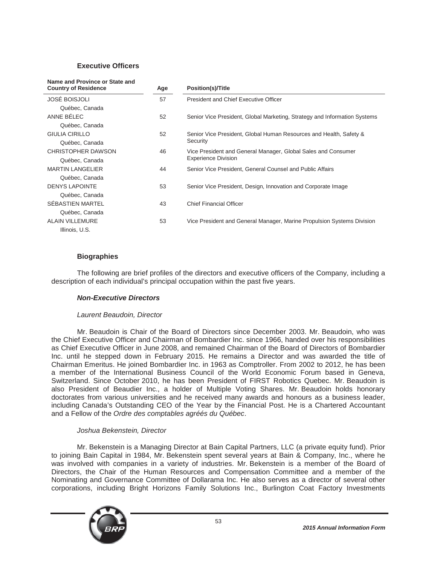# **Executive Officers**

| Name and Province or State and<br><b>Country of Residence</b> | Age                                                                 | <b>Position(s)/Title</b>                                                  |
|---------------------------------------------------------------|---------------------------------------------------------------------|---------------------------------------------------------------------------|
| <b>JOSÉ BOISJOLI</b>                                          | 57                                                                  | President and Chief Executive Officer                                     |
| Québec, Canada                                                |                                                                     |                                                                           |
| ANNE BÉLEC                                                    | 52                                                                  | Senior Vice President, Global Marketing, Strategy and Information Systems |
| Québec, Canada                                                |                                                                     |                                                                           |
| <b>GIULIA CIRILLO</b>                                         | 52                                                                  | Senior Vice President, Global Human Resources and Health, Safety &        |
| Québec, Canada                                                |                                                                     | Security                                                                  |
| CHRISTOPHER DAWSON                                            | 46<br>Vice President and General Manager, Global Sales and Consumer |                                                                           |
| Québec, Canada                                                |                                                                     | <b>Experience Division</b>                                                |
| <b>MARTIN LANGELIER</b>                                       | 44                                                                  | Senior Vice President, General Counsel and Public Affairs                 |
| Québec, Canada                                                |                                                                     |                                                                           |
| <b>DENYS LAPOINTE</b>                                         | 53                                                                  | Senior Vice President, Design, Innovation and Corporate Image             |
| Québec, Canada                                                |                                                                     |                                                                           |
| SEBASTIEN MARTEL                                              | 43                                                                  | <b>Chief Financial Officer</b>                                            |
| Québec, Canada                                                |                                                                     |                                                                           |
| <b>ALAIN VILLEMURE</b>                                        | 53                                                                  | Vice President and General Manager, Marine Propulsion Systems Division    |
| Illinois, U.S.                                                |                                                                     |                                                                           |

# **Biographies**

The following are brief profiles of the directors and executive officers of the Company, including a description of each individual's principal occupation within the past five years.

# *Non-Executive Directors*

#### *Laurent Beaudoin, Director*

Mr. Beaudoin is Chair of the Board of Directors since December 2003. Mr. Beaudoin, who was the Chief Executive Officer and Chairman of Bombardier Inc. since 1966, handed over his responsibilities as Chief Executive Officer in June 2008, and remained Chairman of the Board of Directors of Bombardier Inc. until he stepped down in February 2015. He remains a Director and was awarded the title of Chairman Emeritus. He joined Bombardier Inc. in 1963 as Comptroller. From 2002 to 2012, he has been a member of the International Business Council of the World Economic Forum based in Geneva, Switzerland. Since October 2010, he has been President of FIRST Robotics Quebec. Mr. Beaudoin is also President of Beaudier Inc., a holder of Multiple Voting Shares. Mr. Beaudoin holds honorary doctorates from various universities and he received many awards and honours as a business leader, including Canada's Outstanding CEO of the Year by the Financial Post. He is a Chartered Accountant and a Fellow of the *Ordre des comptables agréés du Québec*.

#### *Joshua Bekenstein, Director*

Mr. Bekenstein is a Managing Director at Bain Capital Partners, LLC (a private equity fund). Prior to joining Bain Capital in 1984, Mr. Bekenstein spent several years at Bain & Company, Inc., where he was involved with companies in a variety of industries. Mr. Bekenstein is a member of the Board of Directors, the Chair of the Human Resources and Compensation Committee and a member of the Nominating and Governance Committee of Dollarama Inc. He also serves as a director of several other corporations, including Bright Horizons Family Solutions Inc., Burlington Coat Factory Investments

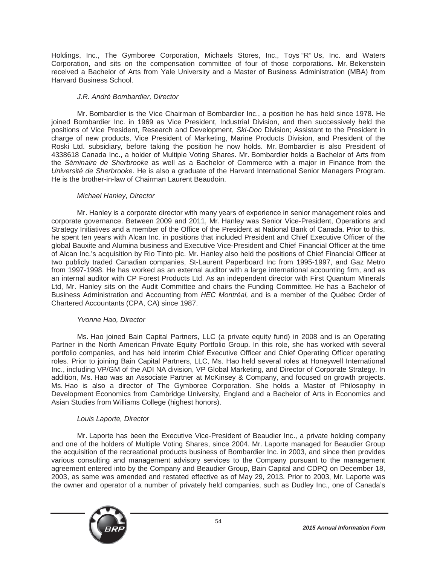Holdings, Inc., The Gymboree Corporation, Michaels Stores, Inc., Toys "R" Us, Inc. and Waters Corporation, and sits on the compensation committee of four of those corporations. Mr. Bekenstein received a Bachelor of Arts from Yale University and a Master of Business Administration (MBA) from Harvard Business School.

# *J.R. André Bombardier, Director*

Mr. Bombardier is the Vice Chairman of Bombardier Inc., a position he has held since 1978. He joined Bombardier Inc. in 1969 as Vice President, Industrial Division, and then successively held the positions of Vice President, Research and Development, *Ski-Doo* Division; Assistant to the President in charge of new products, Vice President of Marketing, Marine Products Division, and President of the Roski Ltd. subsidiary, before taking the position he now holds. Mr. Bombardier is also President of 4338618 Canada Inc., a holder of Multiple Voting Shares. Mr. Bombardier holds a Bachelor of Arts from the *Séminaire de Sherbrooke* as well as a Bachelor of Commerce with a major in Finance from the *Université de Sherbrooke*. He is also a graduate of the Harvard International Senior Managers Program. He is the brother-in-law of Chairman Laurent Beaudoin.

# *Michael Hanley, Director*

Mr. Hanley is a corporate director with many years of experience in senior management roles and corporate governance. Between 2009 and 2011, Mr. Hanley was Senior Vice-President, Operations and Strategy Initiatives and a member of the Office of the President at National Bank of Canada. Prior to this, he spent ten years with Alcan Inc. in positions that included President and Chief Executive Officer of the global Bauxite and Alumina business and Executive Vice-President and Chief Financial Officer at the time of Alcan Inc.'s acquisition by Rio Tinto plc. Mr. Hanley also held the positions of Chief Financial Officer at two publicly traded Canadian companies, St-Laurent Paperboard Inc from 1995-1997, and Gaz Metro from 1997-1998. He has worked as an external auditor with a large international accounting firm, and as an internal auditor with CP Forest Products Ltd. As an independent director with First Quantum Minerals Ltd, Mr. Hanley sits on the Audit Committee and chairs the Funding Committee. He has a Bachelor of Business Administration and Accounting from *HEC Montréal,* and is a member of the Québec Order of Chartered Accountants (CPA, CA) since 1987.

# *Yvonne Hao, Director*

Ms. Hao joined Bain Capital Partners, LLC (a private equity fund) in 2008 and is an Operating Partner in the North American Private Equity Portfolio Group. In this role, she has worked with several portfolio companies, and has held interim Chief Executive Officer and Chief Operating Officer operating roles. Prior to joining Bain Capital Partners, LLC, Ms. Hao held several roles at Honeywell International Inc., including VP/GM of the ADI NA division, VP Global Marketing, and Director of Corporate Strategy. In addition, Ms. Hao was an Associate Partner at McKinsey & Company, and focused on growth projects. Ms. Hao is also a director of The Gymboree Corporation. She holds a Master of Philosophy in Development Economics from Cambridge University, England and a Bachelor of Arts in Economics and Asian Studies from Williams College (highest honors).

# *Louis Laporte, Director*

Mr. Laporte has been the Executive Vice-President of Beaudier Inc., a private holding company and one of the holders of Multiple Voting Shares, since 2004. Mr. Laporte managed for Beaudier Group the acquisition of the recreational products business of Bombardier Inc. in 2003, and since then provides various consulting and management advisory services to the Company pursuant to the management agreement entered into by the Company and Beaudier Group, Bain Capital and CDPQ on December 18, 2003, as same was amended and restated effective as of May 29, 2013. Prior to 2003, Mr. Laporte was the owner and operator of a number of privately held companies, such as Dudley Inc., one of Canada's

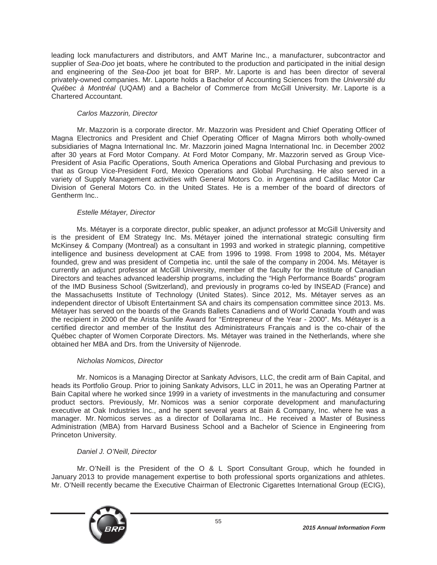leading lock manufacturers and distributors, and AMT Marine Inc., a manufacturer, subcontractor and supplier of *Sea-Doo* jet boats, where he contributed to the production and participated in the initial design and engineering of the *Sea-Doo* jet boat for BRP. Mr. Laporte is and has been director of several privately-owned companies. Mr. Laporte holds a Bachelor of Accounting Sciences from the *Université du Québec à Montréal* (UQAM) and a Bachelor of Commerce from McGill University. Mr. Laporte is a Chartered Accountant.

# *Carlos Mazzorin, Director*

Mr. Mazzorin is a corporate director. Mr. Mazzorin was President and Chief Operating Officer of Magna Electronics and President and Chief Operating Officer of Magna Mirrors both wholly-owned subsidiaries of Magna International Inc. Mr. Mazzorin joined Magna International Inc. in December 2002 after 30 years at Ford Motor Company. At Ford Motor Company, Mr. Mazzorin served as Group Vice-President of Asia Pacific Operations, South America Operations and Global Purchasing and previous to that as Group Vice-President Ford, Mexico Operations and Global Purchasing. He also served in a variety of Supply Management activities with General Motors Co. in Argentina and Cadillac Motor Car Division of General Motors Co. in the United States. He is a member of the board of directors of Gentherm Inc..

# *Estelle Métayer, Director*

Ms. Métayer is a corporate director, public speaker, an adjunct professor at McGill University and is the president of EM Strategy Inc. Ms. Métayer joined the international strategic consulting firm McKinsey & Company (Montreal) as a consultant in 1993 and worked in strategic planning, competitive intelligence and business development at CAE from 1996 to 1998. From 1998 to 2004, Ms. Métayer founded, grew and was president of Competia inc. until the sale of the company in 2004. Ms. Métayer is currently an adjunct professor at McGill University, member of the faculty for the Institute of Canadian Directors and teaches advanced leadership programs, including the "High Performance Boards" program of the IMD Business School (Switzerland), and previously in programs co-led by INSEAD (France) and the Massachusetts Institute of Technology (United States). Since 2012, Ms. Métayer serves as an independent director of Ubisoft Entertainment SA and chairs its compensation committee since 2013. Ms. Métayer has served on the boards of the Grands Ballets Canadiens and of World Canada Youth and was the recipient in 2000 of the Arista Sunlife Award for "Entrepreneur of the Year - 2000". Ms. Métayer is a certified director and member of the Institut des Administrateurs Français and is the co-chair of the Québec chapter of Women Corporate Directors. Ms. Métayer was trained in the Netherlands, where she obtained her MBA and Drs. from the University of Nijenrode.

# *Nicholas Nomicos, Director*

Mr. Nomicos is a Managing Director at Sankaty Advisors, LLC, the credit arm of Bain Capital, and heads its Portfolio Group. Prior to joining Sankaty Advisors, LLC in 2011, he was an Operating Partner at Bain Capital where he worked since 1999 in a variety of investments in the manufacturing and consumer product sectors. Previously, Mr. Nomicos was a senior corporate development and manufacturing executive at Oak Industries Inc., and he spent several years at Bain & Company, Inc. where he was a manager. Mr. Nomicos serves as a director of Dollarama Inc.. He received a Master of Business Administration (MBA) from Harvard Business School and a Bachelor of Science in Engineering from Princeton University.

# *Daniel J. O'Neill, Director*

Mr. O'Neill is the President of the O & L Sport Consultant Group, which he founded in January 2013 to provide management expertise to both professional sports organizations and athletes. Mr. O'Neill recently became the Executive Chairman of Electronic Cigarettes International Group (ECIG),

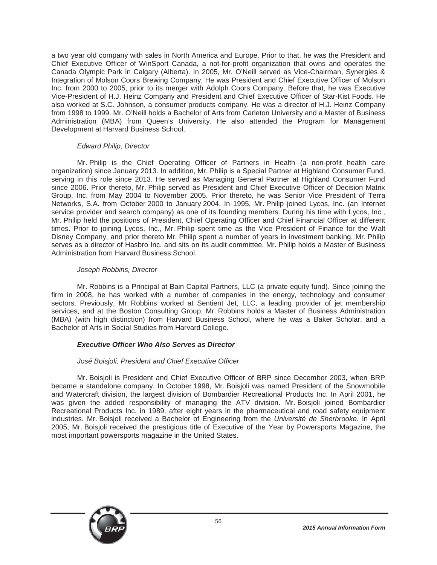a two year old company with sales in North America and Europe. Prior to that, he was the President and Chief Executive Officer of WinSport Canada, a not-for-profit organization that owns and operates the Canada Olympic Park in Calgary (Alberta). In 2005, Mr. O'Neill served as Vice-Chairman, Synergies & Integration of Molson Coors Brewing Company. He was President and Chief Executive Officer of Molson Inc. from 2000 to 2005, prior to its merger with Adolph Coors Company. Before that, he was Executive Vice-President of H.J. Heinz Company and President and Chief Executive Officer of Star-Kist Foods. He also worked at S.C. Johnson, a consumer products company. He was a director of H.J. Heinz Company from 1998 to 1999. Mr. O'Neill holds a Bachelor of Arts from Carleton University and a Master of Business Administration (MBA) from Queen's University. He also attended the Program for Management Development at Harvard Business School.

### *Edward Philip, Director*

Mr. Philip is the Chief Operating Officer of Partners in Health (a non-profit health care organization) since January 2013. In addition, Mr. Philip is a Special Partner at Highland Consumer Fund, serving in this role since 2013. He served as Managing General Partner at Highland Consumer Fund since 2006. Prior thereto, Mr. Philip served as President and Chief Executive Officer of Decision Matrix Group, Inc. from May 2004 to November 2005. Prior thereto, he was Senior Vice President of Terra Networks, S.A. from October 2000 to January 2004. In 1995, Mr. Philip joined Lycos, Inc. (an Internet service provider and search company) as one of its founding members. During his time with Lycos, Inc., Mr. Philip held the positions of President, Chief Operating Officer and Chief Financial Officer at different times. Prior to joining Lycos, Inc., Mr. Philip spent time as the Vice President of Finance for the Walt Disney Company, and prior thereto Mr. Philip spent a number of years in investment banking. Mr. Philip serves as a director of Hasbro Inc. and sits on its audit committee. Mr. Philip holds a Master of Business Administration from Harvard Business School.

### *Joseph Robbins, Director*

Mr. Robbins is a Principal at Bain Capital Partners, LLC (a private equity fund). Since joining the firm in 2008, he has worked with a number of companies in the energy, technology and consumer sectors. Previously, Mr. Robbins worked at Sentient Jet, LLC, a leading provider of jet membership services, and at the Boston Consulting Group. Mr. Robbins holds a Master of Business Administration (MBA) (with high distinction) from Harvard Business School, where he was a Baker Scholar, and a Bachelor of Arts in Social Studies from Harvard College.

# *Executive Officer Who Also Serves as Director*

# *José Boisjoli, President and Chief Executive Officer*

Mr. Boisjoli is President and Chief Executive Officer of BRP since December 2003, when BRP became a standalone company. In October 1998, Mr. Boisjoli was named President of the Snowmobile and Watercraft division, the largest division of Bombardier Recreational Products Inc. In April 2001, he was given the added responsibility of managing the ATV division. Mr. Boisjoli joined Bombardier Recreational Products Inc. in 1989, after eight years in the pharmaceutical and road safety equipment industries. Mr. Boisjoli received a Bachelor of Engineering from the *Université de Sherbrooke*. In April 2005, Mr. Boisjoli received the prestigious title of Executive of the Year by Powersports Magazine, the most important powersports magazine in the United States.

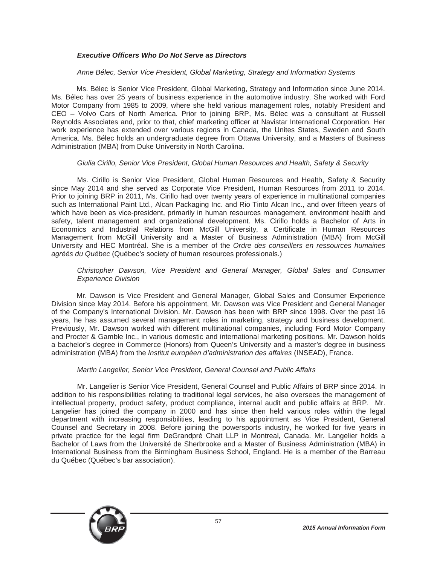# *Executive Officers Who Do Not Serve as Directors*

### *Anne Bélec, Senior Vice President, Global Marketing, Strategy and Information Systems*

Ms. Bélec is Senior Vice President, Global Marketing, Strategy and Information since June 2014. Ms. Bélec has over 25 years of business experience in the automotive industry. She worked with Ford Motor Company from 1985 to 2009, where she held various management roles, notably President and CEO – Volvo Cars of North America. Prior to joining BRP, Ms. Bélec was a consultant at Russell Reynolds Associates and, prior to that, chief marketing officer at Navistar International Corporation. Her work experience has extended over various regions in Canada, the Unites States, Sweden and South America. Ms. Bélec holds an undergraduate degree from Ottawa University, and a Masters of Business Administration (MBA) from Duke University in North Carolina.

#### *Giulia Cirillo, Senior Vice President, Global Human Resources and Health, Safety & Security*

Ms. Cirillo is Senior Vice President, Global Human Resources and Health, Safety & Security since May 2014 and she served as Corporate Vice President, Human Resources from 2011 to 2014. Prior to joining BRP in 2011, Ms. Cirillo had over twenty years of experience in multinational companies such as International Paint Ltd., Alcan Packaging Inc. and Rio Tinto Alcan Inc., and over fifteen years of which have been as vice-president, primarily in human resources management, environment health and safety, talent management and organizational development. Ms. Cirillo holds a Bachelor of Arts in Economics and Industrial Relations from McGill University, a Certificate in Human Resources Management from McGill University and a Master of Business Administration (MBA) from McGill University and HEC Montréal. She is a member of the *Ordre des conseillers en ressources humaines agréés du Québec* (Québec's society of human resources professionals.)

### *Christopher Dawson, Vice President and General Manager, Global Sales and Consumer Experience Division*

Mr. Dawson is Vice President and General Manager, Global Sales and Consumer Experience Division since May 2014. Before his appointment, Mr. Dawson was Vice President and General Manager of the Company's International Division. Mr. Dawson has been with BRP since 1998. Over the past 16 years, he has assumed several management roles in marketing, strategy and business development. Previously, Mr. Dawson worked with different multinational companies, including Ford Motor Company and Procter & Gamble Inc., in various domestic and international marketing positions. Mr. Dawson holds a bachelor's degree in Commerce (Honors) from Queen's University and a master's degree in business administration (MBA) from the *Institut européen d'administration des affaires* (INSEAD), France.

#### *Martin Langelier, Senior Vice President, General Counsel and Public Affairs*

Mr. Langelier is Senior Vice President, General Counsel and Public Affairs of BRP since 2014. In addition to his responsibilities relating to traditional legal services, he also oversees the management of intellectual property, product safety, product compliance, internal audit and public affairs at BRP. Mr. Langelier has joined the company in 2000 and has since then held various roles within the legal department with increasing responsibilities, leading to his appointment as Vice President, General Counsel and Secretary in 2008. Before joining the powersports industry, he worked for five years in private practice for the legal firm DeGrandpré Chait LLP in Montreal, Canada. Mr. Langelier holds a Bachelor of Laws from the Université de Sherbrooke and a Master of Business Administration (MBA) in International Business from the Birmingham Business School, England. He is a member of the Barreau du Québec (Québec's bar association).

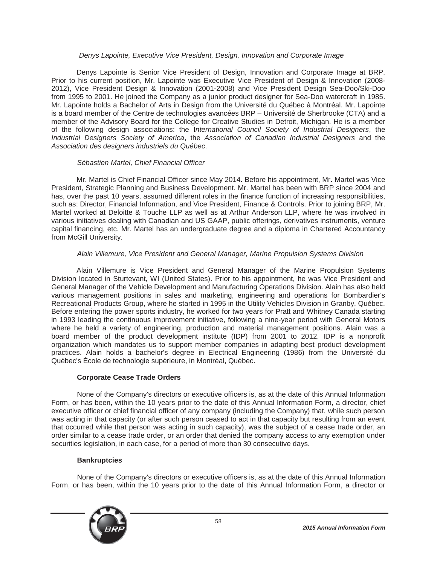### *Denys Lapointe, Executive Vice President, Design, Innovation and Corporate Image*

Denys Lapointe is Senior Vice President of Design, Innovation and Corporate Image at BRP. Prior to his current position, Mr. Lapointe was Executive Vice President of Design & Innovation (2008- 2012), Vice President Design & Innovation (2001-2008) and Vice President Design Sea-Doo/Ski-Doo from 1995 to 2001. He joined the Company as a junior product designer for Sea-Doo watercraft in 1985. Mr. Lapointe holds a Bachelor of Arts in Design from the Université du Québec à Montréal. Mr. Lapointe is a board member of the Centre de technologies avancées BRP – Université de Sherbrooke (CTA) and a member of the Advisory Board for the College for Creative Studies in Detroit, Michigan. He is a member of the following design associations: the I*nternational Council Society of Industrial Designers*, the *Industrial Designers Society of America*, the *Association of Canadian Industrial Designers* and the *Association des designers industriels du Québec*.

### *Sébastien Martel, Chief Financial Officer*

Mr. Martel is Chief Financial Officer since May 2014. Before his appointment, Mr. Martel was Vice President, Strategic Planning and Business Development. Mr. Martel has been with BRP since 2004 and has, over the past 10 years, assumed different roles in the finance function of increasing responsibilities, such as: Director, Financial Information, and Vice President, Finance & Controls. Prior to joining BRP, Mr. Martel worked at Deloitte & Touche LLP as well as at Arthur Anderson LLP, where he was involved in various initiatives dealing with Canadian and US GAAP, public offerings, derivatives instruments, venture capital financing, etc. Mr. Martel has an undergraduate degree and a diploma in Chartered Accountancy from McGill University.

# *Alain Villemure, Vice President and General Manager, Marine Propulsion Systems Division*

Alain Villemure is Vice President and General Manager of the Marine Propulsion Systems Division located in Sturtevant, WI (United States). Prior to his appointment, he was Vice President and General Manager of the Vehicle Development and Manufacturing Operations Division. Alain has also held various management positions in sales and marketing, engineering and operations for Bombardier's Recreational Products Group, where he started in 1995 in the Utility Vehicles Division in Granby, Québec. Before entering the power sports industry, he worked for two years for Pratt and Whitney Canada starting in 1993 leading the continuous improvement initiative, following a nine-year period with General Motors where he held a variety of engineering, production and material management positions. Alain was a board member of the product development institute (IDP) from 2001 to 2012. IDP is a nonprofit organization which mandates us to support member companies in adapting best product development practices. Alain holds a bachelor's degree in Electrical Engineering (1986) from the Université du Québec's École de technologie supérieure, in Montréal, Québec.

# **Corporate Cease Trade Orders**

None of the Company's directors or executive officers is, as at the date of this Annual Information Form, or has been, within the 10 years prior to the date of this Annual Information Form, a director, chief executive officer or chief financial officer of any company (including the Company) that, while such person was acting in that capacity (or after such person ceased to act in that capacity but resulting from an event that occurred while that person was acting in such capacity), was the subject of a cease trade order, an order similar to a cease trade order, or an order that denied the company access to any exemption under securities legislation, in each case, for a period of more than 30 consecutive days.

# **Bankruptcies**

None of the Company's directors or executive officers is, as at the date of this Annual Information Form, or has been, within the 10 years prior to the date of this Annual Information Form, a director or

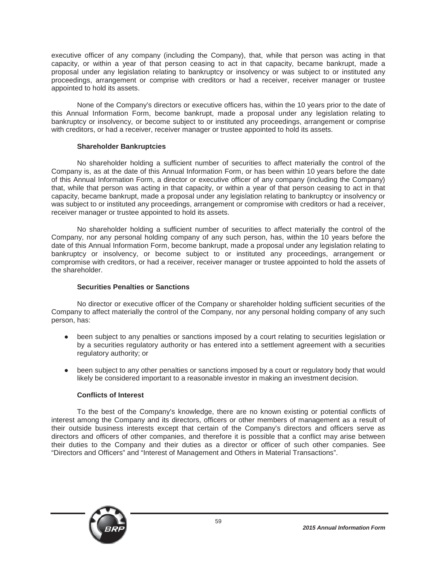executive officer of any company (including the Company), that, while that person was acting in that capacity, or within a year of that person ceasing to act in that capacity, became bankrupt, made a proposal under any legislation relating to bankruptcy or insolvency or was subject to or instituted any proceedings, arrangement or comprise with creditors or had a receiver, receiver manager or trustee appointed to hold its assets.

None of the Company's directors or executive officers has, within the 10 years prior to the date of this Annual Information Form, become bankrupt, made a proposal under any legislation relating to bankruptcy or insolvency, or become subject to or instituted any proceedings, arrangement or comprise with creditors, or had a receiver, receiver manager or trustee appointed to hold its assets.

### **Shareholder Bankruptcies**

No shareholder holding a sufficient number of securities to affect materially the control of the Company is, as at the date of this Annual Information Form, or has been within 10 years before the date of this Annual Information Form, a director or executive officer of any company (including the Company) that, while that person was acting in that capacity, or within a year of that person ceasing to act in that capacity, became bankrupt, made a proposal under any legislation relating to bankruptcy or insolvency or was subject to or instituted any proceedings, arrangement or compromise with creditors or had a receiver, receiver manager or trustee appointed to hold its assets.

No shareholder holding a sufficient number of securities to affect materially the control of the Company, nor any personal holding company of any such person, has, within the 10 years before the date of this Annual Information Form, become bankrupt, made a proposal under any legislation relating to bankruptcy or insolvency, or become subject to or instituted any proceedings, arrangement or compromise with creditors, or had a receiver, receiver manager or trustee appointed to hold the assets of the shareholder.

# **Securities Penalties or Sanctions**

No director or executive officer of the Company or shareholder holding sufficient securities of the Company to affect materially the control of the Company, nor any personal holding company of any such person, has:

- been subject to any penalties or sanctions imposed by a court relating to securities legislation or by a securities regulatory authority or has entered into a settlement agreement with a securities regulatory authority; or
- been subject to any other penalties or sanctions imposed by a court or regulatory body that would likely be considered important to a reasonable investor in making an investment decision.

# **Conflicts of Interest**

To the best of the Company's knowledge, there are no known existing or potential conflicts of interest among the Company and its directors, officers or other members of management as a result of their outside business interests except that certain of the Company's directors and officers serve as directors and officers of other companies, and therefore it is possible that a conflict may arise between their duties to the Company and their duties as a director or officer of such other companies. See "Directors and Officers" and "Interest of Management and Others in Material Transactions".

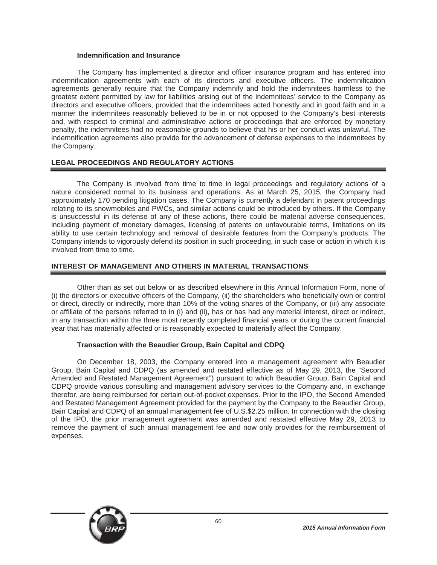### **Indemnification and Insurance**

The Company has implemented a director and officer insurance program and has entered into indemnification agreements with each of its directors and executive officers. The indemnification agreements generally require that the Company indemnify and hold the indemnitees harmless to the greatest extent permitted by law for liabilities arising out of the indemnitees' service to the Company as directors and executive officers, provided that the indemnitees acted honestly and in good faith and in a manner the indemnitees reasonably believed to be in or not opposed to the Company's best interests and, with respect to criminal and administrative actions or proceedings that are enforced by monetary penalty, the indemnitees had no reasonable grounds to believe that his or her conduct was unlawful. The indemnification agreements also provide for the advancement of defense expenses to the indemnitees by the Company.

# **LEGAL PROCEEDINGS AND REGULATORY ACTIONS**

The Company is involved from time to time in legal proceedings and regulatory actions of a nature considered normal to its business and operations. As at March 25, 2015, the Company had approximately 170 pending litigation cases. The Company is currently a defendant in patent proceedings relating to its snowmobiles and PWCs, and similar actions could be introduced by others. If the Company is unsuccessful in its defense of any of these actions, there could be material adverse consequences, including payment of monetary damages, licensing of patents on unfavourable terms, limitations on its ability to use certain technology and removal of desirable features from the Company's products. The Company intends to vigorously defend its position in such proceeding, in such case or action in which it is involved from time to time.

# **INTEREST OF MANAGEMENT AND OTHERS IN MATERIAL TRANSACTIONS**

Other than as set out below or as described elsewhere in this Annual Information Form, none of (i) the directors or executive officers of the Company, (ii) the shareholders who beneficially own or control or direct, directly or indirectly, more than 10% of the voting shares of the Company, or (iii) any associate or affiliate of the persons referred to in (i) and (ii), has or has had any material interest, direct or indirect, in any transaction within the three most recently completed financial years or during the current financial year that has materially affected or is reasonably expected to materially affect the Company.

#### **Transaction with the Beaudier Group, Bain Capital and CDPQ**

On December 18, 2003, the Company entered into a management agreement with Beaudier Group, Bain Capital and CDPQ (as amended and restated effective as of May 29, 2013, the "Second Amended and Restated Management Agreement") pursuant to which Beaudier Group, Bain Capital and CDPQ provide various consulting and management advisory services to the Company and, in exchange therefor, are being reimbursed for certain out-of-pocket expenses. Prior to the IPO, the Second Amended and Restated Management Agreement provided for the payment by the Company to the Beaudier Group, Bain Capital and CDPQ of an annual management fee of U.S.\$2.25 million. In connection with the closing of the IPO, the prior management agreement was amended and restated effective May 29, 2013 to remove the payment of such annual management fee and now only provides for the reimbursement of expenses.

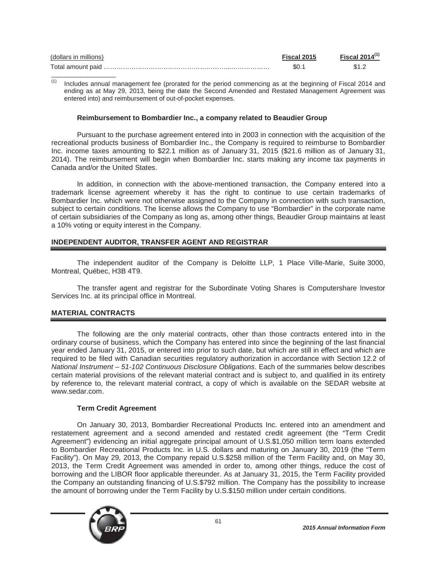| (dollars in millions) | Fiscal 2015 | Fiscal 2014 $(1)$ |
|-----------------------|-------------|-------------------|
|                       | \$0.′       |                   |

Includes annual management fee (prorated for the period commencing as at the beginning of Fiscal 2014 and ending as at May 29, 2013, being the date the Second Amended and Restated Management Agreement was entered into) and reimbursement of out-of-pocket expenses.

#### **Reimbursement to Bombardier Inc., a company related to Beaudier Group**

Pursuant to the purchase agreement entered into in 2003 in connection with the acquisition of the recreational products business of Bombardier Inc., the Company is required to reimburse to Bombardier Inc. income taxes amounting to \$22.1 million as of January 31, 2015 (\$21.6 million as of January 31, 2014). The reimbursement will begin when Bombardier Inc. starts making any income tax payments in Canada and/or the United States.

In addition, in connection with the above-mentioned transaction, the Company entered into a trademark license agreement whereby it has the right to continue to use certain trademarks of Bombardier Inc. which were not otherwise assigned to the Company in connection with such transaction, subject to certain conditions. The license allows the Company to use "Bombardier" in the corporate name of certain subsidiaries of the Company as long as, among other things, Beaudier Group maintains at least a 10% voting or equity interest in the Company.

# **INDEPENDENT AUDITOR, TRANSFER AGENT AND REGISTRAR**

The independent auditor of the Company is Deloitte LLP, 1 Place Ville-Marie, Suite 3000, Montreal, Québec, H3B 4T9.

The transfer agent and registrar for the Subordinate Voting Shares is Computershare Investor Services Inc. at its principal office in Montreal.

# **MATERIAL CONTRACTS**

\_\_\_\_\_\_\_\_\_\_\_\_\_\_\_\_\_\_

The following are the only material contracts, other than those contracts entered into in the ordinary course of business, which the Company has entered into since the beginning of the last financial year ended January 31, 2015, or entered into prior to such date, but which are still in effect and which are required to be filed with Canadian securities regulatory authorization in accordance with Section 12.2 of *National Instrument – 51-102 Continuous Disclosure Obligations*. Each of the summaries below describes certain material provisions of the relevant material contract and is subject to, and qualified in its entirety by reference to, the relevant material contract, a copy of which is available on the SEDAR website at www.sedar.com.

#### **Term Credit Agreement**

On January 30, 2013, Bombardier Recreational Products Inc. entered into an amendment and restatement agreement and a second amended and restated credit agreement (the "Term Credit Agreement") evidencing an initial aggregate principal amount of U.S.\$1,050 million term loans extended to Bombardier Recreational Products Inc. in U.S. dollars and maturing on January 30, 2019 (the "Term Facility"). On May 29, 2013, the Company repaid U.S.\$258 million of the Term Facility and, on May 30, 2013, the Term Credit Agreement was amended in order to, among other things, reduce the cost of borrowing and the LIBOR floor applicable thereunder. As at January 31, 2015, the Term Facility provided the Company an outstanding financing of U.S.\$792 million. The Company has the possibility to increase the amount of borrowing under the Term Facility by U.S.\$150 million under certain conditions.

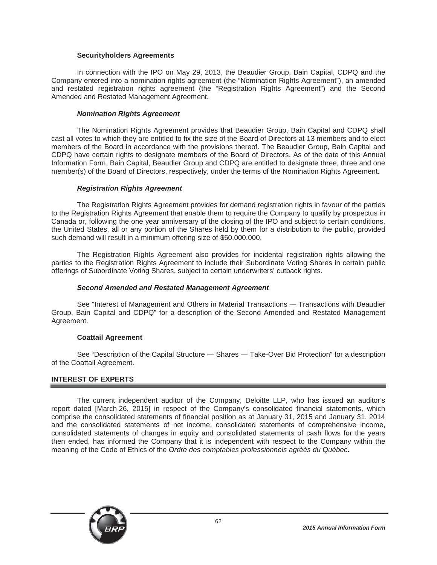### **Securityholders Agreements**

In connection with the IPO on May 29, 2013, the Beaudier Group, Bain Capital, CDPQ and the Company entered into a nomination rights agreement (the "Nomination Rights Agreement"), an amended and restated registration rights agreement (the "Registration Rights Agreement") and the Second Amended and Restated Management Agreement.

## *Nomination Rights Agreement*

The Nomination Rights Agreement provides that Beaudier Group, Bain Capital and CDPQ shall cast all votes to which they are entitled to fix the size of the Board of Directors at 13 members and to elect members of the Board in accordance with the provisions thereof. The Beaudier Group, Bain Capital and CDPQ have certain rights to designate members of the Board of Directors. As of the date of this Annual Information Form, Bain Capital, Beaudier Group and CDPQ are entitled to designate three, three and one member(s) of the Board of Directors, respectively, under the terms of the Nomination Rights Agreement.

### *Registration Rights Agreement*

The Registration Rights Agreement provides for demand registration rights in favour of the parties to the Registration Rights Agreement that enable them to require the Company to qualify by prospectus in Canada or, following the one year anniversary of the closing of the IPO and subject to certain conditions, the United States, all or any portion of the Shares held by them for a distribution to the public, provided such demand will result in a minimum offering size of \$50,000,000.

The Registration Rights Agreement also provides for incidental registration rights allowing the parties to the Registration Rights Agreement to include their Subordinate Voting Shares in certain public offerings of Subordinate Voting Shares, subject to certain underwriters' cutback rights.

#### *Second Amended and Restated Management Agreement*

See "Interest of Management and Others in Material Transactions — Transactions with Beaudier Group, Bain Capital and CDPQ" for a description of the Second Amended and Restated Management Agreement.

#### **Coattail Agreement**

See "Description of the Capital Structure — Shares — Take-Over Bid Protection" for a description of the Coattail Agreement.

# **INTEREST OF EXPERTS**

The current independent auditor of the Company, Deloitte LLP, who has issued an auditor's report dated [March 26, 2015] in respect of the Company's consolidated financial statements, which comprise the consolidated statements of financial position as at January 31, 2015 and January 31, 2014 and the consolidated statements of net income, consolidated statements of comprehensive income, consolidated statements of changes in equity and consolidated statements of cash flows for the years then ended, has informed the Company that it is independent with respect to the Company within the meaning of the Code of Ethics of the *Ordre des comptables professionnels agréés du Québec*.

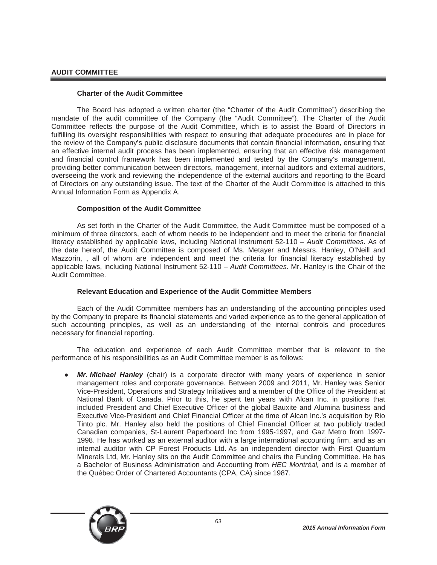# **AUDIT COMMITTEE**

### **Charter of the Audit Committee**

The Board has adopted a written charter (the "Charter of the Audit Committee") describing the mandate of the audit committee of the Company (the "Audit Committee"). The Charter of the Audit Committee reflects the purpose of the Audit Committee, which is to assist the Board of Directors in fulfilling its oversight responsibilities with respect to ensuring that adequate procedures are in place for the review of the Company's public disclosure documents that contain financial information, ensuring that an effective internal audit process has been implemented, ensuring that an effective risk management and financial control framework has been implemented and tested by the Company's management, providing better communication between directors, management, internal auditors and external auditors, overseeing the work and reviewing the independence of the external auditors and reporting to the Board of Directors on any outstanding issue. The text of the Charter of the Audit Committee is attached to this Annual Information Form as Appendix A.

### **Composition of the Audit Committee**

As set forth in the Charter of the Audit Committee, the Audit Committee must be composed of a minimum of three directors, each of whom needs to be independent and to meet the criteria for financial literacy established by applicable laws, including National Instrument 52-110 – *Audit Committees*. As of the date hereof, the Audit Committee is composed of Ms. Metayer and Messrs. Hanley, O'Neill and Mazzorin, , all of whom are independent and meet the criteria for financial literacy established by applicable laws, including National Instrument 52-110 – *Audit Committees*. Mr. Hanley is the Chair of the Audit Committee.

# **Relevant Education and Experience of the Audit Committee Members**

Each of the Audit Committee members has an understanding of the accounting principles used by the Company to prepare its financial statements and varied experience as to the general application of such accounting principles, as well as an understanding of the internal controls and procedures necessary for financial reporting.

The education and experience of each Audit Committee member that is relevant to the performance of his responsibilities as an Audit Committee member is as follows:

**Mr. Michael Hanley** (chair) is a corporate director with many years of experience in senior management roles and corporate governance. Between 2009 and 2011, Mr. Hanley was Senior Vice-President, Operations and Strategy Initiatives and a member of the Office of the President at National Bank of Canada. Prior to this, he spent ten years with Alcan Inc. in positions that included President and Chief Executive Officer of the global Bauxite and Alumina business and Executive Vice-President and Chief Financial Officer at the time of Alcan Inc.'s acquisition by Rio Tinto plc. Mr. Hanley also held the positions of Chief Financial Officer at two publicly traded Canadian companies, St-Laurent Paperboard Inc from 1995-1997, and Gaz Metro from 1997- 1998. He has worked as an external auditor with a large international accounting firm, and as an internal auditor with CP Forest Products Ltd. As an independent director with First Quantum Minerals Ltd, Mr. Hanley sits on the Audit Committee and chairs the Funding Committee. He has a Bachelor of Business Administration and Accounting from *HEC Montréal,* and is a member of the Québec Order of Chartered Accountants (CPA, CA) since 1987.

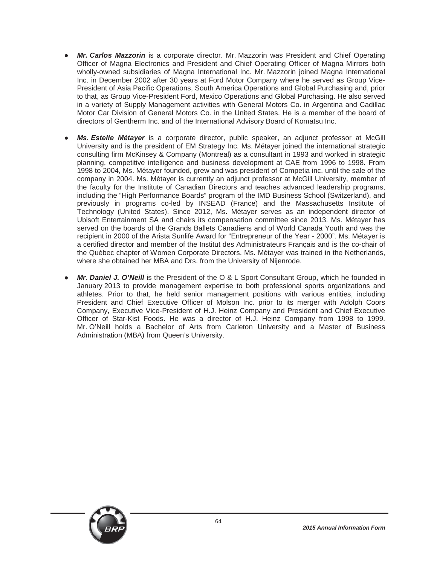- Mr. Carlos Mazzorin is a corporate director. Mr. Mazzorin was President and Chief Operating Officer of Magna Electronics and President and Chief Operating Officer of Magna Mirrors both wholly-owned subsidiaries of Magna International Inc. Mr. Mazzorin joined Magna International Inc. in December 2002 after 30 years at Ford Motor Company where he served as Group Vice-President of Asia Pacific Operations, South America Operations and Global Purchasing and, prior to that, as Group Vice-President Ford, Mexico Operations and Global Purchasing. He also served in a variety of Supply Management activities with General Motors Co. in Argentina and Cadillac Motor Car Division of General Motors Co. in the United States. He is a member of the board of directors of Gentherm Inc. and of the International Advisory Board of Komatsu Inc.
- Ms. Estelle Métayer is a corporate director, public speaker, an adjunct professor at McGill University and is the president of EM Strategy Inc. Ms. Métayer joined the international strategic consulting firm McKinsey & Company (Montreal) as a consultant in 1993 and worked in strategic planning, competitive intelligence and business development at CAE from 1996 to 1998. From 1998 to 2004, Ms. Métayer founded, grew and was president of Competia inc. until the sale of the company in 2004. Ms. Métayer is currently an adjunct professor at McGill University, member of the faculty for the Institute of Canadian Directors and teaches advanced leadership programs, including the "High Performance Boards" program of the IMD Business School (Switzerland), and previously in programs co-led by INSEAD (France) and the Massachusetts Institute of Technology (United States). Since 2012, Ms. Métayer serves as an independent director of Ubisoft Entertainment SA and chairs its compensation committee since 2013. Ms. Métayer has served on the boards of the Grands Ballets Canadiens and of World Canada Youth and was the recipient in 2000 of the Arista Sunlife Award for "Entrepreneur of the Year - 2000". Ms. Métayer is a certified director and member of the Institut des Administrateurs Français and is the co-chair of the Québec chapter of Women Corporate Directors. Ms. Métayer was trained in the Netherlands, where she obtained her MBA and Drs. from the University of Nijenrode.
- Mr. Daniel J. O'Neill is the President of the O & L Sport Consultant Group, which he founded in January 2013 to provide management expertise to both professional sports organizations and athletes. Prior to that, he held senior management positions with various entities, including President and Chief Executive Officer of Molson Inc. prior to its merger with Adolph Coors Company, Executive Vice-President of H.J. Heinz Company and President and Chief Executive Officer of Star-Kist Foods. He was a director of H.J. Heinz Company from 1998 to 1999. Mr. O'Neill holds a Bachelor of Arts from Carleton University and a Master of Business Administration (MBA) from Queen's University.

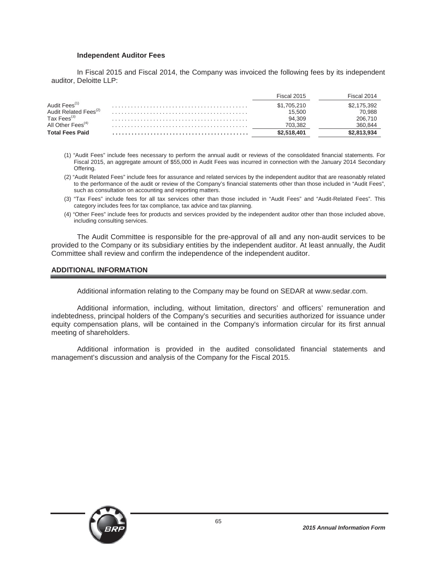#### **Independent Auditor Fees**

In Fiscal 2015 and Fiscal 2014, the Company was invoiced the following fees by its independent auditor, Deloitte LLP:

|                                   | Fiscal 2015 | Fiscal 2014 |
|-----------------------------------|-------------|-------------|
| Audit Fees <sup>(1)</sup>         | \$1,705,210 | \$2,175,392 |
| Audit Related Fees <sup>(2)</sup> | 15.500      | 70,988      |
| Tax Fees <sup>(3)</sup>           | 94.309      | 206.710     |
| All Other Fees <sup>(4)</sup>     | 703.382     | 360,844     |
| <b>Total Fees Paid</b>            | \$2.518.401 | \$2.813.934 |

- (1) "Audit Fees" include fees necessary to perform the annual audit or reviews of the consolidated financial statements. For Fiscal 2015, an aggregate amount of \$55,000 in Audit Fees was incurred in connection with the January 2014 Secondary Offering.
- (2) "Audit Related Fees" include fees for assurance and related services by the independent auditor that are reasonably related to the performance of the audit or review of the Company's financial statements other than those included in "Audit Fees", such as consultation on accounting and reporting matters.
- (3) "Tax Fees" include fees for all tax services other than those included in "Audit Fees" and "Audit-Related Fees". This category includes fees for tax compliance, tax advice and tax planning.
- (4) "Other Fees" include fees for products and services provided by the independent auditor other than those included above, including consulting services.

The Audit Committee is responsible for the pre-approval of all and any non-audit services to be provided to the Company or its subsidiary entities by the independent auditor. At least annually, the Audit Committee shall review and confirm the independence of the independent auditor.

#### **ADDITIONAL INFORMATION**

Additional information relating to the Company may be found on SEDAR at www.sedar.com.

Additional information, including, without limitation, directors' and officers' remuneration and indebtedness, principal holders of the Company's securities and securities authorized for issuance under equity compensation plans, will be contained in the Company's information circular for its first annual meeting of shareholders.

Additional information is provided in the audited consolidated financial statements and management's discussion and analysis of the Company for the Fiscal 2015.

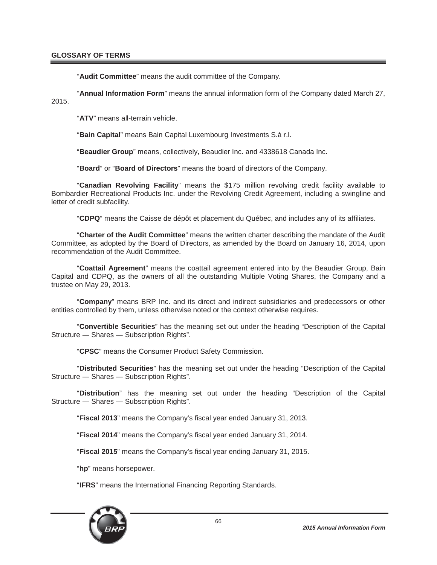"**Audit Committee**" means the audit committee of the Company.

"**Annual Information Form**" means the annual information form of the Company dated March 27, 2015.

"**ATV**" means all-terrain vehicle.

"**Bain Capital**" means Bain Capital Luxembourg Investments S.à r.l.

"**Beaudier Group**" means, collectively, Beaudier Inc. and 4338618 Canada Inc.

"**Board**" or "**Board of Directors**" means the board of directors of the Company.

"**Canadian Revolving Facility**" means the \$175 million revolving credit facility available to Bombardier Recreational Products Inc. under the Revolving Credit Agreement, including a swingline and letter of credit subfacility.

"**CDPQ**" means the Caisse de dépôt et placement du Québec, and includes any of its affiliates.

"**Charter of the Audit Committee**" means the written charter describing the mandate of the Audit Committee, as adopted by the Board of Directors, as amended by the Board on January 16, 2014, upon recommendation of the Audit Committee.

"**Coattail Agreement**" means the coattail agreement entered into by the Beaudier Group, Bain Capital and CDPQ, as the owners of all the outstanding Multiple Voting Shares, the Company and a trustee on May 29, 2013.

"**Company**" means BRP Inc. and its direct and indirect subsidiaries and predecessors or other entities controlled by them, unless otherwise noted or the context otherwise requires.

"**Convertible Securities**" has the meaning set out under the heading "Description of the Capital Structure - Shares - Subscription Rights".

"**CPSC**" means the Consumer Product Safety Commission.

"**Distributed Securities**" has the meaning set out under the heading "Description of the Capital Structure - Shares - Subscription Rights".

"**Distribution**" has the meaning set out under the heading "Description of the Capital Structure - Shares - Subscription Rights".

"**Fiscal 2013**" means the Company's fiscal year ended January 31, 2013.

"**Fiscal 2014**" means the Company's fiscal year ended January 31, 2014.

"**Fiscal 2015**" means the Company's fiscal year ending January 31, 2015.

"**hp**" means horsepower.

"**IFRS**" means the International Financing Reporting Standards.

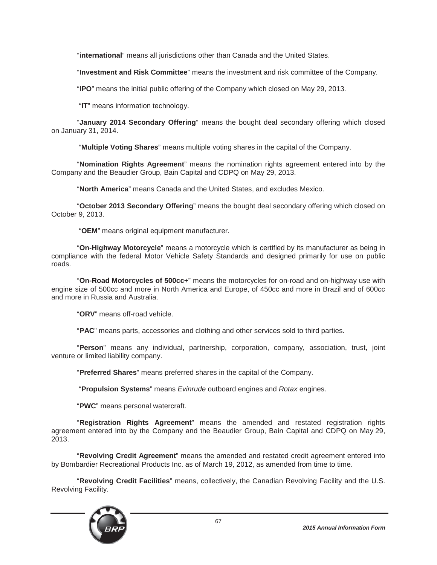"**international**" means all jurisdictions other than Canada and the United States.

"**Investment and Risk Committee**" means the investment and risk committee of the Company.

"**IPO**" means the initial public offering of the Company which closed on May 29, 2013.

"**IT**" means information technology.

"**January 2014 Secondary Offering**" means the bought deal secondary offering which closed on January 31, 2014.

"**Multiple Voting Shares**" means multiple voting shares in the capital of the Company.

"**Nomination Rights Agreement**" means the nomination rights agreement entered into by the Company and the Beaudier Group, Bain Capital and CDPQ on May 29, 2013.

"**North America**" means Canada and the United States, and excludes Mexico.

"**October 2013 Secondary Offering**" means the bought deal secondary offering which closed on October 9, 2013.

"**OEM**" means original equipment manufacturer.

"**On-Highway Motorcycle**" means a motorcycle which is certified by its manufacturer as being in compliance with the federal Motor Vehicle Safety Standards and designed primarily for use on public roads.

"**On-Road Motorcycles of 500cc+**" means the motorcycles for on-road and on-highway use with engine size of 500cc and more in North America and Europe, of 450cc and more in Brazil and of 600cc and more in Russia and Australia.

"**ORV**" means off-road vehicle.

"**PAC**" means parts, accessories and clothing and other services sold to third parties.

"**Person**" means any individual, partnership, corporation, company, association, trust, joint venture or limited liability company.

"**Preferred Shares**" means preferred shares in the capital of the Company.

"**Propulsion Systems**" means *Evinrude* outboard engines and *Rotax* engines.

"**PWC**" means personal watercraft.

"**Registration Rights Agreement**" means the amended and restated registration rights agreement entered into by the Company and the Beaudier Group, Bain Capital and CDPQ on May 29, 2013.

"**Revolving Credit Agreement**" means the amended and restated credit agreement entered into by Bombardier Recreational Products Inc. as of March 19, 2012, as amended from time to time.

"**Revolving Credit Facilities**" means, collectively, the Canadian Revolving Facility and the U.S. Revolving Facility.

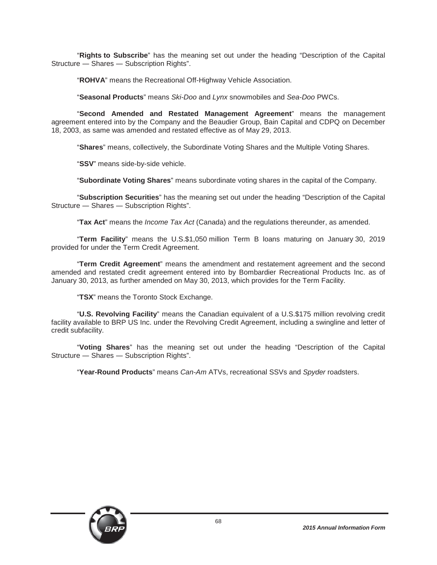"**Rights to Subscribe**" has the meaning set out under the heading "Description of the Capital Structure — Shares — Subscription Rights".

"**ROHVA**" means the Recreational Off-Highway Vehicle Association.

"**Seasonal Products**" means *Ski-Doo* and *Lynx* snowmobiles and *Sea-Doo* PWCs.

"**Second Amended and Restated Management Agreement**" means the management agreement entered into by the Company and the Beaudier Group, Bain Capital and CDPQ on December 18, 2003, as same was amended and restated effective as of May 29, 2013.

"**Shares**" means, collectively, the Subordinate Voting Shares and the Multiple Voting Shares.

"**SSV**" means side-by-side vehicle.

"**Subordinate Voting Shares**" means subordinate voting shares in the capital of the Company.

"**Subscription Securities**" has the meaning set out under the heading "Description of the Capital Structure - Shares - Subscription Rights".

"**Tax Act**" means the *Income Tax Act* (Canada) and the regulations thereunder, as amended.

"**Term Facility**" means the U.S.\$1,050 million Term B loans maturing on January 30, 2019 provided for under the Term Credit Agreement.

"**Term Credit Agreement**" means the amendment and restatement agreement and the second amended and restated credit agreement entered into by Bombardier Recreational Products Inc. as of January 30, 2013, as further amended on May 30, 2013, which provides for the Term Facility.

"**TSX**" means the Toronto Stock Exchange.

"**U.S. Revolving Facility**" means the Canadian equivalent of a U.S.\$175 million revolving credit facility available to BRP US Inc. under the Revolving Credit Agreement, including a swingline and letter of credit subfacility.

"**Voting Shares**" has the meaning set out under the heading "Description of the Capital Structure - Shares - Subscription Rights".

"**Year-Round Products**" means *Can-Am* ATVs, recreational SSVs and *Spyder* roadsters.

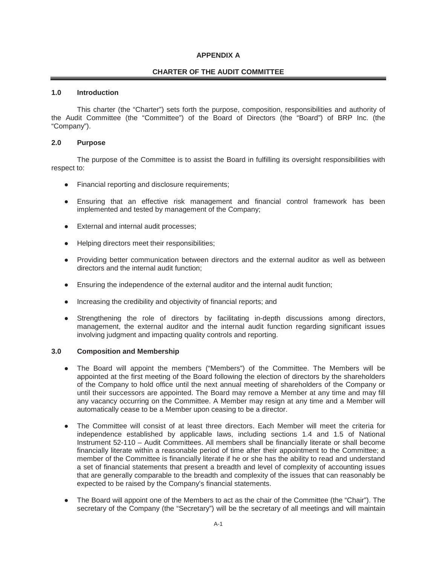### **APPENDIX A**

### **CHARTER OF THE AUDIT COMMITTEE**

#### **1.0 Introduction**

This charter (the "Charter") sets forth the purpose, composition, responsibilities and authority of the Audit Committee (the "Committee") of the Board of Directors (the "Board") of BRP Inc. (the "Company").

#### **2.0 Purpose**

The purpose of the Committee is to assist the Board in fulfilling its oversight responsibilities with respect to:

- Financial reporting and disclosure requirements;
- Ensuring that an effective risk management and financial control framework has been implemented and tested by management of the Company;
- External and internal audit processes;
- Helping directors meet their responsibilities;
- Providing better communication between directors and the external auditor as well as between directors and the internal audit function;
- Ensuring the independence of the external auditor and the internal audit function;
- Increasing the credibility and objectivity of financial reports; and
- Strengthening the role of directors by facilitating in-depth discussions among directors, management, the external auditor and the internal audit function regarding significant issues involving judgment and impacting quality controls and reporting.

#### **3.0 Composition and Membership**

- Ɣ The Board will appoint the members ("Members") of the Committee. The Members will be appointed at the first meeting of the Board following the election of directors by the shareholders of the Company to hold office until the next annual meeting of shareholders of the Company or until their successors are appointed. The Board may remove a Member at any time and may fill any vacancy occurring on the Committee. A Member may resign at any time and a Member will automatically cease to be a Member upon ceasing to be a director.
- The Committee will consist of at least three directors. Each Member will meet the criteria for independence established by applicable laws, including sections 1.4 and 1.5 of National Instrument 52-110 – Audit Committees. All members shall be financially literate or shall become financially literate within a reasonable period of time after their appointment to the Committee; a member of the Committee is financially literate if he or she has the ability to read and understand a set of financial statements that present a breadth and level of complexity of accounting issues that are generally comparable to the breadth and complexity of the issues that can reasonably be expected to be raised by the Company's financial statements.
- Ɣ The Board will appoint one of the Members to act as the chair of the Committee (the "Chair"). The secretary of the Company (the "Secretary") will be the secretary of all meetings and will maintain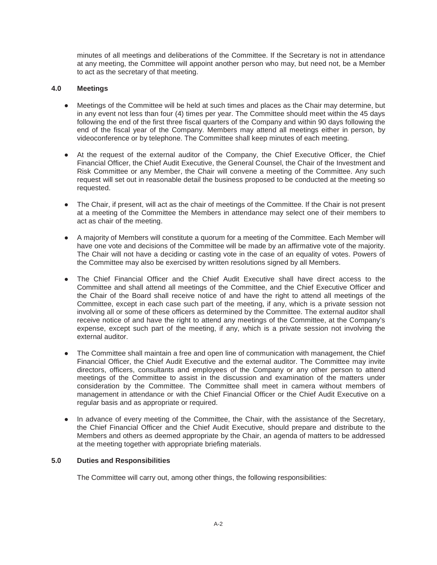minutes of all meetings and deliberations of the Committee. If the Secretary is not in attendance at any meeting, the Committee will appoint another person who may, but need not, be a Member to act as the secretary of that meeting.

## **4.0 Meetings**

- Meetings of the Committee will be held at such times and places as the Chair may determine, but in any event not less than four (4) times per year. The Committee should meet within the 45 days following the end of the first three fiscal quarters of the Company and within 90 days following the end of the fiscal year of the Company. Members may attend all meetings either in person, by videoconference or by telephone. The Committee shall keep minutes of each meeting.
- At the request of the external auditor of the Company, the Chief Executive Officer, the Chief Financial Officer, the Chief Audit Executive, the General Counsel, the Chair of the Investment and Risk Committee or any Member, the Chair will convene a meeting of the Committee. Any such request will set out in reasonable detail the business proposed to be conducted at the meeting so requested.
- The Chair, if present, will act as the chair of meetings of the Committee. If the Chair is not present at a meeting of the Committee the Members in attendance may select one of their members to act as chair of the meeting.
- Ɣ A majority of Members will constitute a quorum for a meeting of the Committee. Each Member will have one vote and decisions of the Committee will be made by an affirmative vote of the majority. The Chair will not have a deciding or casting vote in the case of an equality of votes. Powers of the Committee may also be exercised by written resolutions signed by all Members.
- Ɣ The Chief Financial Officer and the Chief Audit Executive shall have direct access to the Committee and shall attend all meetings of the Committee, and the Chief Executive Officer and the Chair of the Board shall receive notice of and have the right to attend all meetings of the Committee, except in each case such part of the meeting, if any, which is a private session not involving all or some of these officers as determined by the Committee. The external auditor shall receive notice of and have the right to attend any meetings of the Committee, at the Company's expense, except such part of the meeting, if any, which is a private session not involving the external auditor.
- The Committee shall maintain a free and open line of communication with management, the Chief Financial Officer, the Chief Audit Executive and the external auditor. The Committee may invite directors, officers, consultants and employees of the Company or any other person to attend meetings of the Committee to assist in the discussion and examination of the matters under consideration by the Committee. The Committee shall meet in camera without members of management in attendance or with the Chief Financial Officer or the Chief Audit Executive on a regular basis and as appropriate or required.
- In advance of every meeting of the Committee, the Chair, with the assistance of the Secretary, the Chief Financial Officer and the Chief Audit Executive, should prepare and distribute to the Members and others as deemed appropriate by the Chair, an agenda of matters to be addressed at the meeting together with appropriate briefing materials.

#### **5.0 Duties and Responsibilities**

The Committee will carry out, among other things, the following responsibilities: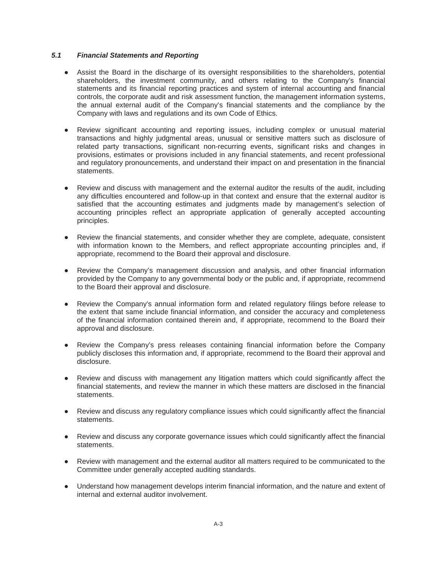# *5.1 Financial Statements and Reporting*

- Assist the Board in the discharge of its oversight responsibilities to the shareholders, potential shareholders, the investment community, and others relating to the Company's financial statements and its financial reporting practices and system of internal accounting and financial controls, the corporate audit and risk assessment function, the management information systems, the annual external audit of the Company's financial statements and the compliance by the Company with laws and regulations and its own Code of Ethics.
- Ɣ Review significant accounting and reporting issues, including complex or unusual material transactions and highly judgmental areas, unusual or sensitive matters such as disclosure of related party transactions, significant non-recurring events, significant risks and changes in provisions, estimates or provisions included in any financial statements, and recent professional and regulatory pronouncements, and understand their impact on and presentation in the financial statements.
- Review and discuss with management and the external auditor the results of the audit, including any difficulties encountered and follow-up in that context and ensure that the external auditor is satisfied that the accounting estimates and judgments made by management's selection of accounting principles reflect an appropriate application of generally accepted accounting principles.
- Review the financial statements, and consider whether they are complete, adequate, consistent with information known to the Members, and reflect appropriate accounting principles and, if appropriate, recommend to the Board their approval and disclosure.
- Review the Company's management discussion and analysis, and other financial information provided by the Company to any governmental body or the public and, if appropriate, recommend to the Board their approval and disclosure.
- Review the Company's annual information form and related regulatory filings before release to the extent that same include financial information, and consider the accuracy and completeness of the financial information contained therein and, if appropriate, recommend to the Board their approval and disclosure.
- Review the Company's press releases containing financial information before the Company publicly discloses this information and, if appropriate, recommend to the Board their approval and disclosure.
- Review and discuss with management any litigation matters which could significantly affect the financial statements, and review the manner in which these matters are disclosed in the financial statements.
- Review and discuss any regulatory compliance issues which could significantly affect the financial statements.
- Review and discuss any corporate governance issues which could significantly affect the financial statements.
- Review with management and the external auditor all matters required to be communicated to the Committee under generally accepted auditing standards.
- Understand how management develops interim financial information, and the nature and extent of internal and external auditor involvement.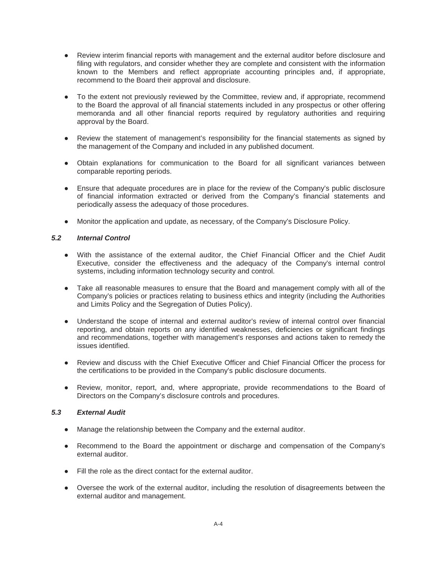- Review interim financial reports with management and the external auditor before disclosure and filing with regulators, and consider whether they are complete and consistent with the information known to the Members and reflect appropriate accounting principles and, if appropriate, recommend to the Board their approval and disclosure.
- To the extent not previously reviewed by the Committee, review and, if appropriate, recommend to the Board the approval of all financial statements included in any prospectus or other offering memoranda and all other financial reports required by regulatory authorities and requiring approval by the Board.
- Review the statement of management's responsibility for the financial statements as signed by the management of the Company and included in any published document.
- Obtain explanations for communication to the Board for all significant variances between comparable reporting periods.
- Ensure that adequate procedures are in place for the review of the Company's public disclosure of financial information extracted or derived from the Company's financial statements and periodically assess the adequacy of those procedures.
- Monitor the application and update, as necessary, of the Company's Disclosure Policy.

#### *5.2 Internal Control*

- Ɣ With the assistance of the external auditor, the Chief Financial Officer and the Chief Audit Executive, consider the effectiveness and the adequacy of the Company's internal control systems, including information technology security and control.
- Take all reasonable measures to ensure that the Board and management comply with all of the Company's policies or practices relating to business ethics and integrity (including the Authorities and Limits Policy and the Segregation of Duties Policy).
- Understand the scope of internal and external auditor's review of internal control over financial reporting, and obtain reports on any identified weaknesses, deficiencies or significant findings and recommendations, together with management's responses and actions taken to remedy the issues identified.
- Review and discuss with the Chief Executive Officer and Chief Financial Officer the process for the certifications to be provided in the Company's public disclosure documents.
- Review, monitor, report, and, where appropriate, provide recommendations to the Board of Directors on the Company's disclosure controls and procedures.

#### *5.3 External Audit*

- Manage the relationship between the Company and the external auditor.
- Recommend to the Board the appointment or discharge and compensation of the Company's external auditor.
- Fill the role as the direct contact for the external auditor.
- Oversee the work of the external auditor, including the resolution of disagreements between the external auditor and management.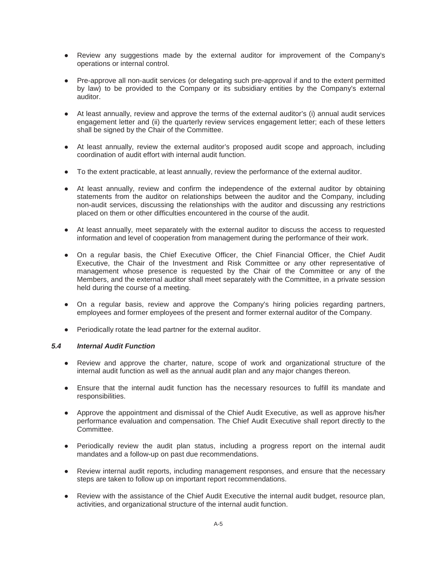- Review any suggestions made by the external auditor for improvement of the Company's operations or internal control.
- Pre-approve all non-audit services (or delegating such pre-approval if and to the extent permitted by law) to be provided to the Company or its subsidiary entities by the Company's external auditor.
- Ɣ At least annually, review and approve the terms of the external auditor's (i) annual audit services engagement letter and (ii) the quarterly review services engagement letter; each of these letters shall be signed by the Chair of the Committee.
- At least annually, review the external auditor's proposed audit scope and approach, including coordination of audit effort with internal audit function.
- Ɣ To the extent practicable, at least annually, review the performance of the external auditor.
- At least annually, review and confirm the independence of the external auditor by obtaining statements from the auditor on relationships between the auditor and the Company, including non-audit services, discussing the relationships with the auditor and discussing any restrictions placed on them or other difficulties encountered in the course of the audit.
- At least annually, meet separately with the external auditor to discuss the access to requested information and level of cooperation from management during the performance of their work.
- Ɣ On a regular basis, the Chief Executive Officer, the Chief Financial Officer, the Chief Audit Executive, the Chair of the Investment and Risk Committee or any other representative of management whose presence is requested by the Chair of the Committee or any of the Members, and the external auditor shall meet separately with the Committee, in a private session held during the course of a meeting.
- On a regular basis, review and approve the Company's hiring policies regarding partners, employees and former employees of the present and former external auditor of the Company.
- Periodically rotate the lead partner for the external auditor.

#### *5.4 Internal Audit Function*

- Review and approve the charter, nature, scope of work and organizational structure of the internal audit function as well as the annual audit plan and any major changes thereon.
- Ensure that the internal audit function has the necessary resources to fulfill its mandate and responsibilities.
- Approve the appointment and dismissal of the Chief Audit Executive, as well as approve his/her performance evaluation and compensation. The Chief Audit Executive shall report directly to the Committee.
- Periodically review the audit plan status, including a progress report on the internal audit mandates and a follow-up on past due recommendations.
- Review internal audit reports, including management responses, and ensure that the necessary steps are taken to follow up on important report recommendations.
- Review with the assistance of the Chief Audit Executive the internal audit budget, resource plan, activities, and organizational structure of the internal audit function.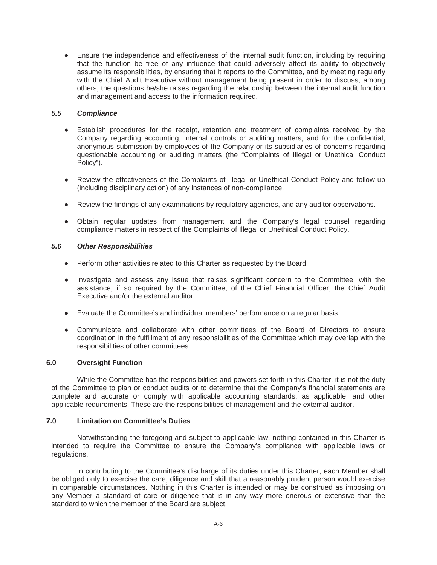• Ensure the independence and effectiveness of the internal audit function, including by requiring that the function be free of any influence that could adversely affect its ability to objectively assume its responsibilities, by ensuring that it reports to the Committee, and by meeting regularly with the Chief Audit Executive without management being present in order to discuss, among others, the questions he/she raises regarding the relationship between the internal audit function and management and access to the information required.

#### *5.5 Compliance*

- Establish procedures for the receipt, retention and treatment of complaints received by the Company regarding accounting, internal controls or auditing matters, and for the confidential, anonymous submission by employees of the Company or its subsidiaries of concerns regarding questionable accounting or auditing matters (the "Complaints of Illegal or Unethical Conduct Policy").
- Review the effectiveness of the Complaints of Illegal or Unethical Conduct Policy and follow-up (including disciplinary action) of any instances of non-compliance.
- Review the findings of any examinations by regulatory agencies, and any auditor observations.
- Obtain regular updates from management and the Company's legal counsel regarding compliance matters in respect of the Complaints of Illegal or Unethical Conduct Policy.

# *5.6 Other Responsibilities*

- Perform other activities related to this Charter as requested by the Board.
- Investigate and assess any issue that raises significant concern to the Committee, with the assistance, if so required by the Committee, of the Chief Financial Officer, the Chief Audit Executive and/or the external auditor.
- Ɣ Evaluate the Committee's and individual members' performance on a regular basis.
- Ɣ Communicate and collaborate with other committees of the Board of Directors to ensure coordination in the fulfillment of any responsibilities of the Committee which may overlap with the responsibilities of other committees.

#### **6.0 Oversight Function**

While the Committee has the responsibilities and powers set forth in this Charter, it is not the duty of the Committee to plan or conduct audits or to determine that the Company's financial statements are complete and accurate or comply with applicable accounting standards, as applicable, and other applicable requirements. These are the responsibilities of management and the external auditor.

# **7.0 Limitation on Committee's Duties**

Notwithstanding the foregoing and subject to applicable law, nothing contained in this Charter is intended to require the Committee to ensure the Company's compliance with applicable laws or regulations.

In contributing to the Committee's discharge of its duties under this Charter, each Member shall be obliged only to exercise the care, diligence and skill that a reasonably prudent person would exercise in comparable circumstances. Nothing in this Charter is intended or may be construed as imposing on any Member a standard of care or diligence that is in any way more onerous or extensive than the standard to which the member of the Board are subject.